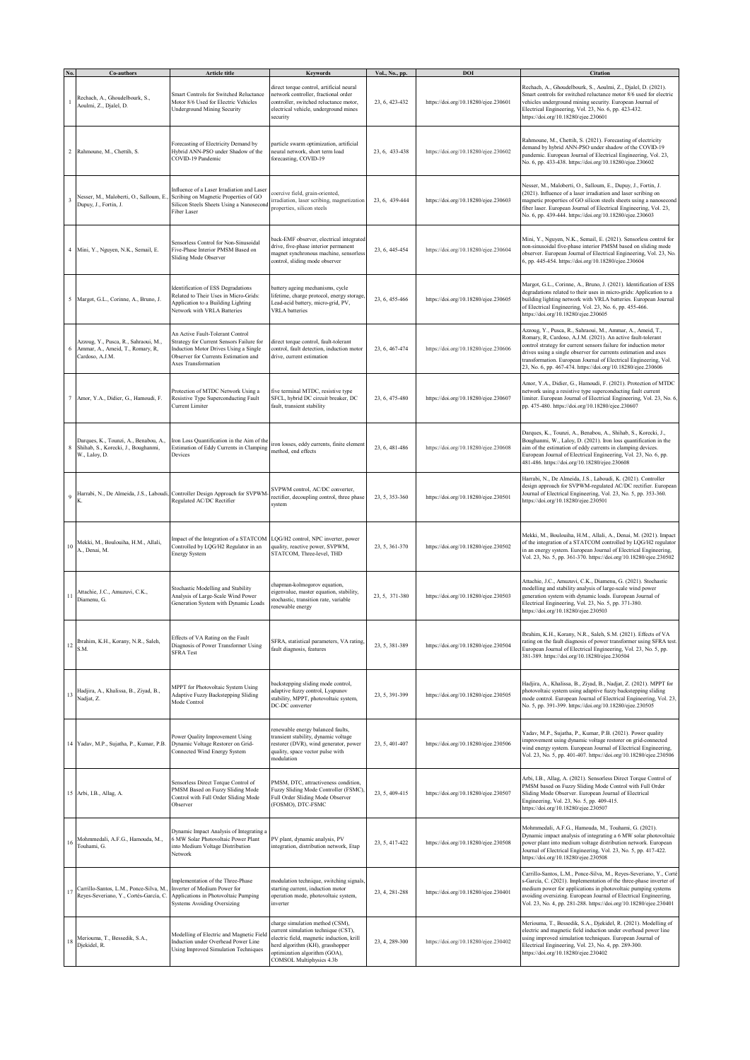|              | Co-authors                                                                                    | Article title                                                                                                                                                                        | Keywords                                                                                                                                                                                                             | Vol., No., pp. | DOI                                  | <b>Citation</b>                                                                                                                                                                                                                                                                                                                                                                                      |
|--------------|-----------------------------------------------------------------------------------------------|--------------------------------------------------------------------------------------------------------------------------------------------------------------------------------------|----------------------------------------------------------------------------------------------------------------------------------------------------------------------------------------------------------------------|----------------|--------------------------------------|------------------------------------------------------------------------------------------------------------------------------------------------------------------------------------------------------------------------------------------------------------------------------------------------------------------------------------------------------------------------------------------------------|
|              | Rechach, A., Ghoudelbourk, S.,<br>Aoulmi, Z., Djalel, D.                                      | Smart Controls for Switched Reluctance<br>Motor 8/6 Used for Electric Vehicles<br><b>Underground Mining Security</b>                                                                 | direct torque control, artificial neural<br>network controller, fractional order<br>controller, switched reluctance motor,<br>electrical vehicle, underground mines<br>security                                      | 23, 6, 423-432 | https://doi.org/10.18280/ejee.230601 | Rechach, A., Ghoudelbourk, S., Aoulmi, Z., Djalel, D. (2021).<br>Smart controls for switched reluctance motor 8/6 used for electric<br>vehicles underground mining security. European Journal of<br>Electrical Engineering, Vol. 23, No. 6, pp. 423-432.<br>https://doi.org/10.18280/ejee.230601                                                                                                     |
|              | 2 Rahmoune, M., Chettih, S.                                                                   | Forecasting of Electricity Demand by<br>Hybrid ANN-PSO under Shadow of the<br>COVID-19 Pandemic                                                                                      | particle swarm optimization, artificial<br>neural network, short term load<br>forecasting, COVID-19                                                                                                                  | 23, 6, 433-438 | https://doi.org/10.18280/ejee.230602 | Rahmoune, M., Chettih, S. (2021). Forecasting of electricity<br>demand by hybrid ANN-PSO under shadow of the COVID-19<br>pandemic. European Journal of Electrical Engineering, Vol. 23,<br>No. 6, pp. 433-438. https://doi.org/10.18280/ejee.230602                                                                                                                                                  |
| 3            | Nesser, M., Maloberti, O., Salloum, E.<br>Dupuy, J., Fortin, J.                               | Influence of a Laser Irradiation and Laser<br>Scribing on Magnetic Properties of GO<br>Silicon Steels Sheets Using a Nanosecond<br>Fiber Laser                                       | coercive field, grain-oriented,<br>irradiation, laser scribing, magnetization<br>properties, silicon steels                                                                                                          | 23, 6, 439-444 | https://doi.org/10.18280/ejee.230603 | Nesser, M., Maloberti, O., Salloum, E., Dupuy, J., Fortin, J.<br>(2021). Influence of a laser irradiation and laser scribing on<br>magnetic properties of GO silicon steels sheets using a nanosecond<br>fiber laser. European Journal of Electrical Engineering, Vol. 23,<br>No. 6, pp. 439-444. https://doi.org/10.18280/ejee.230603                                                               |
|              | 4 Mini, Y., Nguyen, N.K., Semail, E.                                                          | Sensorless Control for Non-Sinusoidal<br>Five-Phase Interior PMSM Based on<br><b>Sliding Mode Observer</b>                                                                           | back-EMF observer, electrical integrated<br>drive, five-phase interior permanent<br>magnet synchronous machine, sensorless<br>control, sliding mode observer                                                         | 23, 6, 445-454 | https://doi.org/10.18280/ejee.230604 | Mini, Y., Nguyen, N.K., Semail, E. (2021). Sensorless control for<br>non-sinusoidal five-phase interior PMSM based on sliding mode<br>observer. European Journal of Electrical Engineering, Vol. 23, No.<br>6, pp. 445-454. https://doi.org/10.18280/ejee.230604                                                                                                                                     |
|              | 5 Margot, G.L., Corinne, A., Bruno, J.                                                        | Identification of ESS Degradations<br>Related to Their Uses in Micro-Grids:<br>Application to a Building Lighting<br>Network with VRLA Batteries                                     | battery ageing mechanisms, cycle<br>lifetime, charge protocol, energy storage,<br>Lead-acid battery, micro-grid, PV,<br><b>VRLA</b> batteries                                                                        | 23, 6, 455-466 | https://doi.org/10.18280/ejee.230605 | Margot, G.L., Corinne, A., Bruno, J. (2021). Identification of ESS<br>degradations related to their uses in micro-grids: Application to a<br>building lighting network with VRLA batteries. European Journal<br>of Electrical Engineering, Vol. 23, No. 6, pp. 455-466.<br>https://doi.org/10.18280/ejee.230605                                                                                      |
|              | Azzoug, Y., Pusca, R., Sahraoui, M.,<br>Ammar, A., Ameid, T., Romary, R,<br>Cardoso, A.J.M.   | An Active Fault-Tolerant Control<br>Strategy for Current Sensors Failure for<br>Induction Motor Drives Using a Single<br>Observer for Currents Estimation and<br>Axes Transformation | direct torque control, fault-tolerant<br>control, fault detection, induction motor<br>drive, current estimation                                                                                                      | 23, 6, 467-474 | https://doi.org/10.18280/ejee.230606 | Azzoug, Y., Pusca, R., Sahraoui, M., Ammar, A., Ameid, T.,<br>Romary, R, Cardoso, A.J.M. (2021). An active fault-tolerant<br>control strategy for current sensors failure for induction motor<br>drives using a single observer for currents estimation and axes<br>transformation. European Journal of Electrical Engineering, Vol.<br>23, No. 6, pp. 467-474. https://doi.org/10.18280/ejee.230606 |
|              | Amor, Y.A., Didier, G., Hamoudi, F.                                                           | Protection of MTDC Network Using a<br>Resistive Type Superconducting Fault<br>Current Limiter                                                                                        | five terminal MTDC, resistive type<br>SFCL, hybrid DC circuit breaker, DC<br>fault, transient stability                                                                                                              | 23, 6, 475-480 | https://doi.org/10.18280/ejee.230607 | Amor, Y.A., Didier, G., Hamoudi, F. (2021). Protection of MTDC<br>network using a resistive type superconducting fault current<br>limiter. European Journal of Electrical Engineering, Vol. 23, No. 6,<br>pp. 475-480. https://doi.org/10.18280/ejee.230607                                                                                                                                          |
| 8            | Darques, K., Tounzi, A., Benabou, A.,<br>Shihab, S., Korecki, J., Boughanmi,<br>W., Laloy, D. | Iron Loss Quantification in the Aim of the<br>Estimation of Eddy Currents in Clamping<br>Devices                                                                                     | iron losses, eddy currents, finite element<br>method, end effects                                                                                                                                                    | 23, 6, 481-486 | https://doi.org/10.18280/ejee.230608 | Darques, K., Tounzi, A., Benabou, A., Shihab, S., Korecki, J.,<br>Boughanmi, W., Laloy, D. (2021). Iron loss quantification in the<br>aim of the estimation of eddy currents in clamping devices.<br>European Journal of Electrical Engineering, Vol. 23, No. 6, pp.<br>481-486. https://doi.org/10.18280/ejee.230608                                                                                |
| $\mathbf{Q}$ | Harrabi, N., De Almeida, J.S., Laboudi,                                                       | Controller Design Approach for SVPWM<br>Regulated AC/DC Rectifier                                                                                                                    | SVPWM control, AC/DC converter,<br>rectifier, decoupling control, three phase<br>system                                                                                                                              | 23, 5, 353-360 | https://doi.org/10.18280/ejee.230501 | Harrabi, N., De Almeida, J.S., Laboudi, K. (2021). Controller<br>design approach for SVPWM-regulated AC/DC rectifier. European<br>Journal of Electrical Engineering, Vol. 23, No. 5, pp. 353-360.<br>https://doi.org/10.18280/ejee.230501                                                                                                                                                            |
| 10           | Mekki, M., Boulouiha, H.M., Allali,<br>A., Denai, M.                                          | Impact of the Integration of a STATCOM<br>Controlled by LQG/H2 Regulator in an<br><b>Energy System</b>                                                                               | LQG/H2 control, NPC inverter, power<br>quality, reactive power, SVPWM,<br>STATCOM, Three-level, THD                                                                                                                  | 23, 5, 361-370 | https://doi.org/10.18280/ejee.230502 | Mekki, M., Boulouiha, H.M., Allali, A., Denai, M. (2021). Impact<br>of the integration of a STATCOM controlled by LQG/H2 regulator<br>in an energy system. European Journal of Electrical Engineering,<br>Vol. 23, No. 5, pp. 361-370. https://doi.org/10.18280/ejee.230502                                                                                                                          |
| 11           | Attachie, J.C., Amuzuvi, C.K.,<br>Diamenu, G.                                                 | Stochastic Modelling and Stability<br>Analysis of Large-Scale Wind Power<br>Generation System with Dynamic Loads                                                                     | chapman-kolmogorov equation,<br>eigenvalue, master equation, stability,<br>stochastic, transition rate, variable<br>renewable energy                                                                                 | 23, 5, 371-380 | https://doi.org/10.18280/ejee.230503 | Attachie, J.C., Amuzuvi, C.K., Diamenu, G. (2021). Stochastic<br>modelling and stability analysis of large-scale wind power<br>generation system with dynamic loads. European Journal of<br>Electrical Engineering, Vol. 23, No. 5, pp. 371-380.<br>https://doi.org/10.18280/ejee.230503                                                                                                             |
| 12           | Ibrahim, K.H., Korany, N.R., Saleh,<br>S.M.                                                   | Effects of VA Rating on the Fault<br>Diagnosis of Power Transformer Using<br><b>SFRA Test</b>                                                                                        | SFRA, statistical parameters, VA rating,<br>fault diagnosis, features                                                                                                                                                | 23, 5, 381-389 | https://doi.org/10.18280/ejee.230504 | Ibrahim, K.H., Korany, N.R., Saleh, S.M. (2021). Effects of VA<br>rating on the fault diagnosis of power transformer using SFRA test.<br>European Journal of Electrical Engineering, Vol. 23, No. 5, pp.<br>381-389. https://doi.org/10.18280/ejee.230504                                                                                                                                            |
| 13           | Hadjira, A., Khalissa, B., Ziyad, B.,<br>Nadjat, Z.                                           | MPPT for Photovoltaic System Using<br>Adaptive Fuzzy Backstepping Sliding<br>Mode Control                                                                                            | backstepping sliding mode control,<br>adaptive fuzzy control, Lyapunov<br>stability, MPPT, photovoltaic system,<br>DC-DC converter                                                                                   | 23, 5, 391-399 | https://doi.org/10.18280/ejee.230505 | Hadjira, A., Khalissa, B., Ziyad, B., Nadjat, Z. (2021). MPPT for<br>photovoltaic system using adaptive fuzzy backstepping sliding<br>mode control. European Journal of Electrical Engineering, Vol. 23,<br>No. 5, pp. 391-399. https://doi.org/10.18280/ejee.230505                                                                                                                                 |
|              | 14 Yadav, M.P., Sujatha, P., Kumar, P.B.                                                      | Power Quality Improvement Using<br>Dynamic Voltage Restorer on Grid-<br>Connected Wind Energy System                                                                                 | renewable energy balanced faults,<br>transient stability, dynamic voltage<br>restorer (DVR), wind generator, power<br>quality, space vector pulse with<br>modulation                                                 | 23, 5, 401-407 | https://doi.org/10.18280/ejee.230506 | Yadav, M.P., Sujatha, P., Kumar, P.B. (2021). Power quality<br>improvement using dynamic voltage restorer on grid-connected<br>wind energy system. European Journal of Electrical Engineering,<br>Vol. 23, No. 5, pp. 401-407. https://doi.org/10.18280/ejee.230506                                                                                                                                  |
|              | 15 Arbi, I.B., Allag, A.                                                                      | Sensorless Direct Torque Control of<br>PMSM Based on Fuzzy Sliding Mode<br>Control with Full Order Sliding Mode<br>Observer                                                          | PMSM, DTC, attractiveness condition,<br>Fuzzy Sliding Mode Controller (FSMC),<br>Full Order Sliding Mode Observer<br>(FOSMO), DTC-FSMC                                                                               | 23, 5, 409-415 | https://doi.org/10.18280/ejee.230507 | Arbi, I.B., Allag, A. (2021). Sensorless Direct Torque Control of<br>PMSM based on Fuzzy Sliding Mode Control with Full Order<br>Sliding Mode Observer. European Journal of Electrical<br>Engineering, Vol. 23, No. 5, pp. 409-415.<br>https://doi.org/10.18280/ejee.230507                                                                                                                          |
| 16           | Mohmmedali, A.F.G., Hamouda, M.,<br>Touhami, G.                                               | Dynamic Impact Analysis of Integrating a<br>6 MW Solar Photovoltaic Power Plant<br>into Medium Voltage Distribution<br>Network                                                       | PV plant, dynamic analysis, PV<br>integration, distribution network, Etap                                                                                                                                            | 23, 5, 417-422 | https://doi.org/10.18280/ejee.230508 | Mohmmedali, A.F.G., Hamouda, M., Touhami, G. (2021).<br>Dynamic impact analysis of integrating a 6 MW solar photovoltaic<br>bower plant into medium voltage distribution network. European<br>fournal of Electrical Engineering, Vol. 23, No. 5, pp. 417-422.<br>https://doi.org/10.18280/ejee.230508                                                                                                |
| 17           | Carrillo-Santos, L.M., Ponce-Silva, M.<br>Reyes-Severiano, Y., Cortés-García, C.              | Implementation of the Three-Phase<br>Inverter of Medium Power for<br>Applications in Photovoltaic Pumping<br>Systems Avoiding Oversizing                                             | modulation technique, switching signals,<br>starting current, induction motor<br>operation mode, photovoltaic system,<br>inverter                                                                                    | 23, 4, 281-288 | https://doi.org/10.18280/ejee.230401 | Carrillo-Santos, L.M., Ponce-Silva, M., Reyes-Severiano, Y., Corté<br>García, C. (2021). Implementation of the three-phase inverter of<br>nedium power for applications in photovoltaic pumping systems<br>avoiding oversizing. European Journal of Electrical Engineering,<br>Vol. 23, No. 4, pp. 281-288. https://doi.org/10.18280/ejee.230401                                                     |
| $18\,$       | Meriouma, T., Bessedik, S.A.,<br>Djekidel, R.                                                 | Modelling of Electric and Magnetic Field<br>Induction under Overhead Power Line<br>Using Improved Simulation Techniques                                                              | charge simulation method (CSM),<br>current simulation technique (CST),<br>electric field, magnetic induction, krill<br>herd algorithm (KH), grasshopper<br>optimization algorithm (GOA),<br>COMSOL Multiphysics 4.3b | 23, 4, 289-300 | https://doi.org/10.18280/ejee.230402 | Meriouma, T., Bessedik, S.A., Djekidel, R. (2021). Modelling of<br>electric and magnetic field induction under overhead power line<br>using improved simulation techniques. European Journal of<br>Electrical Engineering, Vol. 23, No. 4, pp. 289-300.<br>https://doi.org/10.18280/ejee.230402                                                                                                      |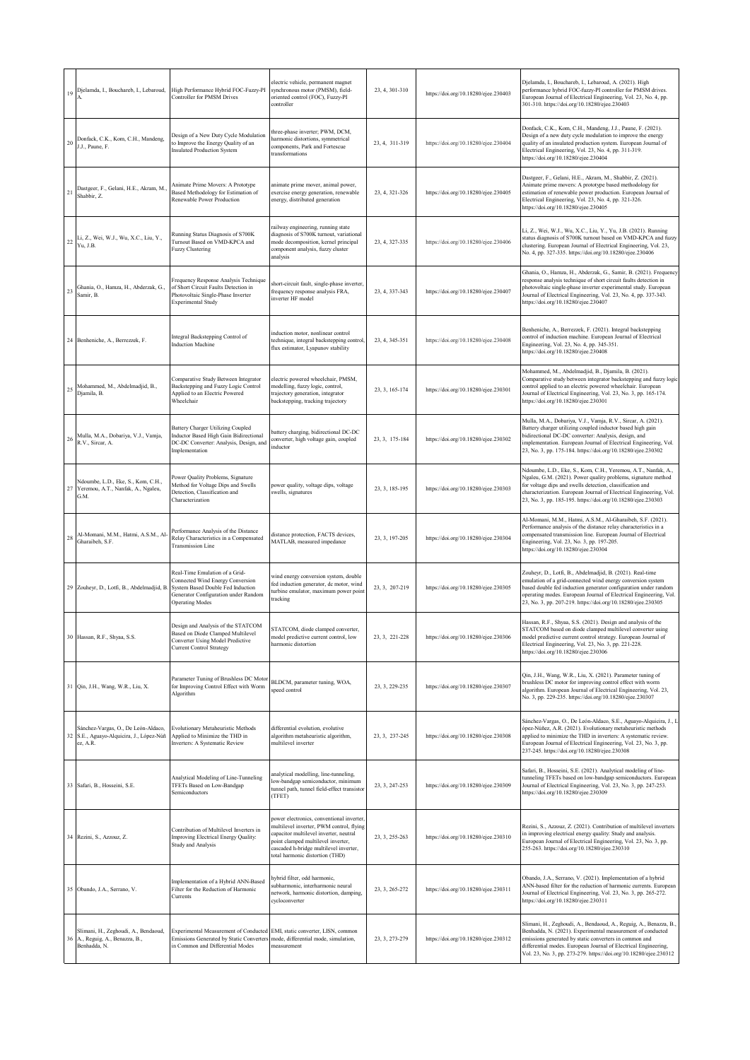|    | Djelamda, I., Bouchareb, I., Lebaroud,                                                      | High Performance Hybrid FOC-Fuzzy-PI<br>Controller for PMSM Drives                                                                                                        | electric vehicle, permanent magnet<br>synchronous motor (PMSM), field-<br>oriented control (FOC), Fuzzy-PI<br>controller                                                                                                                           | 23, 4, 301-310 | https://doi.org/10.18280/ejee.230403 | Djelamda, I., Bouchareb, I., Lebaroud, A. (2021). High<br>performance hybrid FOC-fuzzy-PI controller for PMSM drives.<br>European Journal of Electrical Engineering, Vol. 23, No. 4, pp.<br>301-310. https://doi.org/10.18280/ejee.230403                                                                                         |
|----|---------------------------------------------------------------------------------------------|---------------------------------------------------------------------------------------------------------------------------------------------------------------------------|----------------------------------------------------------------------------------------------------------------------------------------------------------------------------------------------------------------------------------------------------|----------------|--------------------------------------|-----------------------------------------------------------------------------------------------------------------------------------------------------------------------------------------------------------------------------------------------------------------------------------------------------------------------------------|
| 20 | Donfack, C.K., Kom, C.H., Mandeng,<br>J.J., Paune, F.                                       | Design of a New Duty Cycle Modulation<br>to Improve the Energy Quality of an<br><b>Insulated Production System</b>                                                        | three-phase inverter; PWM, DCM,<br>harmonic distortions, symmetrical<br>components, Park and Fortescue<br>transformations                                                                                                                          | 23, 4, 311-319 | https://doi.org/10.18280/ejee.230404 | Donfack, C.K., Kom, C.H., Mandeng, J.J., Paune, F. (2021).<br>Design of a new duty cycle modulation to improve the energy<br>quality of an insulated production system. European Journal of<br>Electrical Engineering, Vol. 23, No. 4, pp. 311-319.<br>https://doi.org/10.18280/ejee.230404                                       |
| 21 | Dastgeer, F., Gelani, H.E., Akram, M.<br>Shabbir, Z.                                        | Animate Prime Movers: A Prototype<br>Based Methodology for Estimation of<br>Renewable Power Production                                                                    | animate prime mover, animal power,<br>exercise energy generation, renewable<br>energy, distributed generation                                                                                                                                      | 23, 4, 321-326 | https://doi.org/10.18280/ejee.230405 | Dastgeer, F., Gelani, H.E., Akram, M., Shabbir, Z. (2021).<br>Animate prime movers: A prototype based methodology for<br>estimation of renewable power production. European Journal of<br>Electrical Engineering, Vol. 23, No. 4, pp. 321-326.<br>https://doi.org/10.18280/ejee.230405                                            |
| 22 | Li, Z., Wei, W.J., Wu, X.C., Liu, Y.,<br>Yu, J.B.                                           | Running Status Diagnosis of S700K<br>Turnout Based on VMD-KPCA and<br><b>Fuzzy Clustering</b>                                                                             | railway engineering, running state<br>diagnosis of S700K turnout, variational<br>mode decomposition, kernel principal<br>component analysis, fuzzy cluster<br>analysis                                                                             | 23, 4, 327-335 | https://doi.org/10.18280/ejee.230406 | Li, Z., Wei, W.J., Wu, X.C., Liu, Y., Yu, J.B. (2021). Running<br>status diagnosis of S700K turnout based on VMD-KPCA and fuzzy<br>clustering. European Journal of Electrical Engineering, Vol. 23,<br>No. 4, pp. 327-335. https://doi.org/10.18280/ejee.230406                                                                   |
|    | 23 Ghania, O., Hamza, H., Abderzak, G.,<br>Samir, B.                                        | Frequency Response Analysis Technique<br>of Short Circuit Faults Detection in<br>Photovoltaic Single-Phase Inverter<br><b>Experimental Study</b>                          | short-circuit fault, single-phase inverter,<br>frequency response analysis FRA,<br>inverter HF model                                                                                                                                               | 23, 4, 337-343 | https://doi.org/10.18280/ejee.230407 | Ghania, O., Hamza, H., Abderzak, G., Samir, B. (2021). Frequency<br>response analysis technique of short circuit faults detection in<br>photovoltaic single-phase inverter experimental study. European<br>Journal of Electrical Engineering, Vol. 23, No. 4, pp. 337-343.<br>https://doi.org/10.18280/ejee.230407                |
|    | 24 Benheniche, A., Berrezzek, F.                                                            | Integral Backstepping Control of<br><b>Induction Machine</b>                                                                                                              | induction motor, nonlinear control<br>technique, integral backstepping control,<br>flux estimator, Lyapunov stability                                                                                                                              | 23, 4, 345-351 | https://doi.org/10.18280/ejee.230408 | Benheniche, A., Berrezzek, F. (2021). Integral backstepping<br>control of induction machine. European Journal of Electrical<br>Engineering, Vol. 23, No. 4, pp. 345-351.<br>https://doi.org/10.18280/ejee.230408                                                                                                                  |
| 25 | Mohammed, M., Abdelmadjid, B.,<br>Djamila, B.                                               | Comparative Study Between Integrator<br>Backstepping and Fuzzy Logic Control<br>Applied to an Electric Powered<br>Wheelchair                                              | electric powered wheelchair, PMSM,<br>modelling, fuzzy logic, control,<br>trajectory generation, integrator<br>backstepping, tracking trajectory                                                                                                   | 23, 3, 165-174 | https://doi.org/10.18280/ejee.230301 | Mohammed, M., Abdelmadjid, B., Djamila, B. (2021).<br>Comparative study between integrator backstepping and fuzzy logic<br>control applied to an electric powered wheelchair. European<br>Journal of Electrical Engineering, Vol. 23, No. 3, pp. 165-174.<br>https://doi.org/10.18280/ejee.230301                                 |
|    | Mulla, M.A., Dobariya, V.J., Vamja,<br>$26$ R.V., Sircar, A.                                | Battery Charger Utilizing Coupled<br>Inductor Based High Gain Bidirectional<br>DC-DC Converter: Analysis, Design, and<br>Implementation                                   | battery charging, bidirectional DC-DC<br>converter, high voltage gain, coupled<br>inductor                                                                                                                                                         | 23, 3, 175-184 | https://doi.org/10.18280/ejee.230302 | Mulla, M.A., Dobariya, V.J., Vamja, R.V., Sircar, A. (2021).<br>Battery charger utilizing coupled inductor based high gain<br>bidirectional DC-DC converter: Analysis, design, and<br>implementation. European Journal of Electrical Engineering, Vol.<br>23, No. 3, pp. 175-184. https://doi.org/10.18280/ejee.230302            |
|    | Ndoumbe, L.D., Eke, S., Kom, C.H.,<br>27 Yeremou, A.T., Nanfak, A., Ngaleu,<br>G.M.         | Power Quality Problems, Signature<br>Method for Voltage Dips and Swells<br>Detection, Classification and<br>Characterization                                              | power quality, voltage dips, voltage<br>swells, signatures                                                                                                                                                                                         | 23, 3, 185-195 | https://doi.org/10.18280/ejee.230303 | Ndoumbe, L.D., Eke, S., Kom, C.H., Yeremou, A.T., Nanfak, A.,<br>Ngaleu, G.M. (2021). Power quality problems, signature method<br>for voltage dips and swells detection, classification and<br>characterization. European Journal of Electrical Engineering, Vol.<br>23, No. 3, pp. 185-195. https://doi.org/10.18280/ejee.230303 |
| 28 | Al-Momani, M.M., Hatmi, A.S.M., Al<br>Gharaibeh, S.F.                                       | Performance Analysis of the Distance<br>Relay Characteristics in a Compensated<br><b>Transmission Line</b>                                                                | distance protection, FACTS devices,<br>MATLAB, measured impedance                                                                                                                                                                                  | 23, 3, 197-205 | https://doi.org/10.18280/ejee.230304 | Al-Momani, M.M., Hatmi, A.S.M., Al-Gharaibeh, S.F. (2021).<br>Performance analysis of the distance relay characteristics in a<br>compensated transmission line. European Journal of Electrical<br>Engineering, Vol. 23, No. 3, pp. 197-205.<br>https://doi.org/10.18280/ejee.230304                                               |
|    | 29 Zouheyr, D., Lotfi, B., Abdelmadjid, B                                                   | Real-Time Emulation of a Grid-<br>Connected Wind Energy Conversion<br>System Based Double Fed Induction<br>Generator Configuration under Random<br><b>Operating Modes</b> | wind energy conversion system, double<br>fed induction generator, dc motor, wind<br>turbine emulator, maximum power point<br>tracking                                                                                                              | 23, 3, 207-219 | https://doi.org/10.18280/ejee.230305 | Zouheyr, D., Lotfi, B., Abdelmadjid, B. (2021). Real-time<br>emulation of a grid-connected wind energy conversion system<br>based double fed induction generator configuration under random<br>operating modes. European Journal of Electrical Engineering, Vol.<br>23, No. 3, pp. 207-219. https://doi.org/10.18280/ejee.230305  |
|    | 30 Hassan, R.F., Shyaa, S.S.                                                                | Design and Analysis of the STATCOM<br>Based on Diode Clamped Multilevel<br>Converter Using Model Predictive<br>Current Control Strategy                                   | STATCOM, diode clamped converter,<br>model predictive current control, low<br>harmonic distortion                                                                                                                                                  | 23, 3, 221-228 | https://doi.org/10.18280/ejee.230306 | Hassan, R.F., Shyaa, S.S. (2021). Design and analysis of the<br>STATCOM based on diode clamped multilevel converter using<br>model predictive current control strategy. European Journal of<br>Electrical Engineering, Vol. 23, No. 3, pp. 221-228.<br>https://doi.org/10.18280/ejee.230306                                       |
|    | 31 Qin, J.H., Wang, W.R., Liu, X.                                                           | Parameter Tuning of Brushless DC Motor<br>for Improving Control Effect with Worm<br>Algorithm                                                                             | BLDCM, parameter tuning, WOA,<br>speed control                                                                                                                                                                                                     | 23, 3, 229-235 | https://doi.org/10.18280/ejee.230307 | Qin, J.H., Wang, W.R., Liu, X. (2021). Parameter tuning of<br>brushless DC motor for improving control effect with worm<br>algorithm. European Journal of Electrical Engineering, Vol. 23,<br>No. 3, pp. 229-235. https://doi.org/10.18280/ejee.230307                                                                            |
|    | Sánchez-Vargas, O., De León-Aldaco,<br>32 S.E., Aguayo-Alquicira, J., López-Núñ<br>ez, A.R. | <b>Evolutionary Metaheuristic Methods</b><br>Applied to Minimize the THD in<br>Inverters: A Systematic Review                                                             | differential evolution, evolutive<br>algorithm metaheuristic algorithm,<br>multilevel inverter                                                                                                                                                     | 23, 3, 237-245 | https://doi.org/10.18280/ejee.230308 | Sánchez-Vargas, O., De León-Aldaco, S.E., Aguayo-Alquicira, J., L.<br>ópez-Núñez, A.R. (2021). Evolutionary metaheuristic methods<br>applied to minimize the THD in inverters: A systematic review.<br>European Journal of Electrical Engineering, Vol. 23, No. 3, pp.<br>237-245. https://doi.org/10.18280/ejee.230308           |
|    | 33 Safari, B., Hosseini, S.E.                                                               | Analytical Modeling of Line-Tunneling<br>TFETs Based on Low-Bandgap<br>Semiconductors                                                                                     | analytical modelling, line-tunneling,<br>low-bandgap semiconductor, minimum<br>tunnel path, tunnel field-effect transistor<br>(TFET)                                                                                                               | 23, 3, 247-253 | https://doi.org/10.18280/ejee.230309 | Safari, B., Hosseini, S.E. (2021). Analytical modeling of line-<br>tunneling TFETs based on low-bandgap semiconductors. European<br>Journal of Electrical Engineering, Vol. 23, No. 3, pp. 247-253.<br>https://doi.org/10.18280/ejee.230309                                                                                       |
|    | 34 Rezini, S., Azzouz, Z.                                                                   | Contribution of Multilevel Inverters in<br>Improving Electrical Energy Quality:<br>Study and Analysis                                                                     | power electronics, conventional inverter,<br>multilevel inverter, PWM control, flying<br>capacitor multilevel inverter, neutral<br>point clamped multilevel inverter,<br>cascaded h-bridge multilevel inverter,<br>total harmonic distortion (THD) | 23, 3, 255-263 | https://doi.org/10.18280/ejee.230310 | Rezini, S., Azzouz, Z. (2021). Contribution of multilevel inverters<br>in improving electrical energy quality: Study and analysis.<br>European Journal of Electrical Engineering, Vol. 23, No. 3, pp.<br>255-263. https://doi.org/10.18280/ejee.230310                                                                            |
|    | 35 Obando, J.A., Serrano, V.                                                                | Implementation of a Hybrid ANN-Based<br>Filter for the Reduction of Harmonic<br>Currents                                                                                  | hybrid filter, odd harmonic,<br>subharmonic, interharmonic neural<br>network, harmonic distortion, damping,<br>cycloconverter                                                                                                                      | 23, 3, 265-272 | https://doi.org/10.18280/ejee.230311 | Obando, J.A., Serrano, V. (2021). Implementation of a hybrid<br>ANN-based filter for the reduction of harmonic currents. European<br>Journal of Electrical Engineering, Vol. 23, No. 3, pp. 265-272.<br>https://doi.org/10.18280/ejee.230311                                                                                      |
|    | Slimani, H., Zeghoudi, A., Bendaoud,<br>36 A., Reguig, A., Benazza, B.,<br>Benhadda, N.     | Experimental Measurement of Conducted<br>Emissions Generated by Static Converters<br>in Common and Differential Modes                                                     | EMI, static converter, LISN, common<br>mode, differential mode, simulation,<br>measurement                                                                                                                                                         | 23, 3, 273-279 | https://doi.org/10.18280/ejee.230312 | Slimani, H., Zeghoudi, A., Bendaoud, A., Reguig, A., Benazza, B.,<br>Benhadda, N. (2021). Experimental measurement of conducted<br>emissions generated by static converters in common and<br>differential modes. European Journal of Electrical Engineering,<br>Vol. 23, No. 3, pp. 273-279. https://doi.org/10.18280/ejee.230312 |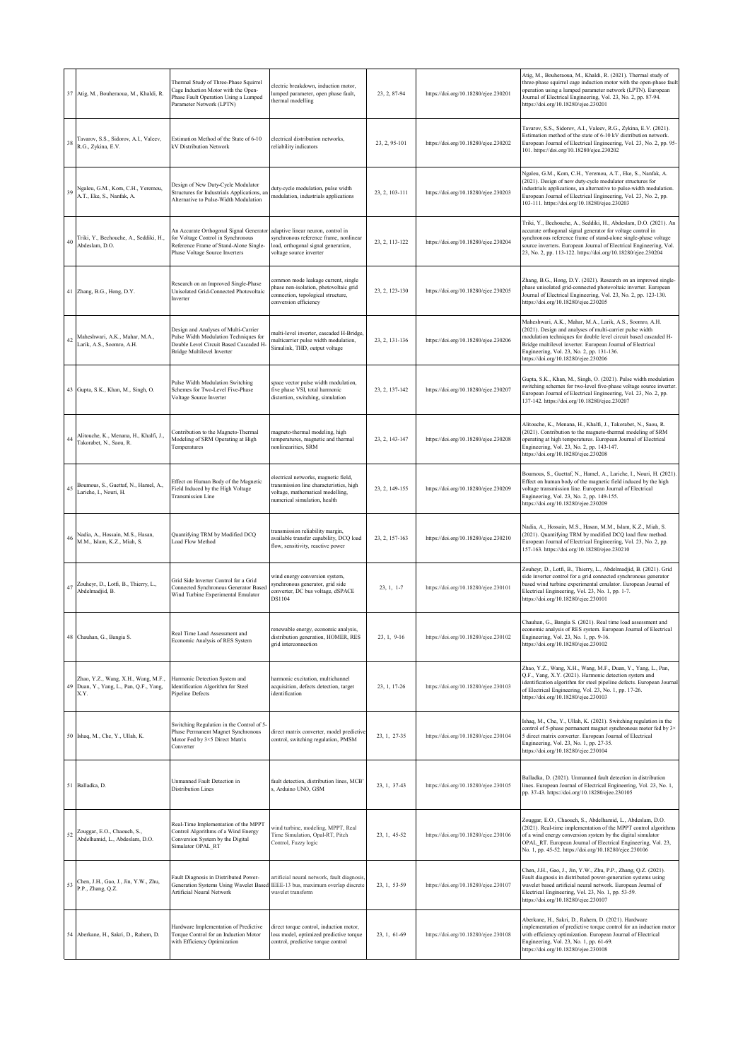|    | 37 Atig, M., Bouheraoua, M., Khaldi, R.                                             | Thermal Study of Three-Phase Squirrel<br>Cage Induction Motor with the Open-<br>Phase Fault Operation Using a Lumped<br>Parameter Network (LPTN)             | electric breakdown, induction motor,<br>lumped parameter, open phase fault,<br>thermal modelling                                                   | 23, 2, 87-94   | https://doi.org/10.18280/ejee.230201 | Atig, M., Bouheraoua, M., Khaldi, R. (2021). Thermal study of<br>three-phase squirrel cage induction motor with the open-phase fault<br>operation using a lumped parameter network (LPTN). European<br>Journal of Electrical Engineering, Vol. 23, No. 2, pp. 87-94.<br>https://doi.org/10.18280/ejee.230201                                |
|----|-------------------------------------------------------------------------------------|--------------------------------------------------------------------------------------------------------------------------------------------------------------|----------------------------------------------------------------------------------------------------------------------------------------------------|----------------|--------------------------------------|---------------------------------------------------------------------------------------------------------------------------------------------------------------------------------------------------------------------------------------------------------------------------------------------------------------------------------------------|
| 38 | Tavarov, S.S., Sidorov, A.I., Valeev,<br>R.G., Zykina, E.V.                         | Estimation Method of the State of 6-10<br>kV Distribution Network                                                                                            | electrical distribution networks,<br>reliability indicators                                                                                        | 23, 2, 95-101  | https://doi.org/10.18280/ejee.230202 | Tavarov, S.S., Sidorov, A.I., Valeev, R.G., Zykina, E.V. (2021).<br>Estimation method of the state of 6-10 kV distribution network.<br>European Journal of Electrical Engineering, Vol. 23, No. 2, pp. 95-<br>101. https://doi.org/10.18280/ejee.230202                                                                                     |
| 36 | Ngaleu, G.M., Kom, C.H., Yeremou,<br>A.T., Eke, S., Nanfak, A.                      | Design of New Duty-Cycle Modulator<br>Structures for Industrials Applications, an<br>Alternative to Pulse-Width Modulation                                   | duty-cycle modulation, pulse width<br>modulation, industrials applications                                                                         | 23, 2, 103-111 | https://doi.org/10.18280/ejee.230203 | Ngaleu, G.M., Kom, C.H., Yeremou, A.T., Eke, S., Nanfak, A.<br>(2021). Design of new duty-cycle modulator structures for<br>industrials applications, an alternative to pulse-width modulation.<br>European Journal of Electrical Engineering, Vol. 23, No. 2, pp.<br>103-111. https://doi.org/10.18280/ejee.230203                         |
| 4( | Triki, Y., Bechouche, A., Seddiki, H.,<br>Abdeslam, D.O.                            | An Accurate Orthogonal Signal Generator<br>for Voltage Control in Synchronous<br>Reference Frame of Stand-Alone Single-<br>Phase Voltage Source Inverters    | adaptive linear neuron, control in<br>synchronous reference frame, nonlinear<br>oad, orthogonal signal generation,<br>voltage source inverter      | 23, 2, 113-122 | https://doi.org/10.18280/ejee.230204 | Triki, Y., Bechouche, A., Seddiki, H., Abdeslam, D.O. (2021). An<br>accurate orthogonal signal generator for voltage control in<br>synchronous reference frame of stand-alone single-phase voltage<br>source inverters. European Journal of Electrical Engineering, Vol.<br>23, No. 2, pp. 113-122. https://doi.org/10.18280/ejee.230204    |
|    | 41 Zhang, B.G., Hong, D.Y.                                                          | Research on an Improved Single-Phase<br>Unisolated Grid-Connected Photovoltaic<br>Inverter                                                                   | common mode leakage current, single<br>hase non-isolation, photovoltaic grid<br>connection, topological structure,<br>conversion efficiency        | 23, 2, 123-130 | https://doi.org/10.18280/ejee.230205 | Zhang, B.G., Hong, D.Y. (2021). Research on an improved single-<br>phase unisolated grid-connected photovoltaic inverter. European<br>Journal of Electrical Engineering, Vol. 23, No. 2, pp. 123-130.<br>https://doi.org/10.18280/ejee.230205                                                                                               |
| 42 | Maheshwari, A.K., Mahar, M.A.,<br>Larik, A.S., Soomro, A.H.                         | Design and Analyses of Multi-Carrier<br>Pulse Width Modulation Techniques for<br>Double Level Circuit Based Cascaded H-<br><b>Bridge Multilevel Inverter</b> | nulti-level inverter, cascaded H-Bridge,<br>nulticarrier pulse width modulation,<br>Simulink, THD, output voltage                                  | 23, 2, 131-136 | https://doi.org/10.18280/ejee.230206 | Maheshwari, A.K., Mahar, M.A., Larik, A.S., Soomro, A.H.<br>(2021). Design and analyses of multi-carrier pulse width<br>modulation techniques for double level circuit based cascaded H-<br>Bridge multilevel inverter. European Journal of Electrical<br>Engineering, Vol. 23, No. 2, pp. 131-136.<br>https://doi.org/10.18280/ejee.230206 |
|    | 43 Gupta, S.K., Khan, M., Singh, O.                                                 | Pulse Width Modulation Switching<br>Schemes for Two-Level Five-Phase<br>Voltage Source Inverter                                                              | space vector pulse width modulation,<br>five phase VSI, total harmonic<br>distortion, switching, simulation                                        | 23, 2, 137-142 | https://doi.org/10.18280/ejee.230207 | Gupta, S.K., Khan, M., Singh, O. (2021). Pulse width modulation<br>switching schemes for two-level five-phase voltage source inverter.<br>European Journal of Electrical Engineering, Vol. 23, No. 2, pp.<br>137-142. https://doi.org/10.18280/ejee.230207                                                                                  |
| 44 | Alitouche, K., Menana, H., Khalfi, J.,<br>Takorabet, N., Saou, R.                   | Contribution to the Magneto-Thermal<br>Modeling of SRM Operating at High<br>Temperatures                                                                     | nagneto-thermal modeling, high<br>temperatures, magnetic and thermal<br>nonlinearities, SRM                                                        | 23, 2, 143-147 | https://doi.org/10.18280/ejee.230208 | Alitouche, K., Menana, H., Khalfi, J., Takorabet, N., Saou, R.<br>(2021). Contribution to the magneto-thermal modeling of SRM<br>operating at high temperatures. European Journal of Electrical<br>Engineering, Vol. 23, No. 2, pp. 143-147.<br>https://doi.org/10.18280/ejee.230208                                                        |
| 45 | Boumous, S., Guettaf, N., Hamel, A.,<br>Lariche, I., Nouri, H.                      | Effect on Human Body of the Magnetic<br>Field Induced by the High Voltage<br><b>Transmission Line</b>                                                        | electrical networks, magnetic field,<br>ransmission line characteristics, high<br>voltage, mathematical modelling,<br>numerical simulation, health | 23, 2, 149-155 | https://doi.org/10.18280/ejee.230209 | Boumous, S., Guettaf, N., Hamel, A., Lariche, I., Nouri, H. (2021).<br>Effect on human body of the magnetic field induced by the high<br>voltage transmission line. European Journal of Electrical<br>Engineering, Vol. 23, No. 2, pp. 149-155.<br>https://doi.org/10.18280/ejee.230209                                                     |
| 46 | Nadia, A., Hossain, M.S., Hasan,<br>M.M., Islam, K.Z., Miah, S.                     | Quantifying TRM by Modified DCQ<br>Load Flow Method                                                                                                          | ransmission reliability margin,<br>vailable transfer capability, DCQ load<br>flow, sensitivity, reactive power                                     | 23, 2, 157-163 | https://doi.org/10.18280/ejee.230210 | Nadia, A., Hossain, M.S., Hasan, M.M., Islam, K.Z., Miah, S.<br>(2021). Quantifying TRM by modified DCQ load flow method.<br>European Journal of Electrical Engineering, Vol. 23, No. 2, pp.<br>157-163. https://doi.org/10.18280/ejee.230210                                                                                               |
| 47 | Zouheyr, D., Lotfi, B., Thierry, L.,<br>Abdelmadjid, B.                             | Grid Side Inverter Control for a Grid<br>Connected Synchronous Generator Based<br>Wind Turbine Experimental Emulator                                         | wind energy conversion system,<br>synchronous generator, grid side<br>onverter, DC bus voltage, dSPACE<br>DS1104                                   | 23, 1, 1-7     | https://doi.org/10.18280/ejee.230101 | Zouheyr, D., Lotfi, B., Thierry, L., Abdelmadjid, B. (2021). Grid<br>side inverter control for a grid connected synchronous generator<br>based wind turbine experimental emulator. European Journal of<br>Electrical Engineering, Vol. 23, No. 1, pp. 1-7.<br>https://doi.org/10.18280/ejee.230101                                          |
|    | 48 Chauhan, G., Bangia S.                                                           | Real Time Load Assessment and<br>Economic Analysis of RES System                                                                                             | renewable energy, economic analysis,<br>distribution generation, HOMER, RES<br>grid interconnection                                                | 23, 1, 9-16    | https://doi.org/10.18280/ejee.230102 | Chauhan, G., Bangia S. (2021). Real time load assessment and<br>economic analysis of RES system. European Journal of Electrical<br>Engineering, Vol. 23, No. 1, pp. 9-16.<br>https://doi.org/10.18280/ejee.230102                                                                                                                           |
| 49 | Zhao, Y.Z., Wang, X.H., Wang, M.F.,<br>Duan, Y., Yang, L., Pan, Q.F., Yang,<br>X.Y. | Harmonic Detection System and<br>Identification Algorithm for Steel<br>Pipeline Defects                                                                      | harmonic excitation, multichannel<br>acquisition, defects detection, target<br>identification                                                      | 23, 1, 17-26   | https://doi.org/10.18280/ejee.230103 | Zhao, Y.Z., Wang, X.H., Wang, M.F., Duan, Y., Yang, L., Pan,<br>Q.F., Yang, X.Y. (2021). Harmonic detection system and<br>identification algorithm for steel pipeline defects. European Journal<br>of Electrical Engineering, Vol. 23, No. 1, pp. 17-26.<br>https://doi.org/10.18280/ejee.230103                                            |
|    | 50 Ishaq, M., Che, Y., Ullah, K.                                                    | Switching Regulation in the Control of 5-<br>Phase Permanent Magnet Synchronous<br>Motor Fed by 3×5 Direct Matrix<br>Converter                               | direct matrix converter, model predictive<br>control, switching regulation, PMSM                                                                   | 23, 1, 27-35   | https://doi.org/10.18280/ejee.230104 | Ishaq, M., Che, Y., Ullah, K. (2021). Switching regulation in the<br>control of 5-phase permanent magnet synchronous motor fed by 3x<br>5 direct matrix converter. European Journal of Electrical<br>Engineering, Vol. 23, No. 1, pp. 27-35.<br>https://doi.org/10.18280/ejee.230104                                                        |
| 51 | Balladka, D.                                                                        | Unmanned Fault Detection in<br><b>Distribution Lines</b>                                                                                                     | fault detection, distribution lines, MCB'<br>s. Arduino UNO, GSM                                                                                   | 23, 1, 37-43   | https://doi.org/10.18280/ejee.230105 | Balladka, D. (2021). Unmanned fault detection in distribution<br>lines. European Journal of Electrical Engineering, Vol. 23, No. 1,<br>pp. 37-43. https://doi.org/10.18280/ejee.230105                                                                                                                                                      |
| 52 | Zouggar, E.O., Chaouch, S.,<br>Abdelhamid, L., Abdeslam, D.O.                       | Real-Time Implementation of the MPPT<br>Control Algorithms of a Wind Energy<br>Conversion System by the Digital<br>Simulator OPAL RT                         | wind turbine, modeling, MPPT, Real<br>Time Simulation, Opal-RT, Pitch<br>Control, Fuzzy logic                                                      | 23, 1, 45-52   | https://doi.org/10.18280/ejee.230106 | Zouggar, E.O., Chaouch, S., Abdelhamid, L., Abdeslam, D.O.<br>(2021). Real-time implementation of the MPPT control algorithms<br>of a wind energy conversion system by the digital simulator<br>OPAL RT. European Journal of Electrical Engineering, Vol. 23,<br>No. 1, pp. 45-52. https://doi.org/10.18280/ejee.230106                     |
| 53 | Chen, J.H., Gao, J., Jin, Y.W., Zhu,<br>P.P., Zhang, Q.Z.                           | Fault Diagnosis in Distributed Power-<br>Generation Systems Using Wavelet Based IEEE-13 bus, maximum overlap discrete<br>Artificial Neural Network           | artificial neural network, fault diagnosis<br>wavelet transform                                                                                    | 23, 1, 53-59   | https://doi.org/10.18280/ejee.230107 | Chen, J.H., Gao, J., Jin, Y.W., Zhu, P.P., Zhang, Q.Z. (2021).<br>Fault diagnosis in distributed power-generation systems using<br>wavelet based artificial neural network. European Journal of<br>Electrical Engineering, Vol. 23, No. 1, pp. 53-59.<br>https://doi.org/10.18280/ejee.230107                                               |
|    | 54 Aberkane, H., Sakri, D., Rahem, D.                                               | Hardware Implementation of Predictive<br>Torque Control for an Induction Motor<br>with Efficiency Optimization                                               | direct torque control, induction motor,<br>oss model, optimized predictive torque<br>control, predictive torque control                            | 23, 1, 61-69   | https://doi.org/10.18280/ejee.230108 | Aberkane, H., Sakri, D., Rahem, D. (2021). Hardware<br>implementation of predictive torque control for an induction motor<br>with efficiency optimization. European Journal of Electrical<br>Engineering, Vol. 23, No. 1, pp. 61-69.<br>https://doi.org/10.18280/ejee.230108                                                                |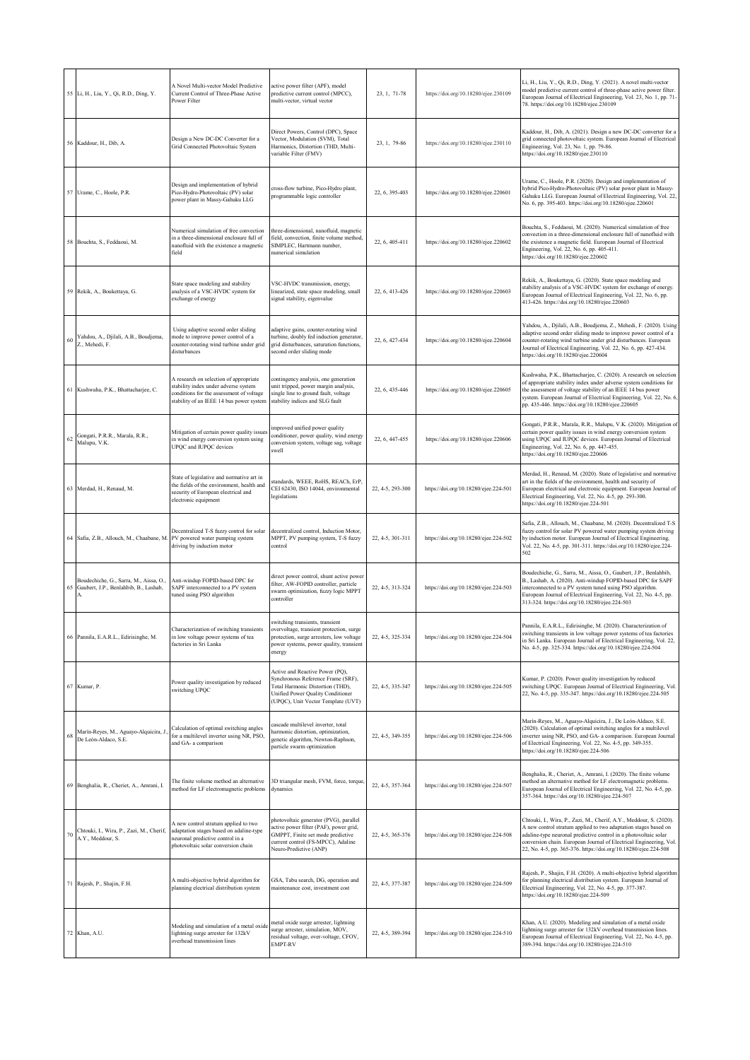|    | 55 Li, H., Liu, Y., Qi, R.D., Ding, Y.                                          | A Novel Multi-vector Model Predictive<br>Current Control of Three-Phase Active<br>Power Filter                                                                         | active power filter (APF), model<br>predictive current control (MPCC),<br>multi-vector, virtual vector                                                                                      | 23, 1, 71-78     | https://doi.org/10.18280/ejee.230109  | Li, H., Liu, Y., Qi, R.D., Ding, Y. (2021). A novel multi-vector<br>model predictive current control of three-phase active power filter.<br>European Journal of Electrical Engineering, Vol. 23, No. 1, pp. 71-<br>78. https://doi.org/10.18280/ejee.230109                                                                                        |
|----|---------------------------------------------------------------------------------|------------------------------------------------------------------------------------------------------------------------------------------------------------------------|---------------------------------------------------------------------------------------------------------------------------------------------------------------------------------------------|------------------|---------------------------------------|----------------------------------------------------------------------------------------------------------------------------------------------------------------------------------------------------------------------------------------------------------------------------------------------------------------------------------------------------|
|    | 56 Kaddour, H., Dib, A.                                                         | Design a New DC-DC Converter for a<br>Grid Connected Photovoltaic System                                                                                               | Direct Powers, Control (DPC), Space<br>Vector, Modulation (SVM), Total<br>Harmonics, Distortion (THD, Multi-<br>variable Filter (FMV)                                                       | 23, 1, 79-86     | https://doi.org/10.18280/ejee.230110  | Kaddour, H., Dib, A. (2021). Design a new DC-DC converter for a<br>grid connected photovoltaic system. European Journal of Electrical<br>Engineering, Vol. 23, No. 1, pp. 79-86.<br>https://doi.org/10.18280/ejee.230110                                                                                                                           |
|    | 57 Urame, C., Hoole, P.R.                                                       | Design and implementation of hybrid<br>Pico-Hydro-Photovoltaic (PV) solar<br>power plant in Massy-Gahuku LLG                                                           | cross-flow turbine, Pico-Hydro plant,<br>programmable logic controller                                                                                                                      | 22, 6, 395-403   | https://doi.org/10.18280/ejee.220601  | Urame, C., Hoole, P.R. (2020). Design and implementation of<br>hybrid Pico-Hydro-Photovoltaic (PV) solar power plant in Massy-<br>Gahuku LLG. European Journal of Electrical Engineering, Vol. 22,<br>No. 6, pp. 395-403. https://doi.org/10.18280/ejee.220601                                                                                     |
| 58 | Bouchta, S., Feddaoui, M.                                                       | Numerical simulation of free convection<br>in a three-dimensional enclosure full of<br>nanofluid with the existence a magnetic<br>field                                | three-dimensional, nanofluid, magnetic<br>field, convection, finite volume method,<br>SIMPLEC, Hartmann number,<br>numerical simulation                                                     | 22, 6, 405-411   | https://doi.org/10.18280/ejee.220602  | Bouchta, S., Feddaoui, M. (2020). Numerical simulation of free<br>convection in a three-dimensional enclosure full of nanofluid with<br>the existence a magnetic field. European Journal of Electrical<br>Engineering, Vol. 22, No. 6, pp. 405-411.<br>https://doi.org/10.18280/ejee.220602                                                        |
|    | 59 Rekik, A., Boukettaya, G.                                                    | State space modeling and stability<br>analysis of a VSC-HVDC system for<br>exchange of energy                                                                          | VSC-HVDC transmission, energy,<br>linearized, state space modeling, small<br>signal stability, eigenvalue                                                                                   | 22, 6, 413-426   | https://doi.org/10.18280/ejee.220603  | Rekik, A., Boukettaya, G. (2020). State space modeling and<br>stability analysis of a VSC-HVDC system for exchange of energy.<br>European Journal of Electrical Engineering, Vol. 22, No. 6, pp.<br>413-426. https://doi.org/10.18280/ejee.220603                                                                                                  |
| 60 | Yahdou, A., Djilali, A.B., Boudjema,<br>Z., Mehedi, F.                          | Using adaptive second order sliding<br>mode to improve power control of a<br>counter-rotating wind turbine under grid<br>disturbances                                  | adaptive gains, counter-rotating wind<br>turbine, doubly fed induction generator,<br>grid disturbances, saturation functions,<br>second order sliding mode                                  | 22, 6, 427-434   | https://doi.org/10.18280/ejee.220604  | Yahdou, A., Djilali, A.B., Boudjema, Z., Mehedi, F. (2020). Using<br>adaptive second order sliding mode to improve power control of a<br>counter-rotating wind turbine under grid disturbances. European<br>Journal of Electrical Engineering, Vol. 22, No. 6, pp. 427-434.<br>https://doi.org/10.18280/ejee.220604                                |
|    | 61 Kushwaha, P.K., Bhattacharjee, C.                                            | A research on selection of appropriate<br>stability index under adverse system<br>conditions for the assessment of voltage<br>stability of an IEEE 14 bus power system | contingency analysis, one generation<br>unit tripped, power margin analysis,<br>single line to ground fault, voltage<br>stability indices and SLG fault                                     | 22, 6, 435-446   | https://doi.org/10.18280/ejee.220605  | Kushwaha, P.K., Bhattacharjee, C. (2020). A research on selection<br>of appropriate stability index under adverse system conditions for<br>the assessment of voltage stability of an IEEE 14 bus power<br>system. European Journal of Electrical Engineering, Vol. 22, No. 6,<br>pp. 435-446. https://doi.org/10.18280/ejee.220605                 |
| 62 | Gongati, P.R.R., Marala, R.R.,<br>Malupu, V.K.                                  | Mitigation of certain power quality issues<br>in wind energy conversion system using<br>UPQC and IUPQC devices                                                         | improved unified power quality<br>onditioner, power quality, wind energy<br>onversion system, voltage sag, voltage<br>swell                                                                 | 22, 6, 447-455   | https://doi.org/10.18280/ejee.220606  | Gongati, P.R.R., Marala, R.R., Malupu, V.K. (2020). Mitigation of<br>certain power quality issues in wind energy conversion system<br>using UPQC and IUPQC devices. European Journal of Electrical<br>Engineering, Vol. 22, No. 6, pp. 447-455.<br>https://doi.org/10.18280/ejee.220606                                                            |
|    | 63 Merdad, H., Renaud, M.                                                       | State of legislative and normative art in<br>the fields of the environment, health and<br>security of European electrical and<br>electronic equipment                  | standards, WEEE, RoHS, REACh, ErP,<br>CEI 62430, ISO 14044, environmental<br>legislations                                                                                                   | 22, 4-5, 293-300 | https://doi.org/10.18280/ejee.224-501 | Merdad, H., Renaud, M. (2020). State of legislative and normative<br>art in the fields of the environment, health and security of<br>European electrical and electronic equipment. European Journal of<br>Electrical Engineering, Vol. 22, No. 4-5, pp. 293-300.<br>https://doi.org/10.18280/ejee.224-501                                          |
|    | 64 Safia, Z.B., Allouch, M., Chaabane, M                                        | Decentralized T-S fuzzy control for solar<br>PV powered water pumping system<br>driving by induction motor                                                             | decentralized control, Induction Motor,<br>MPPT, PV pumping system, T-S fuzzy<br>control                                                                                                    | 22, 4-5, 301-311 | https://doi.org/10.18280/ejee.224-502 | Safia, Z.B., Allouch, M., Chaabane, M. (2020). Decentralized T-S<br>fuzzy control for solar PV powered water pumping system driving<br>by induction motor. European Journal of Electrical Engineering,<br>Vol. 22, No. 4-5, pp. 301-311. https://doi.org/10.18280/ejee.224-<br>502                                                                 |
| 65 | Boudechiche, G., Sarra, M., Aissa, O.,<br>Gaubert, J.P., Benlahbib, B., Lashab, | Anti-windup FOPID-based DPC for<br>SAPF interconnected to a PV system<br>tuned using PSO algorithm                                                                     | direct power control, shunt active power<br>filter, AW-FOPID controller, particle<br>swarm optimization, fuzzy logic MPPT<br>controller                                                     | 22, 4-5, 313-324 | https://doi.org/10.18280/ejee.224-503 | Boudechiche, G., Sarra, M., Aissa, O., Gaubert, J.P., Benlahbib,<br>B., Lashab, A. (2020). Anti-windup FOPID-based DPC for SAPF<br>interconnected to a PV system tuned using PSO algorithm.<br>European Journal of Electrical Engineering, Vol. 22, No. 4-5, pp.<br>313-324. https://doi.org/10.18280/ejee.224-503                                 |
|    | 66 Pannila, E.A.R.L., Edirisinghe, M.                                           | Characterization of switching transients<br>in low voltage power systems of tea<br>factories in Sri Lanka                                                              | switching transients, transient<br>overvoltage, transient protection, surge<br>protection, surge arresters, low voltage<br>power systems, power quality, transient<br>energy                | 22, 4-5, 325-334 | https://doi.org/10.18280/ejee.224-504 | Pannila, E.A.R.L., Edirisinghe, M. (2020). Characterization of<br>vitching transients in low voltage power systems of tea factori<br>in Sri Lanka. European Journal of Electrical Engineering, Vol. 22,<br>No. 4-5, pp. 325-334. https://doi.org/10.18280/ejee.224-504                                                                             |
|    | 67 Kumar, P.                                                                    | Power quality investigation by reduced<br>switching UPQC                                                                                                               | Active and Reactive Power (PQ),<br>Synchronous Reference Frame (SRF),<br><b>Total Harmonic Distortion (THD),</b><br>Unified Power Quality Conditioner<br>(UPQC), Unit Vector Template (UVT) | 22, 4-5, 335-347 | https://doi.org/10.18280/ejee.224-505 | Kumar, P. (2020). Power quality investigation by reduced<br>switching UPQC. European Journal of Electrical Engineering, Vol.<br>22, No. 4-5, pp. 335-347. https://doi.org/10.18280/ejee.224-505                                                                                                                                                    |
| 68 | Marín-Reyes, M., Aguayo-Alquicira, J<br>De León-Aldaco, S.E.                    | Calculation of optimal switching angles<br>for a multilevel inverter using NR, PSO,<br>and GA- a comparison                                                            | cascade multilevel inverter, total<br>armonic distortion, optimization,<br>genetic algorithm, Newton-Raphson,<br>particle swarm optimization                                                | 22, 4-5, 349-355 | https://doi.org/10.18280/ejee.224-506 | Marín-Reyes, M., Aguayo-Alquicira, J., De León-Aldaco, S.E.<br>(2020). Calculation of optimal switching angles for a multilevel<br>inverter using NR, PSO, and GA- a comparison. European Journal<br>of Electrical Engineering, Vol. 22, No. 4-5, pp. 349-355.<br>https://doi.org/10.18280/ejee.224-506                                            |
| 69 | Benghalia, R., Cheriet, A., Amrani, I.                                          | The finite volume method an alternative<br>method for LF electromagnetic problems                                                                                      | BD triangular mesh, FVM, force, torque<br>dynamics                                                                                                                                          | 22, 4-5, 357-364 | https://doi.org/10.18280/ejee.224-507 | Benghalia, R., Cheriet, A., Amrani, I. (2020). The finite volume<br>method an alternative method for LF electromagnetic problems.<br>European Journal of Electrical Engineering, Vol. 22, No. 4-5, pp.<br>357-364. https://doi.org/10.18280/ejee.224-507                                                                                           |
|    | Chtouki, I., Wira, P., Zazi, M., Cherif,<br>A.Y., Meddour, S.                   | A new control stratum applied to two<br>adaptation stages based on adaline-type<br>neuronal predictive control in a<br>photovoltaic solar conversion chain             | photovoltaic generator (PVG), parallel<br>active power filter (PAF), power grid,<br>GMPPT, Finite set mode predictive<br>current control (FS-MPCC), Adaline<br>Neuro-Predictive (ANP)       | 22, 4-5, 365-376 | https://doi.org/10.18280/ejee.224-508 | Chtouki, I., Wira, P., Zazi, M., Cherif, A.Y., Meddour, S. (2020).<br>A new control stratum applied to two adaptation stages based on<br>adaline-type neuronal predictive control in a photovoltaic solar<br>conversion chain. European Journal of Electrical Engineering, Vol.<br>22, No. 4-5, pp. 365-376. https://doi.org/10.18280/ejee.224-508 |
|    | 71 Rajesh, P., Shajin, F.H.                                                     | A multi-objective hybrid algorithm for<br>planning electrical distribution system                                                                                      | GSA, Tabu search, DG, operation and<br>maintenance cost, investment cost                                                                                                                    | 22, 4-5, 377-387 | https://doi.org/10.18280/ejee.224-509 | Rajesh, P., Shajin, F.H. (2020). A multi-objective hybrid algorithm<br>for planning electrical distribution system. European Journal of<br>Electrical Engineering, Vol. 22, No. 4-5, pp. 377-387.<br>https://doi.org/10.18280/ejee.224-509                                                                                                         |
|    | 72 Khan, A.U.                                                                   | Modeling and simulation of a metal oxide<br>lightning surge arrester for 132kV<br>overhead transmission lines                                                          | metal oxide surge arrester, lightning<br>surge arrester, simulation, MOV,<br>residual voltage, over-voltage, CFOV,<br>EMPT-RV                                                               | 22, 4-5, 389-394 | https://doi.org/10.18280/ejee.224-510 | Khan, A.U. (2020). Modeling and simulation of a metal oxide<br>lightning surge arrester for 132kV overhead transmission lines.<br>European Journal of Electrical Engineering, Vol. 22, No. 4-5, pp.<br>389-394. https://doi.org/10.18280/ejee.224-510                                                                                              |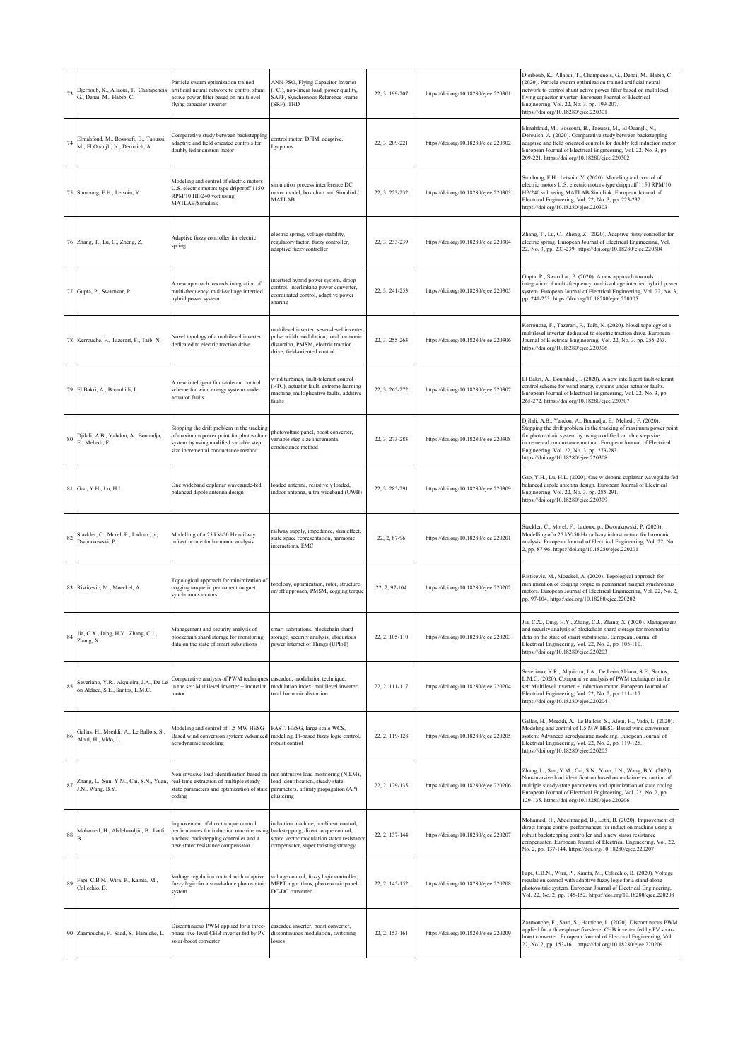| 73     | Djerboub, K., Allaoui, T., Champenois<br>G., Denai, M., Habib, C.         | Particle swarm optimization trained<br>artificial neural network to control shunt<br>active power filter based on multilevel<br>flying capacitor inverter                                            | ANN-PSO, Flying Capacitor Inverter<br>(FCI), non-linear load, power quality,<br>SAPF, Synchronous Reference Frame<br>(SRF), THD                              | 22, 3, 199-207 | https://doi.org/10.18280/ejee.220301 | Djerboub, K., Allaoui, T., Champenois, G., Denai, M., Habib, C.<br>(2020). Particle swarm optimization trained artificial neural<br>network to control shunt active power filter based on multilevel<br>flying capacitor inverter. European Journal of Electrical<br>Engineering, Vol. 22, No. 3, pp. 199-207.<br>https://doi.org/10.18280/ejee.220301 |
|--------|---------------------------------------------------------------------------|------------------------------------------------------------------------------------------------------------------------------------------------------------------------------------------------------|--------------------------------------------------------------------------------------------------------------------------------------------------------------|----------------|--------------------------------------|--------------------------------------------------------------------------------------------------------------------------------------------------------------------------------------------------------------------------------------------------------------------------------------------------------------------------------------------------------|
| 74     | Elmahfoud, M., Bossoufi, B., Taoussi,<br>M., El Ouanjli, N., Derouich, A. | Comparative study between backstepping<br>adaptive and field oriented controls for<br>doubly fed induction motor                                                                                     | control motor, DFIM, adaptive,<br>Lyapunov                                                                                                                   | 22, 3, 209-221 | https://doi.org/10.18280/ejee.220302 | Elmahfoud, M., Bossoufi, B., Taoussi, M., El Ouanjli, N.,<br>Derouich, A. (2020). Comparative study between backstepping<br>adaptive and field oriented controls for doubly fed induction motor.<br>European Journal of Electrical Engineering, Vol. 22, No. 3, pp.<br>209-221. https://doi.org/10.18280/ejee.220302                                   |
|        | 75 Sumbung, F.H., Letsoin, Y.                                             | Modeling and control of electric motors<br>U.S. electric motors type dripproff 1150<br>RPM/10 HP/240 volt using<br>MATLAB/Simulink                                                                   | simulation process interference DC<br>motor model, box chart and Simulink/<br><b>MATLAB</b>                                                                  | 22, 3, 223-232 | https://doi.org/10.18280/ejee.220303 | Sumbung, F.H., Letsoin, Y. (2020). Modeling and control of<br>electric motors U.S. electric motors type dripproff 1150 RPM/10<br>HP/240 volt using MATLAB/Simulink. European Journal of<br>Electrical Engineering, Vol. 22, No. 3, pp. 223-232.<br>https://doi.org/10.18280/ejee.220303                                                                |
|        | 76 Zhang, T., Lu, C., Zheng, Z.                                           | Adaptive fuzzy controller for electric<br>spring                                                                                                                                                     | electric spring, voltage stability,<br>regulatory factor, fuzzy controller,<br>adaptive fuzzy controller                                                     | 22, 3, 233-239 | https://doi.org/10.18280/ejee.220304 | Zhang, T., Lu, C., Zheng, Z. (2020). Adaptive fuzzy controller for<br>electric spring. European Journal of Electrical Engineering, Vol.<br>22, No. 3, pp. 233-239. https://doi.org/10.18280/ejee.220304                                                                                                                                                |
|        | 77 Gupta, P., Swarnkar, P.                                                | A new approach towards integration of<br>multi-frequency, multi-voltage intertied<br>hybrid power system                                                                                             | intertied hybrid power system, droop<br>control, interlinking power converter,<br>coordinated control, adaptive power<br>sharing                             | 22, 3, 241-253 | https://doi.org/10.18280/ejee.220305 | Gupta, P., Swarnkar, P. (2020). A new approach towards<br>integration of multi-frequency, multi-voltage intertied hybrid power<br>system. European Journal of Electrical Engineering, Vol. 22, No. 3,<br>pp. 241-253. https://doi.org/10.18280/ejee.220305                                                                                             |
|        | 78 Kerrouche, F., Tazerart, F., Taib, N.                                  | Novel topology of a multilevel inverter<br>dedicated to electric traction drive                                                                                                                      | multilevel inverter, seven-level inverter,<br>pulse width modulation, total harmonic<br>distortion. PMSM. electric traction<br>drive, field-oriented control | 22, 3, 255-263 | https://doi.org/10.18280/ejee.220306 | Kerrouche, F., Tazerart, F., Taib, N. (2020). Novel topology of a<br>multilevel inverter dedicated to electric traction drive. European<br>Journal of Electrical Engineering, Vol. 22, No. 3, pp. 255-263.<br>https://doi.org/10.18280/ejee.220306                                                                                                     |
|        | 79 El Bakri, A., Boumhidi, I.                                             | A new intelligent fault-tolerant control<br>scheme for wind energy systems under<br>actuator faults                                                                                                  | wind turbines, fault-tolerant control<br>(FTC), actuator fault, extreme learning<br>machine, multiplicative faults, additive<br>faults                       | 22, 3, 265-272 | https://doi.org/10.18280/ejee.220307 | El Bakri, A., Boumhidi, I. (2020). A new intelligent fault-tolerant<br>control scheme for wind energy systems under actuator faults.<br>European Journal of Electrical Engineering, Vol. 22, No. 3, pp.<br>265-272. https://doi.org/10.18280/ejee.220307                                                                                               |
|        | 80 Djilali, A.B., Yahdou, A., Bounadja, E., Mehedi, F.                    | Stopping the drift problem in the tracking<br>of maximum power point for photovoltaic<br>system by using modified variable step<br>size incremental conductance method                               | photovoltaic panel, boost converter,<br>variable step size incremental<br>conductance method                                                                 | 22, 3, 273-283 | https://doi.org/10.18280/ejee.220308 | Djilali, A.B., Yahdou, A., Bounadja, E., Mehedi, F. (2020).<br>Stopping the drift problem in the tracking of maximum power point<br>for photovoltaic system by using modified variable step size<br>ncremental conductance method. European Journal of Electrical<br>Engineering, Vol. 22, No. 3, pp. 273-283.<br>https://doi.org/10.18280/ejee.220308 |
|        | 81 Gao, Y.H., Lu, H.L.                                                    | One wideband coplanar waveguide-fed<br>balanced dipole antenna design                                                                                                                                | oaded antenna, resistively loaded,<br>indoor antenna, ultra-wideband (UWB)                                                                                   | 22, 3, 285-291 | https://doi.org/10.18280/ejee.220309 | Gao, Y.H., Lu, H.L. (2020). One wideband coplanar waveguide-fed<br>palanced dipole antenna design. European Journal of Electrical<br>Engineering, Vol. 22, No. 3, pp. 285-291.<br>https://doi.org/10.18280/ejee.220309                                                                                                                                 |
| 82     | Stackler, C., Morel, F., Ladoux, p.,<br>Dworakowski, P.                   | Modelling of a 25 kV-50 Hz railway<br>infrastructure for harmonic analysis                                                                                                                           | railway supply, impedance, skin effect,<br>state space representation, harmonic<br>interactions. EMC                                                         | 22, 2, 87-96   | https://doi.org/10.18280/ejee.220201 | Stackler, C., Morel, F., Ladoux, p., Dworakowski, P. (2020).<br>Modelling of a 25 kV-50 Hz railway infrastructure for harmonic<br>analysis. European Journal of Electrical Engineering, Vol. 22, No.<br>2, pp. 87-96. https://doi.org/10.18280/ejee.220201                                                                                             |
|        | 83 Risticevic, M., Moeckel, A.                                            | Topological approach for minimization of<br>cogging torque in permanent magnet<br>synchronous motors                                                                                                 | opology, optimization, rotor, structure,<br>on/off approach, PMSM, cogging torque                                                                            | 22, 2, 97-104  | https://doi.org/10.18280/ejee.220202 | Risticevic, M., Moeckel, A. (2020). Topological approach for<br>minimization of cogging torque in permanent magnet synchronous<br>motors. European Journal of Electrical Engineering, Vol. 22, No. 2,<br>pp. 97-104. https://doi.org/10.18280/ejee.220202                                                                                              |
| 84     | Jia, C.X., Ding, H.Y., Zhang, C.J.,<br>Zhang, X.                          | Management and security analysis of<br>blockchain shard storage for monitoring<br>data on the state of smart substations                                                                             | smart substations, blockchain shard<br>storage, security analysis, ubiquitous<br>power Internet of Things (UPIoT)                                            | 22, 2, 105-110 | https://doi.org/10.18280/ejee.220203 | Jia, C.X., Ding, H.Y., Zhang, C.J., Zhang, X. (2020). Management<br>and security analysis of blockchain shard storage for monitoring<br>data on the state of smart substations. European Journal of<br>Electrical Engineering, Vol. 22, No. 2, pp. 105-110.<br>https://doi.org/10.18280/ejee.220203                                                    |
| 85     | Severiano, Y.R., Alquicira, J.A., De L<br>ón Aldaco, S.E., Santos, L.M.C. | Comparative analysis of PWM techniques cascaded, modulation technique,<br>in the set: Multilevel inverter + induction modulation index, multilevel inverter,<br>motor                                | total harmonic distortion                                                                                                                                    | 22, 2, 111-117 | https://doi.org/10.18280/ejee.220204 | Severiano, Y.R., Alquicira, J.A., De León Aldaco, S.E., Santos,<br>L.M.C. (2020). Comparative analysis of PWM techniques in the<br>set: Multilevel inverter + induction motor. European Journal of<br>Electrical Engineering, Vol. 22, No. 2, pp. 111-117.<br>https://doi.org/10.18280/ejee.220204                                                     |
| 86     | Gallas, H., Mseddi, A., Le Ballois, S.<br>Aloui, H., Vido, L.             | Modeling and control of 1.5 MW HESG-<br>Based wind conversion system: Advanced<br>aerodynamic modeling                                                                                               | FAST, HESG, large-scale WCS,<br>modeling, PI-based fuzzy logic control,<br>robust control                                                                    | 22, 2, 119-128 | https://doi.org/10.18280/ejee.220205 | Gallas, H., Mseddi, A., Le Ballois, S., Aloui, H., Vido, L. (2020).<br>Modeling and control of 1.5 MW HESG-Based wind conversion<br>system: Advanced aerodynamic modeling. European Journal of<br>Electrical Engineering, Vol. 22, No. 2, pp. 119-128.<br>https://doi.org/10.18280/ejee.220205                                                         |
| $87\,$ | Zhang, L., Sun, Y.M., Cai, S.N., Yuan<br>J.N., Wang, B.Y.                 | Non-invasive load identification based on<br>real-time extraction of multiple steady-<br>state parameters and optimization of state<br>coding                                                        | non-intrusive load monitoring (NILM),<br>load identification, steady-state<br>parameters, affinity propagation (AP)<br>clustering                            | 22, 2, 129-135 | https://doi.org/10.18280/ejee.220206 | Zhang, L., Sun, Y.M., Cai, S.N., Yuan, J.N., Wang, B.Y. (2020).<br>Non-invasive load identification based on real-time extraction of<br>multiple steady-state parameters and optimization of state coding.<br>European Journal of Electrical Engineering, Vol. 22, No. 2, pp.<br>129-135. https://doi.org/10.18280/ejee.220206                         |
| 88     | Mohamed, H., Abdelmadjid, B., Lotfi,                                      | Improvement of direct torque control<br>performances for induction machine using backstepping, direct torque control,<br>a robust backstepping controller and a<br>new stator resistance compensator | induction machine, nonlinear control,<br>space vector modulation stator resistance<br>compensator, super twisting strategy                                   | 22, 2, 137-144 | https://doi.org/10.18280/ejee.220207 | Mohamed, H., Abdelmadjid, B., Lotfi, B. (2020). Improvement of<br>direct torque control performances for induction machine using a<br>obust backstepping controller and a new stator resistance<br>compensator. European Journal of Electrical Engineering, Vol. 22,<br>No. 2, pp. 137-144. https://doi.org/10.18280/ejee.220207                       |
|        | 89 Fapi, C.B.N., Wira, P., Kamta, M., Colicchio, B.                       | Voltage regulation control with adaptive<br>fuzzy logic for a stand-alone photovoltaic<br>system                                                                                                     | voltage control, fuzzy logic controller,<br>MPPT algorithms, photovoltaic panel,<br>DC-DC converter                                                          | 22, 2, 145-152 | https://doi.org/10.18280/ejee.220208 | Fapi, C.B.N., Wira, P., Kamta, M., Colicchio, B. (2020). Voltage<br>regulation control with adaptive fuzzy logic for a stand-alone<br>photovoltaic system. European Journal of Electrical Engineering,<br>Vol. 22, No. 2, pp. 145-152. https://doi.org/10.18280/ejee.220208                                                                            |
|        | 90 Zaamouche, F., Saad, S., Hamiche, L.                                   | Discontinuous PWM applied for a three-<br>phase five-level CHB inverter fed by PV<br>solar-boost converter                                                                                           | cascaded inverter, boost converter,<br>discontinuous modulation, switching<br>osses                                                                          | 22, 2, 153-161 | https://doi.org/10.18280/ejee.220209 | Zaamouche, F., Saad, S., Hamiche, L. (2020). Discontinuous PWM<br>applied for a three-phase five-level CHB inverter fed by PV solar-<br>boost converter. European Journal of Electrical Engineering, Vol.<br>22, No. 2, pp. 153-161. https://doi.org/10.18280/ejee.220209                                                                              |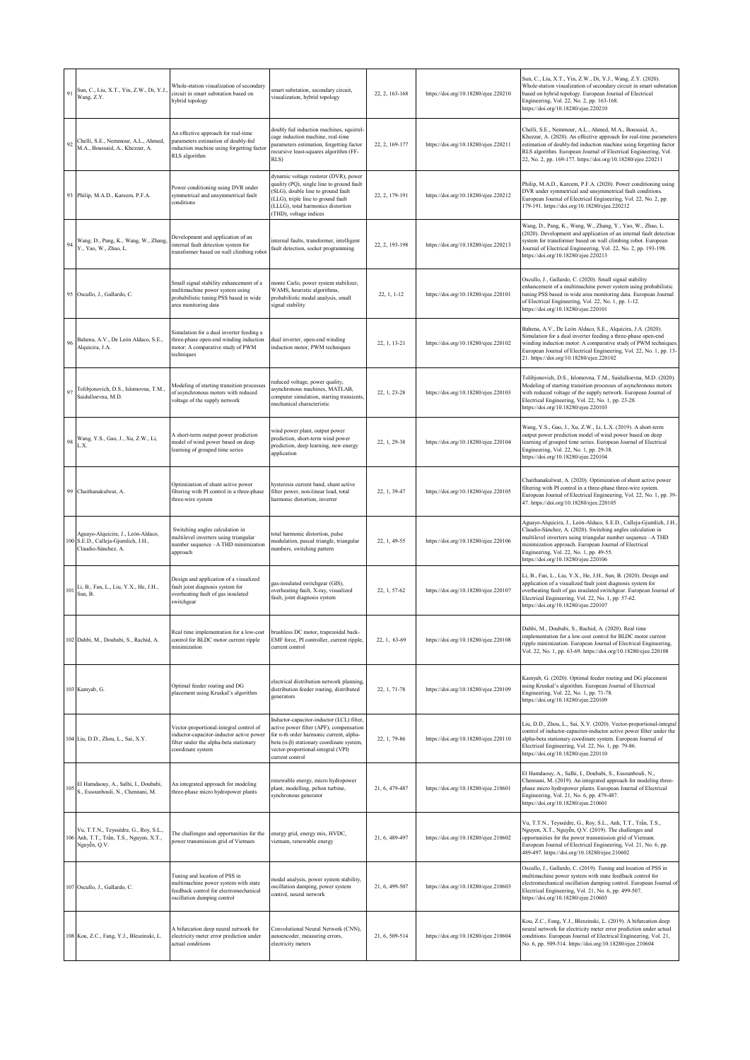| 91                   | Sun, C., Liu, X.T., Yin, Z.W., Di, Y.J.<br>Wang, Z.Y.                                            | Whole-station visualization of secondary<br>circuit in smart substation based on<br>hybrid topology                                                | mart substation, secondary circuit,<br>visualization, hybrid topology                                                                                                                                                                           | 22, 2, 163-168 | https://doi.org/10.18280/ejee.220210 | Sun, C., Liu, X.T., Yin, Z.W., Di, Y.J., Wang, Z.Y. (2020).<br>Whole-station visualization of secondary circuit in smart substation<br>based on hybrid topology. European Journal of Electrical<br>Engineering, Vol. 22, No. 2, pp. 163-168.<br>https://doi.org/10.18280/ejee.220210                                                            |
|----------------------|--------------------------------------------------------------------------------------------------|----------------------------------------------------------------------------------------------------------------------------------------------------|-------------------------------------------------------------------------------------------------------------------------------------------------------------------------------------------------------------------------------------------------|----------------|--------------------------------------|-------------------------------------------------------------------------------------------------------------------------------------------------------------------------------------------------------------------------------------------------------------------------------------------------------------------------------------------------|
| 92                   | Chelli, S.E., Nemmour, A.L., Ahmed,<br>M.A., Boussaid, A., Khezzar, A.                           | An effective approach for real-time<br>parameters estimation of doubly-fed<br>induction machine using forgetting factor<br>RLS algorithm           | doubly fed induction machines, squirrel-<br>cage induction machine, real-time<br>parameters estimation, forgetting factor<br>recursive least-squares algorithm (FF-<br>RLS)                                                                     | 22, 2, 169-177 | https://doi.org/10.18280/ejee.220211 | Chelli, S.E., Nemmour, A.L., Ahmed, M.A., Boussaid, A.,<br>Khezzar, A. (2020). An effective approach for real-time parameters<br>estimation of doubly-fed induction machine using forgetting factor<br>RLS algorithm. European Journal of Electrical Engineering, Vol.<br>22, No. 2, pp. 169-177. https://doi.org/10.18280/ejee.220211          |
|                      | 93 Philip, M.A.D., Kareem, P.F.A.                                                                | Power conditioning using DVR under<br>symmetrical and unsymmetrical fault<br>conditions                                                            | dynamic voltage restorer (DVR), power<br>quality (PQ), single line to ground fault<br>(SLG), double line to ground fault<br>(LLG), triple line to ground fault<br>(LLLG), total harmonics distortion<br>(THD), voltage indices                  | 22.2.179-191   | https://doi.org/10.18280/ejee.220212 | Philip, M.A.D., Kareem, P.F.A. (2020). Power conditioning using<br>DVR under symmetrical and unsymmetrical fault conditions.<br>European Journal of Electrical Engineering, Vol. 22, No. 2, pp.<br>179-191. https://doi.org/10.18280/ejee.220212                                                                                                |
| 94                   | Wang, D., Pang, K., Wang, W., Zhang<br>Y., Yao, W., Zhao, L.                                     | Development and application of an<br>internal fault detection system for<br>transformer based on wall climbing robot                               | internal faults, transformer, intelligent<br>fault detection, socket programming                                                                                                                                                                | 22, 2, 193-198 | https://doi.org/10.18280/ejee.220213 | Wang, D., Pang, K., Wang, W., Zhang, Y., Yao, W., Zhao, L.<br>(2020). Development and application of an internal fault detection<br>system for transformer based on wall climbing robot. European<br>Journal of Electrical Engineering, Vol. 22, No. 2, pp. 193-198.<br>https://doi.org/10.18280/ejee.220213                                    |
| 95                   | Oscullo, J., Gallardo, C.                                                                        | Small signal stability enhancement of a<br>multimachine power system using<br>probabilistic tuning PSS based in wide<br>area monitoring data       | monte Carlo, power system stabilizer,<br>WAMS, heuristic algorithms,<br>probabilistic modal analysis, small<br>signal stability                                                                                                                 | 22, 1, 1-12    | https://doi.org/10.18280/ejee.220101 | Oscullo, J., Gallardo, C. (2020). Small signal stability<br>enhancement of a multimachine power system using probabilistic<br>tuning PSS based in wide area monitoring data. European Journal<br>of Electrical Engineering, Vol. 22, No. 1, pp. 1-12.<br>https://doi.org/10.18280/ejee.220101                                                   |
|                      | Bahena, A.V., De León Aldaco, S.E.,<br>Alquicira, J.A.                                           | Simulation for a dual inverter feeding a<br>three-phase open-end winding induction<br>motor: A comparative study of PWM<br>techniques              | dual inverter, open-end winding<br>induction motor, PWM techniques                                                                                                                                                                              | 22, 1, 13-21   | https://doi.org/10.18280/ejee.220102 | Bahena, A.V., De León Aldaco, S.E., Alquicira, J.A. (2020).<br>Simulation for a dual inverter feeding a three-phase open-end<br>winding induction motor: A comparative study of PWM techniques.<br>European Journal of Electrical Engineering, Vol. 22, No. 1, pp. 13-<br>21. https://doi.org/10.18280/ejee.220102                              |
| $\mathbf{9}^{\circ}$ | Tolibjonovich, D.S., Islomovna, T.M.,<br>Saidulloevna, M.D.                                      | Modeling of starting transition processes<br>of asynchronous motors with reduced<br>voltage of the supply network                                  | educed voltage, power quality,<br>synchronous machines, MATLAB,<br>computer simulation, starting transients,<br>mechanical characteristic                                                                                                       | 22, 1, 23-28   | https://doi.org/10.18280/ejee.220103 | Tolibjonovich, D.S., Islomovna, T.M., Saidulloevna, M.D. (2020).<br>Modeling of starting transition processes of asynchronous motors<br>with reduced voltage of the supply network. European Journal of<br>Electrical Engineering, Vol. 22, No. 1, pp. 23-28.<br>https://doi.org/10.18280/ejee.220103                                           |
| 98                   | Wang, Y.S., Gao, J., Xu, Z.W., Li,<br>L.X.                                                       | A short-term output power prediction<br>model of wind power based on deep<br>learning of grouped time series                                       | wind power plant, output power<br>prediction, short-term wind power<br>prediction, deep learning, new energy<br>application                                                                                                                     | 22, 1, 29-38   | https://doi.org/10.18280/ejee.220104 | Wang, Y.S., Gao, J., Xu, Z.W., Li, L.X. (2019). A short-term<br>output power prediction model of wind power based on deep<br>learning of grouped time series. European Journal of Electrical<br>Engineering, Vol. 22, No. 1, pp. 29-38.<br>https://doi.org/10.18280/ejee.220104                                                                 |
|                      | Chaithanakulwat, A.                                                                              | Optimization of shunt active power<br>filtering with PI control in a three-phase<br>three-wire system                                              | hysteresis current band, shunt active<br>filter power, non-linear load, total<br>harmonic distortion, inverter                                                                                                                                  | 22, 1, 39-47   | https://doi.org/10.18280/ejee.220105 | Chaithanakulwat, A. (2020). Optimization of shunt active power<br>filtering with PI control in a three-phase three-wire system.<br>European Journal of Electrical Engineering, Vol. 22, No. 1, pp. 39-<br>47. https://doi.org/10.18280/ejee.220105                                                                                              |
|                      | Aguayo-Alquicira, J., León-Aldaco,<br>100 S.E.D., Calleja-Gjumlich, J.H.,<br>Claudio-Sánchez, A. | Switching angles calculation in<br>multilevel inverters using triangular<br>number sequence -- A THD minimization<br>approach                      | otal harmonic distortion, pulse<br>nodulation, pascal triangle, triangular<br>umbers, switching pattern                                                                                                                                         | 22, 1, 49-55   | https://doi.org/10.18280/ejee.220106 | Aguayo-Alquicira, J., León-Aldaco, S.E.D., Calleja-Gjumlich, J.H.,<br>Claudio-Sánchez, A. (2020). Switching angles calculation in<br>multilevel inverters using triangular number sequence -- A THD<br>minimization approach. European Journal of Electrical<br>Engineering, Vol. 22, No. 1, pp. 49-55.<br>https://doi.org/10.18280/ejee.220106 |
| $101\,$              | Li, B., Fan, L., Liu, Y.X., He, J.H.,<br>Sun, B.                                                 | Design and application of a visualized<br>fault joint diagnosis system for<br>overheating fault of gas insulated<br>switchgear                     | gas-insulated switchgear (GIS),<br>overheating fault, X-ray, visualized<br>fault, joint diagnosis system                                                                                                                                        | 22, 1, 57-62   | https://doi.org/10.18280/ejee.220107 | Li, B., Fan, L., Liu, Y.X., He, J.H., Sun, B. (2020). Design and<br>application of a visualized fault joint diagnosis system for<br>overheating fault of gas insulated switchgear. European Journal of<br>Electrical Engineering, Vol. 22, No. 1, pp. 57-62.<br>https://doi.org/10.18280/ejee.220107                                            |
|                      | 102 Dahbi, M., Doubabi, S., Rachid, A.                                                           | ceal time implementation for a low-cost<br>control for BLDC motor current ripple<br>minimization                                                   | orusniess DC motor, trapezoidai back-<br>EMF force, PI controller, current ripple,<br>current control                                                                                                                                           | 22, 1, 63-69   | https://doi.org/10.18280/ejee.220108 | Dahbi, M., Doubabi, S., Rachid, A. (2020). Real time<br>implementation for a low-cost control for BLDC motor current<br>ripple minimization. European Journal of Electrical Engineering,<br>Vol. 22, No. 1, pp. 63-69. https://doi.org/10.18280/ejee.220108                                                                                     |
|                      | 103 Kamyab, G.                                                                                   | Optimal feeder routing and DG<br>placement using Kruskal's algorithm                                                                               | electrical distribution network planning,<br>distribution feeder routing, distributed<br>generators                                                                                                                                             | 22, 1, 71-78   | https://doi.org/10.18280/ejee.220109 | Kamyab, G. (2020). Optimal feeder routing and DG placement<br>using Kruskal's algorithm. European Journal of Electrical<br>Engineering, Vol. 22, No. 1, pp. 71-78.<br>https://doi.org/10.18280/ejee.220109                                                                                                                                      |
|                      | 104 Liu, D.D., Zhou, L., Sai, X.Y.                                                               | Vector-proportional-integral control of<br>inductor-capacitor-inductor active power<br>filter under the alpha-beta stationary<br>coordinate system | Inductor-capacitor-inductor (LCL) filter,<br>active power filter (APF), compensation<br>for n-th order harmonic current, alpha-<br>beta $(\alpha-\beta)$ stationary coordinate system,<br>vector-proportional-integral (VPI)<br>current control | 22, 1, 79-86   | https://doi.org/10.18280/ejee.220110 | Liu, D.D., Zhou, L., Sai, X.Y. (2020). Vector-proportional-integral<br>control of inductor-capacitor-inductor active power filter under the<br>alpha-beta stationary coordinate system. European Journal of<br>Electrical Engineering, Vol. 22, No. 1, pp. 79-86.<br>https://doi.org/10.18280/ejee.220110                                       |
|                      | El Hamdaouy, A., Salhi, I., Doubabi,<br>S., Essounbouli, N., Chennani, M.                        | An integrated approach for modeling<br>three-phase micro hydropower plants                                                                         | renewable energy, micro hydropower<br>plant, modelling, pelton turbine,<br>synchronous generator                                                                                                                                                | 21, 6, 479-487 | https://doi.org/10.18280/ejee.210601 | El Hamdaouy, A., Salhi, I., Doubabi, S., Essounbouli, N.,<br>Chennani, M. (2019). An integrated approach for modeling three-<br>phase micro hydropower plants. European Journal of Electrical<br>Engineering, Vol. 21, No. 6, pp. 479-487.<br>https://doi.org/10.18280/ejee.210601                                                              |
| 106                  | Vu, T.T.N., Teyssèdre, G., Roy, S.L.,<br>Anh, T.T., Trần, T.S., Nguyen, X.T.,<br>Nguyễn, Q.V.    | The challenges and opportunities for the<br>power transmission grid of Vietnam                                                                     | energy grid, energy mix, HVDC,<br>vietnam, renewable energy                                                                                                                                                                                     | 21, 6, 489-497 | https://doi.org/10.18280/ejee.210602 | Vu, T.T.N., Teyssèdre, G., Roy, S.L., Anh, T.T., Trần, T.S.,<br>Nguyen, X.T., Nguyễn, Q.V. (2019). The challenges and<br>opportunities for the power transmission grid of Vietnam.<br>European Journal of Electrical Engineering, Vol. 21, No. 6, pp.<br>489-497. https://doi.org/10.18280/ejee.210602                                          |
|                      | 107 Oscullo, J., Gallardo, C.                                                                    | Tuning and location of PSS in<br>multimachine power system with state<br>feedback control for electromechanical<br>oscillation damping control     | modal analysis, power system stability,<br>oscillation damping, power system<br>control, neural network                                                                                                                                         | 21, 6, 499-507 | https://doi.org/10.18280/ejee.210603 | Oscullo, J., Gallardo, C. (2019). Tuning and location of PSS in<br>multimachine power system with state feedback control for<br>electromechanical oscillation damping control. European Journal of<br>Electrical Engineering, Vol. 21, No. 6, pp. 499-507.<br>https://doi.org/10.18280/ejee.210603                                              |
|                      | 108 Kou, Z.C., Fang, Y.J., Bleszinski, L.                                                        | A bifurcation deep neural network for<br>electricity meter error prediction under<br>actual conditions                                             | Convolutional Neural Network (CNN),<br>autoencoder, measuring errors,<br>electricity meters                                                                                                                                                     | 21, 6, 509-514 | https://doi.org/10.18280/ejee.210604 | Kou, Z.C., Fang, Y.J., Bleszinski, L. (2019). A bifurcation deep<br>neural network for electricity meter error prediction under actual<br>conditions. European Journal of Electrical Engineering, Vol. 21,<br>No. 6, pp. 509-514. https://doi.org/10.18280/ejee.210604                                                                          |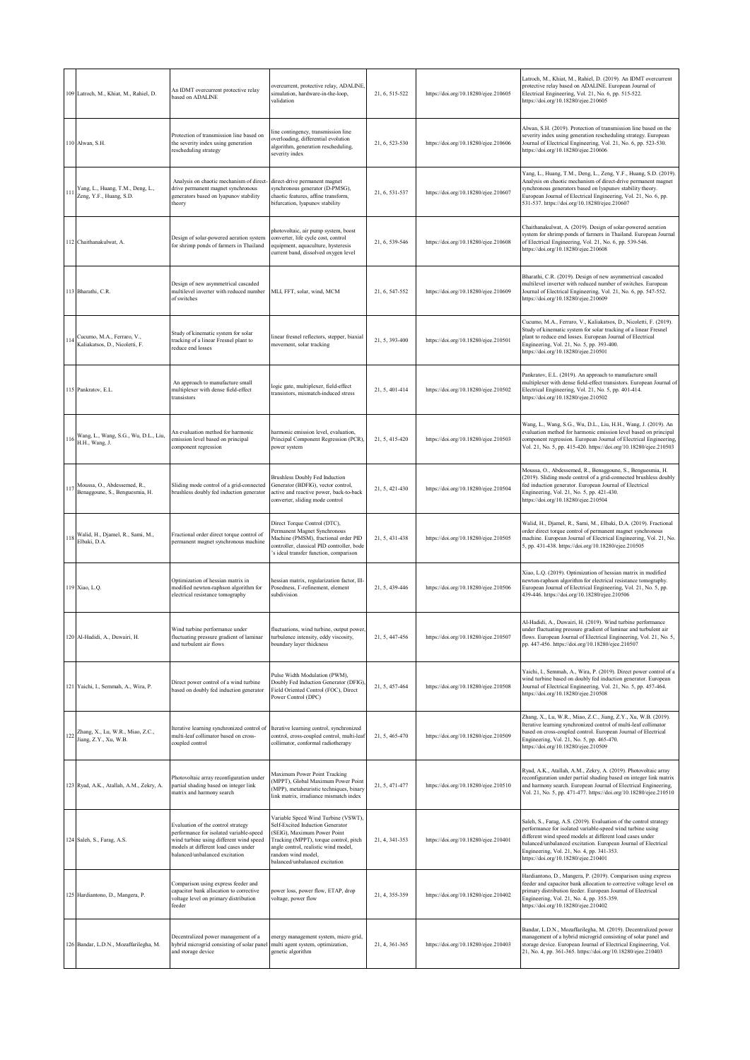|     | 109 Latroch, M., Khiat, M., Rahiel, D.                                                                                                              | An IDMT overcurrent protective relay<br>based on ADALINE                                                                                                                                           | overcurrent, protective relay, ADALINE,<br>simulation, hardware-in-the-loop,<br>validation                                                                                                                                                       | 21, 6, 515-522 | https://doi.org/10.18280/ejee.210605 | Latroch, M., Khiat, M., Rahiel, D. (2019). An IDMT overcurrent<br>protective relay based on ADALINE. European Journal of<br>Electrical Engineering, Vol. 21, No. 6, pp. 515-522.<br>https://doi.org/10.18280/ejee.210605                                                                                                                            |
|-----|-----------------------------------------------------------------------------------------------------------------------------------------------------|----------------------------------------------------------------------------------------------------------------------------------------------------------------------------------------------------|--------------------------------------------------------------------------------------------------------------------------------------------------------------------------------------------------------------------------------------------------|----------------|--------------------------------------|-----------------------------------------------------------------------------------------------------------------------------------------------------------------------------------------------------------------------------------------------------------------------------------------------------------------------------------------------------|
|     | 110 Alwan, S.H.                                                                                                                                     | Protection of transmission line based on<br>the severity index using generation<br>rescheduling strategy                                                                                           | ine contingency, transmission line<br>overloading, differential evolution<br>algorithm, generation rescheduling,<br>severity index                                                                                                               | 21, 6, 523-530 | https://doi.org/10.18280/ejee.210606 | Alwan, S.H. (2019). Protection of transmission line based on the<br>severity index using generation rescheduling strategy. European<br>Journal of Electrical Engineering, Vol. 21, No. 6, pp. 523-530.<br>https://doi.org/10.18280/ejee.210606                                                                                                      |
| 111 | Yang, L., Huang, T.M., Deng, L.,<br>Zeng, Y.F., Huang, S.D.                                                                                         | Analysis on chaotic mechanism of direct-<br>drive permanent magnet synchronous<br>generators based on lyapunov stability<br>theory                                                                 | direct-drive permanent magnet<br>synchronous generator (D-PMSG),<br>chaotic features, affine transform,<br>bifurcation, lyapunov stability                                                                                                       | 21, 6, 531-537 | https://doi.org/10.18280/ejee.210607 | Yang, L., Huang, T.M., Deng, L., Zeng, Y.F., Huang, S.D. (2019).<br>Analysis on chaotic mechanism of direct-drive permanent magnet<br>synchronous generators based on lyapunov stability theory.<br>European Journal of Electrical Engineering, Vol. 21, No. 6, pp.<br>531-537. https://doi.org/10.18280/ejee.210607                                |
|     | 112 Chaithanakulwat, A.                                                                                                                             | Design of solar-powered aeration system<br>for shrimp ponds of farmers in Thailand                                                                                                                 | photovoltaic, air pump system, boost<br>converter, life cycle cost, control<br>equipment, aquaculture, hysteresis<br>current band, dissolved oxygen level                                                                                        | 21, 6, 539-546 | https://doi.org/10.18280/ejee.210608 | Chaithanakulwat, A. (2019). Design of solar-powered aeration<br>system for shrimp ponds of farmers in Thailand. European Journal<br>of Electrical Engineering, Vol. 21, No. 6, pp. 539-546.<br>https://doi.org/10.18280/ejee.210608                                                                                                                 |
|     | 113 Bharathi, C.R.                                                                                                                                  | Design of new asymmetrical cascaded<br>multilevel inverter with reduced number<br>of switches                                                                                                      | MLI, FFT, solar, wind, MCM                                                                                                                                                                                                                       | 21, 6, 547-552 | https://doi.org/10.18280/ejee.210609 | Bharathi, C.R. (2019). Design of new asymmetrical cascaded<br>multilevel inverter with reduced number of switches. European<br>Journal of Electrical Engineering, Vol. 21, No. 6, pp. 547-552.<br>https://doi.org/10.18280/ejee.210609                                                                                                              |
|     | Cucumo, M.A., Ferraro, V.,<br>Kaliakatsos, D., Nicoletti, F.                                                                                        | Study of kinematic system for solar<br>tracking of a linear Fresnel plant to<br>reduce end losses                                                                                                  | linear fresnel reflectors, stepper, biaxial<br>movement, solar tracking                                                                                                                                                                          | 21, 5, 393-400 | https://doi.org/10.18280/ejee.210501 | Cucumo, M.A., Ferraro, V., Kaliakatsos, D., Nicoletti, F. (2019).<br>Study of kinematic system for solar tracking of a linear Fresnel<br>plant to reduce end losses. European Journal of Electrical<br>Engineering, Vol. 21, No. 5, pp. 393-400.<br>https://doi.org/10.18280/ejee.210501                                                            |
|     | 115 Pankratov, E.L.                                                                                                                                 | An approach to manufacture small<br>multiplexer with dense field-effect<br>transistors                                                                                                             | logic gate, multiplexer, field-effect<br>transistors, mismatch-induced stress                                                                                                                                                                    | 21, 5, 401-414 | https://doi.org/10.18280/ejee.210502 | Pankratov, E.L. (2019). An approach to manufacture small<br>multiplexer with dense field-effect transistors. European Journal of<br>Electrical Engineering, Vol. 21, No. 5, pp. 401-414.<br>https://doi.org/10.18280/ejee.210502                                                                                                                    |
|     | Wang, L., Wang, S.G., Wu, D.L., Liu,<br>$116$ $\frac{116}{11}$ $\frac{116}{11}$ $\frac{116}{11}$ $\frac{116}{11}$ $\frac{116}{11}$ $\frac{116}{11}$ | An evaluation method for harmonic<br>emission level based on principal<br>component regression                                                                                                     | harmonic emission level, evaluation,<br>Principal Component Regression (PCR),<br>power system                                                                                                                                                    | 21, 5, 415-420 | https://doi.org/10.18280/ejee.210503 | Wang, L., Wang, S.G., Wu, D.L., Liu, H.H., Wang, J. (2019). An<br>evaluation method for harmonic emission level based on principal<br>component regression. European Journal of Electrical Engineering,<br>Vol. 21, No. 5, pp. 415-420. https://doi.org/10.18280/ejee.210503                                                                        |
| 117 | Moussa, O., Abdessemed, R.,<br>Benaggoune, S., Benguesmia, H.                                                                                       | Sliding mode control of a grid-connected<br>brushless doubly fed induction generator                                                                                                               | <b>Brushless Doubly Fed Induction</b><br>Generator (BDFIG), vector control,<br>active and reactive power, back-to-back<br>converter, sliding mode control                                                                                        | 21, 5, 421-430 | https://doi.org/10.18280/ejee.210504 | Moussa, O., Abdessemed, R., Benaggoune, S., Benguesmia, H.<br>2019). Sliding mode control of a grid-connected brushless doubly<br>fed induction generator. European Journal of Electrical<br>Engineering, Vol. 21, No. 5, pp. 421-430.<br>10504/https://doi.org/10.18280/ejee.210504                                                                |
|     | Walid, H., Djamel, R., Sami, M.,<br>$118$ Elbaki, D.A.                                                                                              | Fractional order direct torque control of<br>permanent magnet synchronous machine                                                                                                                  | Direct Torque Control (DTC),<br>Permanent Magnet Synchronous<br>Machine (PMSM), fractional order PID<br>controller, classical PID controller, bode<br>'s ideal transfer function, comparison                                                     | 21, 5, 431-438 | https://doi.org/10.18280/ejee.210505 | Walid, H., Djamel, R., Sami, M., Elbaki, D.A. (2019). Fractional<br>order direct torque control of permanent magnet synchronous<br>machine. European Journal of Electrical Engineering, Vol. 21, No.<br>5, pp. 431-438. https://doi.org/10.18280/ejee.210505                                                                                        |
|     | 119 Xiao, L.Q.                                                                                                                                      | Optimization of hessian matrix in<br>modified newton-raphson algorithm for<br>electrical resistance tomography                                                                                     | hessian matrix, regularization factor, Ill-<br>Posedness, <i>T</i> -refinement, element<br>subdivision                                                                                                                                           | 21, 5, 439-446 | https://doi.org/10.18280/ejee.210506 | Xiao, L.Q. (2019). Optimization of hessian matrix in modified<br>newton-raphson algorithm for electrical resistance tomography.<br>European Journal of Electrical Engineering, Vol. 21, No. 5, pp.<br>439-446. https://doi.org/10.18280/ejee.210506                                                                                                 |
|     | 120 Al-Hadidi, A., Duwairi, H.                                                                                                                      | Wind turbine performance under<br>fluctuating pressure gradient of laminar<br>and turbulent air flows                                                                                              | fluctuations, wind turbine, output power,<br>turbulence intensity, eddy viscosity,<br>boundary layer thickness                                                                                                                                   | 21, 5, 447-456 | https://doi.org/10.18280/ejee.210507 | Al-Hadidi, A., Duwairi, H. (2019). Wind turbine performance<br>under fluctuating pressure gradient of laminar and turbulent air<br>flows. European Journal of Electrical Engineering, Vol. 21, No. 5,<br>pp. 447-456. https://doi.org/10.18280/ejee.210507                                                                                          |
|     | 121 Yaichi, I., Semmah, A., Wira, P.                                                                                                                | Direct power control of a wind turbine<br>based on doubly fed induction generator                                                                                                                  | Pulse Width Modulation (PWM),<br>Doubly Fed Induction Generator (DFIG).<br>Field Oriented Control (FOC), Direct<br>Power Control (DPC)                                                                                                           | 21, 5, 457-464 | https://doi.org/10.18280/ejee.210508 | Yaichi, I., Semmah, A., Wira, P. (2019). Direct power control of a<br>wind turbine based on doubly fed induction generator. European<br>Journal of Electrical Engineering, Vol. 21, No. 5, pp. 457-464.<br>https://doi.org/10.18280/ejee.210508                                                                                                     |
| 122 | Zhang, X., Lu, W.R., Miao, Z.C.,<br>Jiang, Z.Y., Xu, W.B.                                                                                           | Iterative learning synchronized control of<br>multi-leaf collimator based on cross-<br>coupled control                                                                                             | Iterative learning control, synchronized<br>control, cross-coupled control, multi-leaf<br>collimator, conformal radiotherapy                                                                                                                     | 21, 5, 465-470 | https://doi.org/10.18280/ejee.210509 | Zhang, X., Lu, W.R., Miao, Z.C., Jiang, Z.Y., Xu, W.B. (2019).<br>Iterative learning synchronized control of multi-leaf collimator<br>based on cross-coupled control. European Journal of Electrical<br>Engineering, Vol. 21, No. 5, pp. 465-470.<br>https://doi.org/10.18280/ejee.210509                                                           |
|     | 123 Ryad, A.K., Atallah, A.M., Zekry, A.                                                                                                            | Photovoltaic array reconfiguration under<br>partial shading based on integer link<br>matrix and harmony search                                                                                     | Maximum Power Point Tracking<br>(MPPT), Global Maximum Power Point<br>(MPP), metaheuristic techniques, binary<br>link matrix, irradiance mismatch index                                                                                          | 21, 5, 471-477 | https://doi.org/10.18280/ejee.210510 | Ryad, A.K., Atallah, A.M., Zekry, A. (2019). Photovoltaic array<br>reconfiguration under partial shading based on integer link matrix<br>and harmony search. European Journal of Electrical Engineering,<br>Vol. 21, No. 5, pp. 471-477. https://doi.org/10.18280/ejee.210510                                                                       |
|     | 124 Saleh, S., Farag, A.S.                                                                                                                          | Evaluation of the control strategy<br>performance for isolated variable-speed<br>wind turbine using different wind speed<br>models at different load cases under<br>balanced/unbalanced excitation | Variable Speed Wind Turbine (VSWT),<br>Self-Excited Induction Generator<br>(SEIG), Maximum Power Point<br>Tracking (MPPT), torque control, pitch<br>angle control, realistic wind model,<br>random wind model,<br>balanced/unbalanced excitation | 21, 4, 341-353 | https://doi.org/10.18280/ejee.210401 | Saleh, S., Farag, A.S. (2019). Evaluation of the control strategy<br>performance for isolated variable-speed wind turbine using<br>different wind speed models at different load cases under<br>balanced/unbalanced excitation. European Journal of Electrical<br>Engineering, Vol. 21, No. 4, pp. 341-353.<br>https://doi.org/10.18280/ejee.210401 |
|     | 125 Hardiantono, D., Mangera, P.                                                                                                                    | Comparison using express feeder and<br>capacitor bank allocation to corrective<br>voltage level on primary distribution<br>feeder                                                                  | power loss, power flow, ETAP, drop<br>voltage, power flow                                                                                                                                                                                        | 21, 4, 355-359 | https://doi.org/10.18280/ejee.210402 | Hardiantono, D., Mangera, P. (2019). Comparison using express<br>feeder and capacitor bank allocation to corrective voltage level on<br>primary distribution feeder. European Journal of Electrical<br>Engineering, Vol. 21, No. 4, pp. 355-359.<br>https://doi.org/10.18280/ejee.210402                                                            |
|     | 126 Bandar, L.D.N., Mozaffarilegha, M.                                                                                                              | Decentralized power management of a<br>hybrid microgrid consisting of solar panel<br>and storage device                                                                                            | energy management system, micro grid,<br>multi agent system, optimization,<br>genetic algorithm                                                                                                                                                  | 21, 4, 361-365 | https://doi.org/10.18280/ejee.210403 | Bandar, L.D.N., Mozaffarilegha, M. (2019). Decentralized power<br>management of a hybrid microgrid consisting of solar panel and<br>storage device. European Journal of Electrical Engineering, Vol.<br>21, No. 4, pp. 361-365. https://doi.org/10.18280/ejee.210403                                                                                |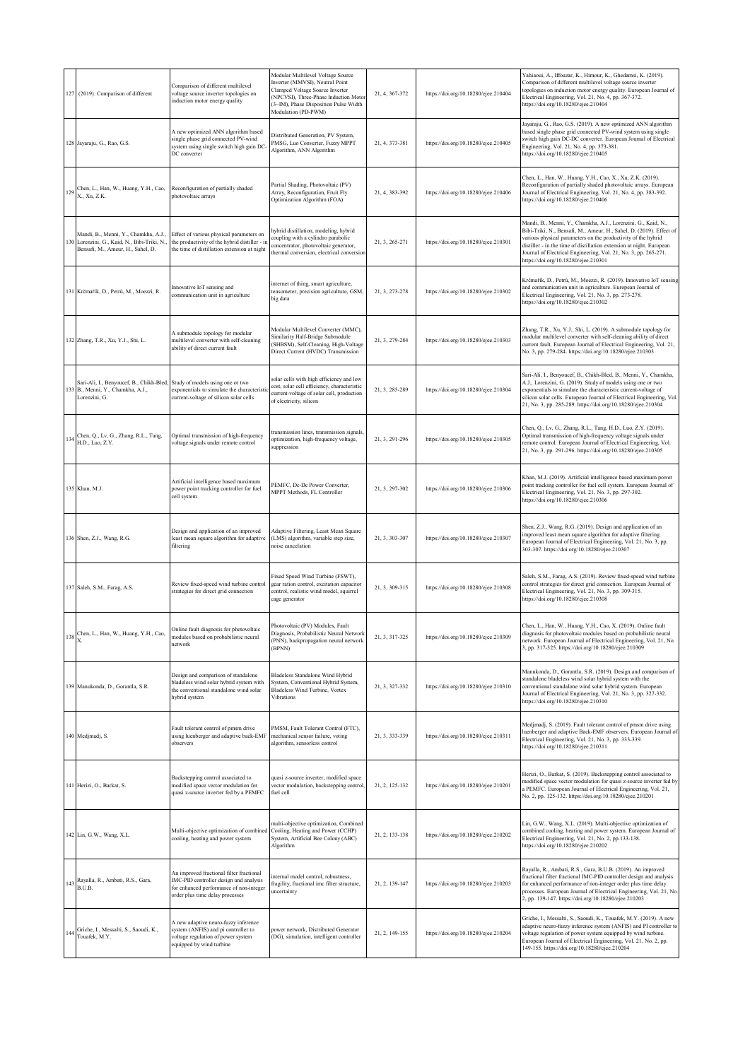|     | 127 (2019). Comparison of different                                                                                   | Comparison of different multilevel<br>voltage source inverter topologies on<br>induction motor energy quality                                                    | Modular Multilevel Voltage Source<br>Inverter (MMVSI), Neutral Point<br>Clamped Voltage Source Inverter<br>(NPCVSI), Three-Phase Induction Motor<br>(3~IM), Phase Disposition Pulse Width<br>Modulation (PD-PWM) | 21, 4, 367-372 | https://doi.org/10.18280/ejee.210404 | Yahiaoui, A., Iffouzar, K., Himour, K., Ghedamsi, K. (2019).<br>Comparison of different multilevel voltage source inverter<br>topologies on induction motor energy quality. European Journal of<br>Electrical Engineering, Vol. 21, No. 4, pp. 367-372.<br>https://doi.org/10.18280/ejee.210404                                                                                          |
|-----|-----------------------------------------------------------------------------------------------------------------------|------------------------------------------------------------------------------------------------------------------------------------------------------------------|------------------------------------------------------------------------------------------------------------------------------------------------------------------------------------------------------------------|----------------|--------------------------------------|------------------------------------------------------------------------------------------------------------------------------------------------------------------------------------------------------------------------------------------------------------------------------------------------------------------------------------------------------------------------------------------|
|     | 128 Jayaraju, G., Rao, G.S.                                                                                           | A new optimized ANN algorithm based<br>single phase grid connected PV-wind<br>system using single switch high gain DC<br>DC converter                            | Distributed Generation, PV System,<br>PMSG, Luo Converter, Fuzzy MPPT<br>Algorithm, ANN Algorithm                                                                                                                | 21, 4, 373-381 | https://doi.org/10.18280/ejee.210405 | Jayaraju, G., Rao, G.S. (2019). A new optimized ANN algorithm<br>based single phase grid connected PV-wind system using single<br>switch high gain DC-DC converter. European Journal of Electrical<br>Engineering, Vol. 21, No. 4, pp. 373-381.<br>https://doi.org/10.18280/ejee.210405                                                                                                  |
|     | Chen, L., Han, W., Huang, Y.H., Cao,<br>X., Xu, Z.K.                                                                  | Reconfiguration of partially shaded<br>photovoltaic arrays                                                                                                       | Partial Shading, Photovoltaic (PV)<br>Array, Reconfiguration, Fruit Fly<br>Optimization Algorithm (FOA)                                                                                                          | 21, 4, 383-392 | https://doi.org/10.18280/ejee.210406 | Chen, L., Han, W., Huang, Y.H., Cao, X., Xu, Z.K. (2019).<br>Reconfiguration of partially shaded photovoltaic arrays. European<br>Journal of Electrical Engineering, Vol. 21, No. 4, pp. 383-392.<br>https://doi.org/10.18280/ejee.210406                                                                                                                                                |
| 130 | Mandi, B., Menni, Y., Chamkha, A.J.,<br>Lorenzini, G., Kaid, N., Bibi-Triki, N.,<br>Bensafi, M., Ameur, H., Sahel, D. | Effect of various physical parameters on<br>the productivity of the hybrid distiller - in<br>the time of distillation extension at night                         | hybrid distillation, modeling, hybrid<br>oupling with a cylindro parabolic<br>oncentrator, photovoltaic generator,<br>hermal conversion, electrical conversion                                                   | 21, 3, 265-271 | https://doi.org/10.18280/ejee.210301 | Mandi, B., Menni, Y., Chamkha, A.J., Lorenzini, G., Kaid, N.,<br>Bibi-Triki, N., Bensafi, M., Ameur, H., Sahel, D. (2019). Effect of<br>various physical parameters on the productivity of the hybrid<br>distiller - in the time of distillation extension at night. European<br>Journal of Electrical Engineering, Vol. 21, No. 3, pp. 265-271.<br>https://doi.org/10.18280/ejee.210301 |
|     | 131 Krčmařík, D., Petrů, M., Moezzi, R.                                                                               | Innovative IoT sensing and<br>communication unit in agriculture                                                                                                  | internet of thing, smart agriculture,<br>tensometer, precision agriculture, GSM,<br>big data                                                                                                                     | 21, 3, 273-278 | https://doi.org/10.18280/ejee.210302 | Krčmařík, D., Petrů, M., Moezzi, R. (2019). Innovative IoT sensing<br>and communication unit in agriculture. European Journal of<br>Electrical Engineering, Vol. 21, No. 3, pp. 273-278.<br>https://doi.org/10.18280/ejee.210302                                                                                                                                                         |
|     | 132 Zhang, T.R., Xu, Y.J., Shi, L.                                                                                    | A submodule topology for modular<br>multilevel converter with self-cleaning<br>ability of direct current fault                                                   | Modular Multilevel Converter (MMC),<br>Similarity Half-Bridge Submodule<br>(SHBSM), Self-Cleaning, High-Voltage<br>Direct Current (HVDC) Transmission                                                            | 21, 3, 279-284 | https://doi.org/10.18280/ejee.210303 | Zhang, T.R., Xu, Y.J., Shi, L. (2019). A submodule topology for<br>modular multilevel converter with self-cleaning ability of direct<br>current fault. European Journal of Electrical Engineering, Vol. 21,<br>No. 3, pp. 279-284. https://doi.org/10.18280/ejee.210303                                                                                                                  |
|     | Sari-Ali, I., Benyoucef, B., Chikh-Bled,<br>133 B., Menni, Y., Chamkha, A.J.,<br>Lorenzini, G.                        | Study of models using one or two<br>exponentials to simulate the characteristi-<br>current-voltage of silicon solar cells                                        | solar cells with high efficiency and low<br>cost, solar cell efficiency, characteristic<br>current-voltage of solar cell, production<br>of electricity, silicon                                                  | 21, 3, 285-289 | https://doi.org/10.18280/ejee.210304 | Sari-Ali, I., Benyoucef, B., Chikh-Bled, B., Menni, Y., Chamkha,<br>A.J., Lorenzini, G. (2019). Study of models using one or two<br>exponentials to simulate the characteristic current-voltage of<br>silicon solar cells. European Journal of Electrical Engineering, Vol.<br>21, No. 3, pp. 285-289. https://doi.org/10.18280/ejee.210304                                              |
| 134 | Chen, Q., Lv, G., Zhang, R.L., Tang,<br>H.D., Luo, Z.Y.                                                               | Optimal transmission of high-frequency<br>voltage signals under remote control                                                                                   | ransmission lines, transmission signals,<br>optimization, high-frequency voltage,<br>suppression                                                                                                                 | 21, 3, 291-296 | https://doi.org/10.18280/ejee.210305 | Chen, Q., Lv, G., Zhang, R.L., Tang, H.D., Luo, Z.Y. (2019).<br>Optimal transmission of high-frequency voltage signals under<br>remote control. European Journal of Electrical Engineering, Vol.<br>21, No. 3, pp. 291-296. https://doi.org/10.18280/ejee.210305                                                                                                                         |
|     | 135 Khan, M.J.                                                                                                        | Artificial intelligence based maximum<br>power point tracking controller for fuel<br>cell system                                                                 | PEMFC, Dc-Dc Power Converter,<br>MPPT Methods, FL Controller                                                                                                                                                     | 21, 3, 297-302 | https://doi.org/10.18280/ejee.210306 | Khan, M.J. (2019). Artificial intelligence based maximum power<br>point tracking controller for fuel cell system. European Journal of<br>Electrical Engineering, Vol. 21, No. 3, pp. 297-302.<br>https://doi.org/10.18280/ejee.210306                                                                                                                                                    |
|     | 136 Shen, Z.J., Wang, R.G.                                                                                            | Design and application of an improved<br>least mean square algorithm for adaptive<br>filtering                                                                   | Adaptive Filtering, Least Mean Square<br>(LMS) algorithm, variable step size,<br>noise cancelation                                                                                                               | 21, 3, 303-307 | https://doi.org/10.18280/ejee.210307 | Shen, Z.J., Wang, R.G. (2019). Design and application of an<br>improved least mean square algorithm for adaptive filtering.<br>European Journal of Electrical Engineering, Vol. 21, No. 3, pp.<br>303-307. https://doi.org/10.18280/ejee.210307                                                                                                                                          |
|     | 137 Saleh, S.M., Farag, A.S.                                                                                          | Review fixed-speed wind turbine control<br>strategies for direct grid connection                                                                                 | Fixed Speed Wind Turbine (FSWT),<br>gear ration control, excitation capacitor<br>control, realistic wind model, squirrel<br>cage generator                                                                       | 21, 3, 309-315 | https://doi.org/10.18280/ejee.210308 | Saleh, S.M., Farag, A.S. (2019). Review fixed-speed wind turbine<br>control strategies for direct grid connection. European Journal of<br>Electrical Engineering, Vol. 21, No. 3, pp. 309-315.<br>https://doi.org/10.18280/ejee.210308                                                                                                                                                   |
| 138 | Chen, L., Han, W., Huang, Y.H., Cao,<br>Х.                                                                            | Online fault diagnosis for photovoltaic<br>modules based on probabilistic neural<br>network                                                                      | Photovoltaic (PV) Modules, Fault<br>Diagnosis, Probabilistic Neural Networl<br>(PNN), backpropagation neural network<br>(BPNN)                                                                                   | 21, 3, 317-325 | https://doi.org/10.18280/ejee.210309 | Chen, L., Han, W., Huang, Y.H., Cao, X. (2019). Online fault<br>liagnosis for photovoltaic modules based on probabilistic neural<br>network. European Journal of Electrical Engineering, Vol. 21, No.<br>3, pp. 317-325. https://doi.org/10.18280/ejee.210309                                                                                                                            |
|     | 139 Manukonda, D., Gorantla, S.R.                                                                                     | Design and comparison of standalone<br>bladeless wind solar hybrid system with<br>the conventional standalone wind solar<br>hybrid system                        | Bladeless Standalone Wind Hybrid<br>System, Conventional Hybrid System,<br>Bladeless Wind Turbine, Vortex<br>Vibrations                                                                                          | 21, 3, 327-332 | https://doi.org/10.18280/ejee.210310 | Manukonda, D., Gorantla, S.R. (2019). Design and comparison of<br>standalone bladeless wind solar hybrid system with the<br>conventional standalone wind solar hybrid system. European<br>Journal of Electrical Engineering, Vol. 21, No. 3, pp. 327-332.<br>https://doi.org/10.18280/ejee.210310                                                                                        |
|     | 140 Medjmadj, S.                                                                                                      | Fault tolerant control of pmsm drive<br>using luenberger and adaptive back-EMF<br>observers                                                                      | PMSM, Fault Tolerant Control (FTC),<br>mechanical sensor failure, voting<br>algorithm, sensorless control                                                                                                        | 21, 3, 333-339 | https://doi.org/10.18280/ejee.210311 | Medjmadj, S. (2019). Fault tolerant control of pmsm drive using<br>luenberger and adaptive Back-EMF observers. European Journal of<br>Electrical Engineering, Vol. 21, No. 3, pp. 333-339.<br>https://doi.org/10.18280/ejee.210311                                                                                                                                                       |
|     | 141 Herizi, O., Barkat, S.                                                                                            | Backstepping control associated to<br>modified space vector modulation for<br>quasi z-source inverter fed by a PEMFC                                             | quasi z-source inverter, modified space<br>vector modulation, backstepping control,<br>fuel cell                                                                                                                 | 21, 2, 125-132 | https://doi.org/10.18280/ejee.210201 | Herizi, O., Barkat, S. (2019). Backstepping control associated to<br>modified space vector modulation for quasi z-source inverter fed by<br>PEMFC. European Journal of Electrical Engineering, Vol. 21,<br>No. 2, pp. 125-132. https://doi.org/10.18280/ejee.210201                                                                                                                      |
|     | 142 Lin, G.W., Wang, X.L.                                                                                             | Multi-objective optimization of combined<br>cooling, heating and power system                                                                                    | multi-objective optimization, Combined<br>Cooling, Heating and Power (CCHP)<br>System, Artificial Bee Colony (ABC)<br>Algorithm                                                                                  | 21, 2, 133-138 | https://doi.org/10.18280/ejee.210202 | Lin, G.W., Wang, X.L. (2019). Multi-objective optimization of<br>combined cooling, heating and power system. European Journal of<br>Electrical Engineering, Vol. 21, No. 2, pp.133-138.<br>https://doi.org/10.18280/ejee.210202                                                                                                                                                          |
|     | 143 Rayalla, R., Ambati, R.S., Gara, B.U.B.                                                                           | An improved fractional filter fractional<br>IMC-PID controller design and analysis<br>for enhanced performance of non-integer<br>order plus time delay processes | internal model control, robustness,<br>fragility, fractional imc filter structure,<br>uncertainty                                                                                                                | 21, 2, 139-147 | https://doi.org/10.18280/ejee.210203 | Rayalla, R., Ambati, R.S., Gara, B.U.B. (2019). An improved<br>fractional filter fractional IMC-PID controller design and analysis<br>for enhanced performance of non-integer order plus time delay<br>processes. European Journal of Electrical Engineering, Vol. 21, No.<br>2, pp. 139-147. https://doi.org/10.18280/ejee.210203                                                       |
|     | Griche, I., Messalti, S., Saoudi, K.,<br>Touafek, M.Y.                                                                | A new adaptive neuro-fuzzy inference<br>system (ANFIS) and pi controller to<br>voltage regulation of power system<br>equipped by wind turbine                    | power network, Distributed Generator<br>(DG), simulation, intelligent controller                                                                                                                                 | 21, 2, 149-155 | https://doi.org/10.18280/ejee.210204 | Griche, I., Messalti, S., Saoudi, K., Touafek, M.Y. (2019). A new<br>adaptive neuro-fuzzy inference system (ANFIS) and PI controller to<br>voltage regulation of power system equipped by wind turbine.<br>European Journal of Electrical Engineering, Vol. 21, No. 2, pp.<br>149-155. https://doi.org/10.18280/ejee.210204                                                              |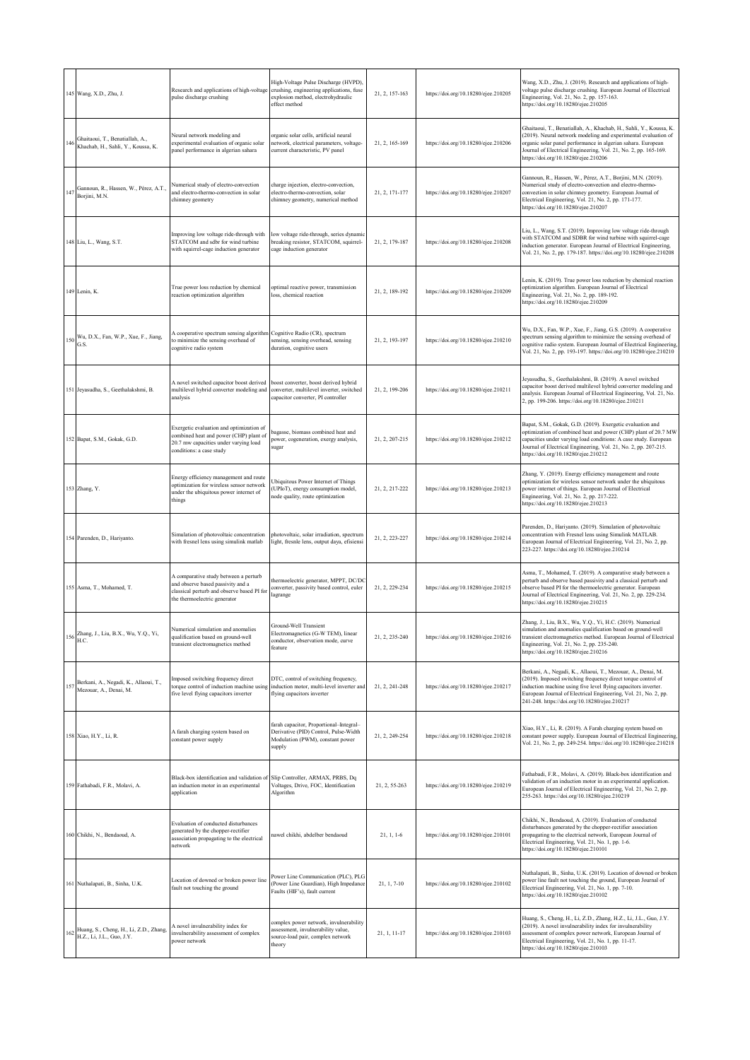|     | 145 Wang, X.D., Zhu, J.                                               | Research and applications of high-voltage<br>pulse discharge crushing                                                                                    | High-Voltage Pulse Discharge (HVPD),<br>crushing, engineering applications, fuse<br>explosion method, electrohydraulic<br>effect method | 21, 2, 157-163 | https://doi.org/10.18280/ejee.210205 | Wang, X.D., Zhu, J. (2019). Research and applications of high-<br>voltage pulse discharge crushing. European Journal of Electrical<br>Engineering, Vol. 21, No. 2, pp. 157-163.<br>https://doi.org/10.18280/ejee.210205                                                                                            |
|-----|-----------------------------------------------------------------------|----------------------------------------------------------------------------------------------------------------------------------------------------------|-----------------------------------------------------------------------------------------------------------------------------------------|----------------|--------------------------------------|--------------------------------------------------------------------------------------------------------------------------------------------------------------------------------------------------------------------------------------------------------------------------------------------------------------------|
| 146 | Ghaitaoui, T., Benatiallah, A.,<br>Khachab, H., Sahli, Y., Koussa, K. | Neural network modeling and<br>experimental evaluation of organic solar<br>panel performance in algerian sahara                                          | rganic solar cells, artificial neural<br>etwork, electrical parameters, voltage-<br>current characteristic, PV panel                    | 21, 2, 165-169 | https://doi.org/10.18280/ejee.210206 | Ghaitaoui, T., Benatiallah, A., Khachab, H., Sahli, Y., Koussa, K.<br>(2019). Neural network modeling and experimental evaluation of<br>organic solar panel performance in algerian sahara. European<br>Journal of Electrical Engineering, Vol. 21, No. 2, pp. 165-169.<br>https://doi.org/10.18280/ejee.210206    |
|     | Gannoun, R., Hassen, W., Pérez, A.T.,<br>Borjini, M.N.                | Numerical study of electro-convection<br>and electro-thermo-convection in solar<br>chimney geometry                                                      | charge injection, electro-convection,<br>electro-thermo-convection, solar<br>chimney geometry, numerical method                         | 21, 2, 171-177 | https://doi.org/10.18280/ejee.210207 | Gannoun, R., Hassen, W., Pérez, A.T., Borjini, M.N. (2019).<br>Numerical study of electro-convection and electro-thermo-<br>convection in solar chimney geometry. European Journal of<br>Electrical Engineering, Vol. 21, No. 2, pp. 171-177.<br>https://doi.org/10.18280/ejee.210207                              |
|     | 148 Liu, L., Wang, S.T.                                               | Improving low voltage ride-through with<br>STATCOM and sdbr for wind turbine<br>with squirrel-cage induction generator                                   | low voltage ride-through, series dynamic<br>breaking resistor, STATCOM, squirrel-<br>cage induction generator                           | 21, 2, 179-187 | https://doi.org/10.18280/ejee.210208 | Liu, L., Wang, S.T. (2019). Improving low voltage ride-through<br>with STATCOM and SDBR for wind turbine with squirrel-cage<br>induction generator. European Journal of Electrical Engineering,<br>Vol. 21, No. 2, pp. 179-187. https://doi.org/10.18280/ejee.210208                                               |
|     | 149 Lenin, K.                                                         | True power loss reduction by chemical<br>reaction optimization algorithm                                                                                 | optimal reactive power, transmission<br>loss, chemical reaction                                                                         | 21, 2, 189-192 | https://doi.org/10.18280/ejee.210209 | Lenin, K. (2019). True power loss reduction by chemical reaction<br>optimization algorithm. European Journal of Electrical<br>Engineering, Vol. 21, No. 2, pp. 189-192.<br>https://doi.org/10.18280/ejee.210209                                                                                                    |
| 150 | Wu, D.X., Fan, W.P., Xue, F., Jiang,<br>G.S.                          | A cooperative spectrum sensing algorithm Cognitive Radio (CR), spectrum<br>to minimize the sensing overhead of<br>cognitive radio system                 | sensing, sensing overhead, sensing<br>duration, cognitive users                                                                         | 21, 2, 193-197 | https://doi.org/10.18280/ejee.210210 | Wu, D.X., Fan, W.P., Xue, F., Jiang, G.S. (2019). A cooperative<br>spectrum sensing algorithm to minimize the sensing overhead of<br>cognitive radio system. European Journal of Electrical Engineering,<br>Vol. 21, No. 2, pp. 193-197. https://doi.org/10.18280/ejee.210210                                      |
|     | 151 Jeyasudha, S., Geethalakshmi, B.                                  | A novel switched capacitor boost derived<br>multilevel hybrid converter modeling and<br>analysis                                                         | boost converter, boost derived hybrid<br>converter, multilevel inverter, switched<br>capacitor converter, PI controller                 | 21, 2, 199-206 | https://doi.org/10.18280/ejee.210211 | Jeyasudha, S., Geethalakshmi, B. (2019). A novel switched<br>capacitor boost derived multilevel hybrid converter modeling and<br>analysis. European Journal of Electrical Engineering, Vol. 21, No.<br>2, pp. 199-206. https://doi.org/10.18280/ejee.210211                                                        |
|     | 152 Bapat, S.M., Gokak, G.D.                                          | Exergetic evaluation and optimization of<br>combined heat and power (CHP) plant of<br>20.7 mw capacities under varying load<br>conditions: a case study  | bagasse, biomass combined heat and<br>power, cogeneration, exergy analysis,<br>ugar                                                     | 21, 2, 207-215 | https://doi.org/10.18280/ejee.210212 | Bapat, S.M., Gokak, G.D. (2019). Exergetic evaluation and<br>optimization of combined heat and power (CHP) plant of 20.7 MW<br>capacities under varying load conditions: A case study. European<br>Journal of Electrical Engineering, Vol. 21, No. 2, pp. 207-215.<br>https://doi.org/10.18280/ejee.210212         |
|     | 153 Zhang, Y.                                                         | Energy efficiency management and route<br>optimization for wireless sensor network<br>under the ubiquitous power internet of<br>things                   | Jbiquitous Power Internet of Things<br>UPIoT), energy consumption model,<br>node quality, route optimization                            | 21, 2, 217-222 | https://doi.org/10.18280/ejee.210213 | Zhang, Y. (2019). Energy efficiency management and route<br>optimization for wireless sensor network under the ubiquitous<br>power internet of things. European Journal of Electrical<br>Engineering, Vol. 21, No. 2, pp. 217-222.<br>https://doi.org/10.18280/ejee.210213                                         |
|     | 154 Parenden, D., Hariyanto.                                          | Simulation of photovoltaic concentration<br>with fresnel lens using simulink matlab                                                                      | photovoltaic, solar irradiation, spectrum<br>light, fresnle lens, output daya, efisiensi                                                | 21, 2, 223-227 | https://doi.org/10.18280/ejee.210214 | Parenden, D., Hariyanto. (2019). Simulation of photovoltaic<br>concentration with Fresnel lens using Simulink MATLAB.<br>European Journal of Electrical Engineering, Vol. 21, No. 2, pp.<br>223-227. https://doi.org/10.18280/ejee.210214                                                                          |
|     | 155 Asma, T., Mohamed, T.                                             | A comparative study between a perturb<br>and observe based passivity and a<br>classical perturb and observe based PI for<br>the thermoelectric generator | hermoelectric generator, MPPT, DC/DC<br>converter, passivity based control, euler<br>lagrange                                           | 21, 2, 229-234 | https://doi.org/10.18280/ejee.210215 | Asma, T., Mohamed, T. (2019). A comparative study between a<br>perturb and observe based passivity and a classical perturb and<br>observe based PI for the thermoelectric generator. European<br>Journal of Electrical Engineering, Vol. 21, No. 2, pp. 229-234.<br>https://doi.org/10.18280/ejee.210215           |
|     | Zhang, J., Liu, B.X., Wu, Y.Q., Yi,<br>$156\,$ H.C.                   | Numerical simulation and anomalies<br>qualification based on ground-well<br>transient electromagnetics method                                            | Ground-Well Transient<br>Electromagnetics (G-W TEM), linear<br>conductor, observation mode, curve<br>feature                            | 21, 2, 235-240 | https://doi.org/10.18280/ejee.210216 | Zhang, J., Liu, B.X., Wu, Y.Q., Yi, H.C. (2019). Numerical<br>simulation and anomalies qualification based on ground-well<br>transient electromagnetics method. European Journal of Electrical<br>Engineering, Vol. 21, No. 2, pp. 235-240.<br>https://doi.org/10.18280/ejee.210216                                |
| 157 | Berkani, A., Negadi, K., Allaoui, T.,<br>Mezouar, A., Denai, M.       | Imposed switching frequency direct<br>torque control of induction machine using<br>five level flying capacitors inverter                                 | DTC, control of switching frequency,<br>induction motor, multi-level inverter and<br>flying capacitors inverter                         | 21, 2, 241-248 | https://doi.org/10.18280/ejee.210217 | Berkani, A., Negadi, K., Allaoui, T., Mezouar, A., Denai, M.<br>(2019). Imposed switching frequency direct torque control of<br>induction machine using five level flying capacitors inverter.<br>European Journal of Electrical Engineering, Vol. 21, No. 2, pp.<br>241-248. https://doi.org/10.18280/ejee.210217 |
|     | 158 Xiao, H.Y., Li, R.                                                | A farah charging system based on<br>constant power supply                                                                                                | farah capacitor, Proportional-Integral-<br>Derivative (PID) Control, Pulse-Width<br>Modulation (PWM), constant power<br>supply          | 21, 2, 249-254 | https://doi.org/10.18280/ejee.210218 | Xiao, H.Y., Li, R. (2019). A Farah charging system based on<br>constant power supply. European Journal of Electrical Engineering,<br>Vol. 21, No. 2, pp. 249-254. https://doi.org/10.18280/ejee.210218                                                                                                             |
|     | 159 Fathabadi, F.R., Molavi, A.                                       | Black-box identification and validation of Slip Controller, ARMAX, PRBS, Dq<br>an induction motor in an experimental<br>application                      | Voltages, Drive, FOC, Identification<br>Algorithm                                                                                       | 21, 2, 55-263  | https://doi.org/10.18280/ejee.210219 | Fathabadi, F.R., Molavi, A. (2019). Black-box identification and<br>validation of an induction motor in an experimental application.<br>European Journal of Electrical Engineering, Vol. 21, No. 2, pp.<br>255-263. https://doi.org/10.18280/ejee.210219                                                           |
|     | 160 Chikhi, N., Bendaoud, A.                                          | Evaluation of conducted disturbances<br>generated by the chopper-rectifier<br>association propagating to the electrical<br>network                       | nawel chikhi, abdelber bendaoud                                                                                                         | $21, 1, 1-6$   | https://doi.org/10.18280/ejee.210101 | Chikhi, N., Bendaoud, A. (2019). Evaluation of conducted<br>disturbances generated by the chopper-rectifier association<br>propagating to the electrical network, European Journal of<br>Electrical Engineering, Vol. 21, No. 1, pp. 1-6.<br>https://doi.org/10.18280/ejee.210101                                  |
|     | 161 Nuthalapati, B., Sinha, U.K.                                      | Location of downed or broken power line<br>fault not touching the ground                                                                                 | Power Line Communication (PLC), PLG<br>Power Line Guardian), High Impedance<br>Faults (HIF's), fault current                            | 21, 1, 7-10    | https://doi.org/10.18280/ejee.210102 | Nuthalapati, B., Sinha, U.K. (2019). Location of downed or broken<br>power line fault not touching the ground, European Journal of<br>Electrical Engineering, Vol. 21, No. 1, pp. 7-10.<br>https://doi.org/10.18280/ejee.210102                                                                                    |
| 162 | Huang, S., Cheng, H., Li, Z.D., Zhang,<br>H.Z., Li, J.L., Guo, J.Y.   | A novel invulnerability index for<br>invulnerability assessment of complex<br>power network                                                              | complex power network, invulnerability<br>assessment, invulnerability value,<br>source-load pair, complex network<br>theory             | 21, 1, 11-17   | https://doi.org/10.18280/ejee.210103 | Huang, S., Cheng, H., Li, Z.D., Zhang, H.Z., Li, J.L., Guo, J.Y.<br>(2019). A novel invulnerability index for invulnerability<br>assessment of complex power network, European Journal of<br>Electrical Engineering, Vol. 21, No. 1, pp. 11-17.<br>https://doi.org/10.18280/ejee.210103                            |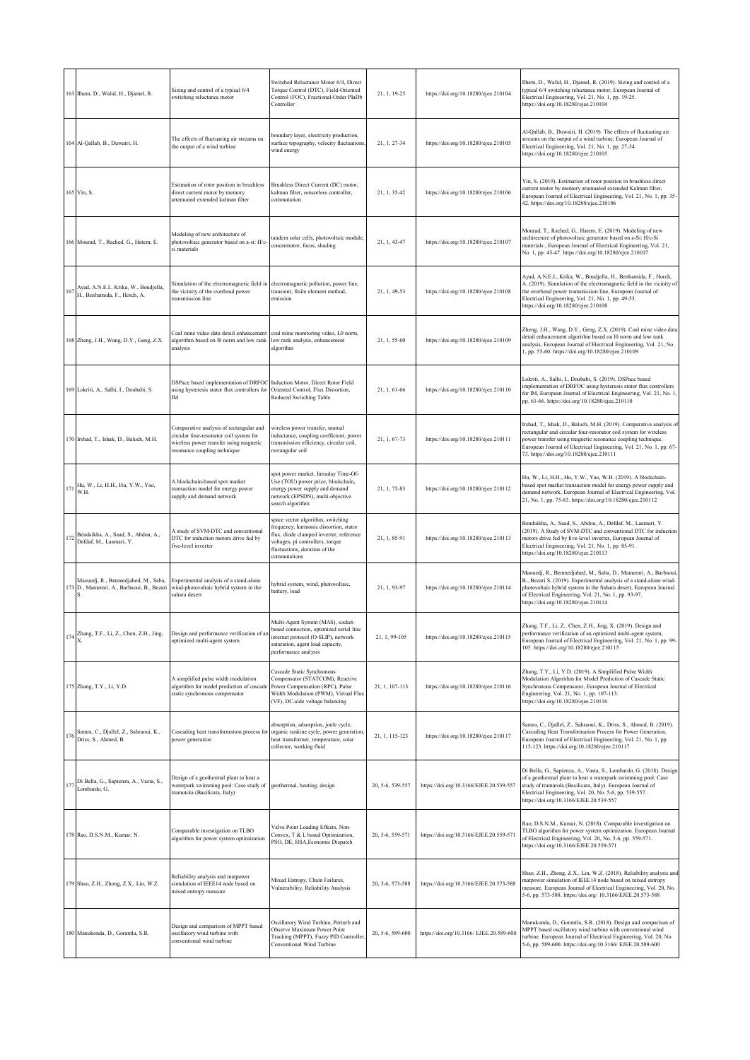|     | 163 Ilhem, D., Walid, H., Djamel, R.                                             | Sizing and control of a typical 6/4<br>switching reluctance motor                                                                                            | Switched Reluctance Motor 6/4, Direct<br>Torque Control (DTC), Field-Oriented<br>Control (FOC), Fractional-Order PlaDb<br>Controller                                                                        | 21, 1, 19-25     | https://doi.org/10.18280/ejee.210104     | Ilhem, D., Walid, H., Djamel, R. (2019). Sizing and control of a<br>typical 6/4 switching reluctance motor, European Journal of<br>Electrical Engineering, Vol. 21, No. 1, pp. 19-25.<br>https://doi.org/10.18280/ejee.210104                                                                                             |
|-----|----------------------------------------------------------------------------------|--------------------------------------------------------------------------------------------------------------------------------------------------------------|-------------------------------------------------------------------------------------------------------------------------------------------------------------------------------------------------------------|------------------|------------------------------------------|---------------------------------------------------------------------------------------------------------------------------------------------------------------------------------------------------------------------------------------------------------------------------------------------------------------------------|
|     | 164 Al-Qallab, B., Duwairi, H.                                                   | The effects of fluctuating air streams on<br>the output of a wind turbine                                                                                    | boundary layer, electricity production,<br>surface topography, velocity fluctuations<br>wind energy                                                                                                         | 21, 1, 27-34     | https://doi.org/10.18280/ejee.210105     | Al-Qallab, B., Duwairi, H. (2019). The effects of fluctuating air<br>streams on the output of a wind turbine, European Journal of<br>Electrical Engineering, Vol. 21, No. 1, pp. 27-34.<br>https://doi.org/10.18280/ejee.210105                                                                                           |
|     | 165 Yin, S.                                                                      | Estimation of rotor position in brushless<br>direct current motor by memory<br>attenuated extended kalman filter                                             | Brushless Direct Current (DC) motor,<br>kalman filter, sensorless controller,<br>commutation                                                                                                                | 21, 1, 35-42     | https://doi.org/10.18280/ejee.210106     | Yin, S. (2019). Estimation of rotor position in brushless direct<br>current motor by memory attenuated extended Kalman filter,<br>European Journal of Electrical Engineering, Vol. 21, No. 1, pp. 35-<br>42. https://doi.org/10.18280/ejee.210106                                                                         |
|     | 166 Mourad, T., Rached, G., Hatem, E.                                            | Modeling of new architecture of<br>photovoltaic generator based on a-si: H/c-<br>si materials                                                                | tandem solar cells, photovoltaic module,<br>concentrator, focus, shading                                                                                                                                    | 21, 1, 43-47     | https://doi.org/10.18280/ejee.210107     | Mourad, T., Rached, G., Hatem, E. (2019). Modeling of new<br>architecture of photovoltaic generator based on a-Si: H/c-Si<br>naterials, European Journal of Electrical Engineering, Vol. 21,<br>No. 1, pp. 43-47. https://doi.org/10.18280/ejee.210107                                                                    |
|     | 167 Ayad, A.N.E.I., Krika, W., Boudjella,<br>H., Benhamida, F., Horch, A.        | Simulation of the electromagnetic field in<br>the vicinity of the overhead power<br>transmission line                                                        | electromagnetic pollution, power line,<br>transient, finite element method,<br>emission                                                                                                                     | 21, 1, 49-53     | https://doi.org/10.18280/ejee.210108     | Ayad, A.N.E.I., Krika, W., Boudjella, H., Benhamida, F., Horch,<br>A. (2019). Simulation of the electromagnetic field in the vicinity of<br>the overhead power transmission line, European Journal of<br>Electrical Engineering, Vol. 21, No. 1, pp. 49-53.<br>https://doi.org/10.18280/ejee.210108                       |
|     | 168 Zheng, J.H., Wang, D.Y., Geng, Z.X.                                          | Coal mine video data detail enhancement<br>algorithm based on 10 norm and low rank<br>analysis                                                               | coal mine monitoring video, L0 norm,<br>low rank analysis, enhancement<br>algorithm                                                                                                                         | 21, 1, 55-60     | https://doi.org/10.18280/ejee.210109     | Zheng, J.H., Wang, D.Y., Geng, Z.X. (2019). Coal mine video data<br>detail enhancement algorithm based on 10 norm and low rank<br>analysis, European Journal of Electrical Engineering, Vol. 21, No.<br>1, pp. 55-60. https://doi.org/10.18280/ejee.210109                                                                |
|     | 169 Lokriti, A., Salhi, I., Doubabi, S.                                          | DSPace based implementation of DRFOC<br>using hysteresis stator flux controllers for<br>ΙM                                                                   | Induction Motor, Direct Rotor Field<br>Oriented Control, Flux Distortion,<br>Reduced Switching Table                                                                                                        | 21, 1, 61-66     | https://doi.org/10.18280/ejee.210110     | Lokriti, A., Salhi, I., Doubabi, S. (2019). DSPace based<br>implementation of DRFOC using hysteresis stator flux controllers<br>for IM, European Journal of Electrical Engineering, Vol. 21, No. 1,<br>pp. 61-66. https://doi.org/10.18280/ejee.210110                                                                    |
|     | 170 Irshad, T., Ishak, D., Baloch, M.H.                                          | Comparative analysis of rectangular and<br>circular four-resonator coil system for<br>wireless power transfer using magnetic<br>resonance coupling technique | vireless power transfer, mutual<br>inductance, coupling coefficient, power<br>transmission efficiency, circular coil,<br>rectangular coil                                                                   | 21, 1, 67-73     | https://doi.org/10.18280/ejee.210111     | Irshad, T., Ishak, D., Baloch, M.H. (2019). Comparative analysis of<br>rectangular and circular four-resonator coil system for wireless<br>power transfer using magnetic resonance coupling technique,<br>European Journal of Electrical Engineering, Vol. 21, No. 1, pp. 67-<br>73. https://doi.org/10.18280/ejee.210111 |
|     | 171 Hu, W., Li, H.H., Hu, Y.W., Yao,<br>W.H.                                     | A blockchain-based spot market<br>transaction model for energy power<br>supply and demand network                                                            | spot power market, Intraday Time-Of-<br>Use (TOU) power price, blockchain,<br>energy power supply and demand<br>network (EPSDN), multi-objective<br>search algorithm                                        | 21, 1, 75-83     | https://doi.org/10.18280/ejee.210112     | Hu, W., Li, H.H., Hu, Y.W., Yao, W.H. (2019). A blockchain-<br>based spot market transaction model for energy power supply and<br>demand network, European Journal of Electrical Engineering, Vol.<br>21, No. 1, pp. 75-83. https://doi.org/10.18280/ejee.210112                                                          |
| 172 | Bendaikha, A., Saad, S., Abdou, A.,<br>Defdaf, M., Laamari, Y.                   | A study of SVM-DTC and conventional<br>DTC for induction motors drive fed by<br>five-level inverter                                                          | space vector algorithm, switching<br>frequency, harmonic distortion, stator<br>flux, diode clamped inverter, reference<br>voltages, pi controllers, torque<br>fluctuations, duration of the<br>commutations | 21, 1, 85-91     | https://doi.org/10.18280/ejee.210113     | Bendaikha, A., Saad, S., Abdou, A., Defdaf, M., Laamari, Y.<br>(2019). A Study of SVM-DTC and conventional DTC for induction<br>motors drive fed by five-level inverter, European Journal of<br>Electrical Engineering, Vol. 21, No. 1, pp. 85-91.<br>https://doi.org/10.18280/ejee.210113                                |
|     | Maouedj, R., Benmedjahed, M., Saba,<br>173 D., Mamemri, A., Barbaoui, B., Bezari | Experimental analysis of a stand-alone<br>wind-photovoltaic hybrid system in the<br>sahara desert                                                            | hybrid system, wind, photovoltaic,<br>battery, load                                                                                                                                                         | 21, 1, 93-97     | https://doi.org/10.18280/ejee.210114     | Maouedj, R., Benmedjahed, M., Saba, D., Mamemri, A., Barbaoui,<br>B., Bezari S. (2019). Experimental analysis of a stand-alone wind-<br>photovoltaic hybrid system in the Sahara desert, European Journal<br>of Electrical Engineering, Vol. 21, No. 1, pp. 93-97.<br>https://doi.org/10.18280/ejee.210114                |
|     | Zhano, T.F., Li, Z., Chen, Z.H., Jino,<br>$^{174}\,$ x.                          | Design and performance verification of an<br>optimized multi-agent system                                                                                    | Multi-Agent System (MAS), socket-<br>based connection, optimized serial line<br>internet protocol (O-SLIP), network<br>saturation, agent load capacity,<br>performance analysis                             | 21, 1, 99-105    | https://doi.org/10.18280/ejee.210115     | Zhang, T.F., Li, Z., Chen, Z.H., Jing, X. (2019). Design and<br>performance verification of an optimized multi-agent system<br>European Journal of Electrical Engineering, Vol. 21, No. 1, pp. 99-<br>105. https://doi.org/10.18280/ejee.210115                                                                           |
|     | 175 Zhang, T.Y., Li, Y.D.                                                        | A simplified pulse width modulation<br>algorithm for model prediction of cascade<br>static synchronous compensator                                           | Cascade Static Synchronous<br>Compensator (STATCOM), Reactive<br>Power Compensation (RPC), Pulse<br>Width Modulation (PWM), Virtual Flux<br>(VF), DC-side voltage balancing                                 | 21, 1, 107-113   | https://doi.org/10.18280/ejee.210116     | Zhang, T.Y., Li, Y.D. (2019). A Simplified Pulse Width<br>Modulation Algorithm for Model Prediction of Cascade Static<br>Synchronous Compensator, European Journal of Electrical<br>Engineering, Vol. 21, No. 1, pp. 107-113.<br>https://doi.org/10.18280/ejee.210116                                                     |
|     | 176 Samra, C., Djallel, Z., Sahraoui, K., Driss, S., Ahmed, B.                   | Cascading heat transformation process for<br>power generation                                                                                                | absorption, adsorption, joule cycle,<br>organic rankine cycle, power generation,<br>heat transformer, temperature, solar<br>collector, working fluid                                                        | 21, 1, 115-123   | https://doi.org/10.18280/ejee.210117     | Samra, C., Djallel, Z., Sahraoui, K., Driss, S., Ahmed, B. (2019).<br>Cascading Heat Transformation Process for Power Generation,<br>European Journal of Electrical Engineering, Vol. 21, No. 1, pp.<br>115-123. https://doi.org/10.18280/ejee.210117                                                                     |
|     | 177 Di Bella, G., Sapienza, A., Vasta, S.,<br>Lombardo, G.                       | Design of a geothermal plant to heat a<br>waterpark swimming pool: Case study of<br>tramutola (Basilicata, Italy)                                            | geothermal, heating, design                                                                                                                                                                                 | 20, 5-6, 539-557 | https://doi.org/10.3166/EJEE.20.539-557  | Di Bella, G., Sapienza, A., Vasta, S., Lombardo, G. (2018). Design<br>of a geothermal plant to heat a waterpark swimming pool: Case<br>study of tramutola (Basilicata, Italy). European Journal of<br>Electrical Engineering, Vol. 20, No. 5-6, pp. 539-557.<br>https://doi.org/10.3166/EJEE.20.539-557                   |
|     | 178 Rao, D.S.N.M., Kumar, N.                                                     | Comparable investigation on TLBO<br>algorithm for power system optimization                                                                                  | Valve Point Loading Effects, Non-<br>Convex, T & L based Optimization,<br>PSO, DE, HSA, Economic Dispatch                                                                                                   | 20, 5-6, 559-571 | https://doi.org/10.3166/EJEE.20.559-571  | Rao, D.S.N.M., Kumar, N. (2018). Comparable investigation on<br>TLBO algorithm for power system optimization. European Journal<br>of Electrical Engineering, Vol. 20, No. 5-6, pp. 559-571.<br>https://doi.org/10.3166/EJEE.20.559-571                                                                                    |
|     | 179 Shao, Z.H., Zhong, Z.X., Lin, W.Z.                                           | Reliability analysis and matpower<br>simulation of IEEE14 node based on<br>mixed entropy measure                                                             | Mixed Entropy, Chain Failures,<br>Vulnerability, Reliability Analysis                                                                                                                                       | 20, 5-6, 573-588 | https://doi.org/10.3166/EJEE.20.573-588  | Shao, Z.H., Zhong, Z.X., Lin, W.Z. (2018). Reliability analysis and<br>matpower simulation of IEEE14 node based on mixed entropy<br>measure. European Journal of Electrical Engineering, Vol. 20, No.<br>5-6, pp. 573-588. https://doi.org/ 10.3166/EJEE.20.573-588                                                       |
|     | 180 Manukonda, D., Gorantla, S.R.                                                | Design and comparison of MPPT based<br>oscillatory wind turbine with<br>conventional wind turbine                                                            | Oscillatory Wind Turbine, Perturb and<br>Observe Maximum Power Point<br>Tracking (MPPT), Fuzzy PID Controller<br>Conventional Wind Turbine                                                                  | 20, 5-6, 589-600 | https://doi.org/10.3166/ EJEE.20.589-600 | Manukonda, D., Gorantla, S.R. (2018). Design and comparison of<br>MPPT based oscillatory wind turbine with conventional wind<br>turbine. European Journal of Electrical Engineering, Vol. 20, No.<br>5-6, pp. 589-600. https://doi.org/10.3166/ EJEE.20.589-600                                                           |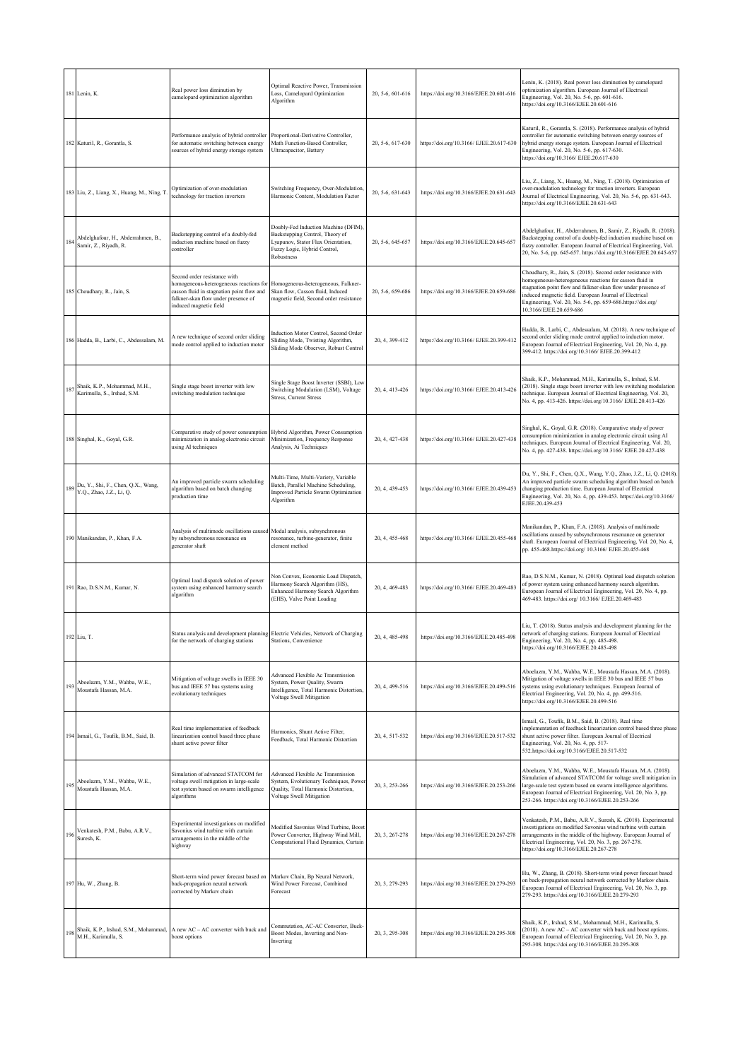|     | 181 Lenin, K.                                                  | Real power loss diminution by<br>camelopard optimization algorithm                                                                                                                    | Optimal Reactive Power, Transmission<br>Loss, Camelopard Optimization<br>Algorithm                                                                          | 20, 5-6, 601-616 | https://doi.org/10.3166/EJEE.20.601-616  | Lenin, K. (2018). Real power loss diminution by camelopard<br>optimization algorithm. European Journal of Electrical<br>Engineering, Vol. 20, No. 5-6, pp. 601-616.<br>https://doi.org/10.3166/EJEE.20.601-616                                                                                                                               |
|-----|----------------------------------------------------------------|---------------------------------------------------------------------------------------------------------------------------------------------------------------------------------------|-------------------------------------------------------------------------------------------------------------------------------------------------------------|------------------|------------------------------------------|----------------------------------------------------------------------------------------------------------------------------------------------------------------------------------------------------------------------------------------------------------------------------------------------------------------------------------------------|
|     | 182 Katuril, R., Gorantla, S.                                  | Performance analysis of hybrid controller<br>for automatic switching between energy<br>sources of hybrid energy storage system                                                        | Proportional-Derivative Controller,<br>Math Function-Based Controller,<br>Ultracapacitor, Battery                                                           | 20, 5-6, 617-630 | https://doi.org/10.3166/ EJEE.20.617-630 | Katuril, R., Gorantla, S. (2018). Performance analysis of hybrid<br>controller for automatic switching between energy sources of<br>hybrid energy storage system. European Journal of Electrical<br>Engineering, Vol. 20, No. 5-6, pp. 617-630.<br>https://doi.org/10.3166/ EJEE.20.617-630                                                  |
|     | 183 Liu, Z., Liang, X., Huang, M., Ning, T                     | Optimization of over-modulation<br>technology for traction inverters                                                                                                                  | Switching Frequency, Over-Modulation,<br>Harmonic Content, Modulation Factor                                                                                | 20, 5-6, 631-643 | https://doi.org/10.3166/EJEE.20.631-643  | Liu, Z., Liang, X., Huang, M., Ning, T. (2018). Optimization of<br>over-modulation technology for traction inverters. European<br>fournal of Electrical Engineering, Vol. 20, No. 5-6, pp. 631-643.<br>https://doi.org/10.3166/EJEE.20.631-643                                                                                               |
|     | Abdelghafour, H., Abderrahmen, B.,<br>Samir, Z., Riyadh, R.    | Backstepping control of a doubly-fed<br>induction machine based on fuzzy<br>controller                                                                                                | Doubly-Fed Induction Machine (DFIM),<br>Backstepping Control, Theory of<br>Lyapunov, Stator Flux Orientation,<br>Fuzzy Logic, Hybrid Control,<br>Robustness | 20, 5-6, 645-657 | https://doi.org/10.3166/EJEE.20.645-657  | Abdelghafour, H., Abderrahmen, B., Samir, Z., Riyadh, R. (2018).<br>Backstepping control of a doubly-fed induction machine based on<br>fuzzy controller. European Journal of Electrical Engineering, Vol.<br>20, No. 5-6, pp. 645-657. https://doi.org/10.3166/EJEE.20.645-657                                                               |
|     | 185 Choudhary, R., Jain, S.                                    | Second order resistance with<br>homogeneous-heterogeneous reactions for<br>casson fluid in stagnation point flow and<br>falkner-skan flow under presence of<br>induced magnetic field | Homogeneous-heterogeneous, Falkner-<br>Skan flow, Casson fluid, Induced<br>nagnetic field, Second order resistance                                          | 20, 5-6, 659-686 | https://doi.org/10.3166/EJEE.20.659-686  | Choudhary, R., Jain, S. (2018). Second order resistance with<br>homogeneous-heterogeneous reactions for casson fluid in<br>stagnation point flow and falkner-skan flow under presence of<br>induced magnetic field. European Journal of Electrical<br>Engineering, Vol. 20, No. 5-6, pp. 659-686.https://doi.org/<br>10.3166/EJEE.20.659-686 |
|     | 186 Hadda, B., Larbi, C., Abdessalam, M.                       | A new technique of second order sliding<br>mode control applied to induction motor                                                                                                    | Induction Motor Control, Second Order<br>Sliding Mode, Twisting Algorithm,<br>Sliding Mode Observer, Robust Control                                         | 20, 4, 399-412   | https://doi.org/10.3166/ EJEE.20.399-412 | Hadda, B., Larbi, C., Abdessalam, M. (2018). A new technique of<br>second order sliding mode control applied to induction motor.<br>European Journal of Electrical Engineering, Vol. 20, No. 4, pp.<br>399-412. https://doi.org/10.3166/ EJEE.20.399-412                                                                                     |
| 18  | Shaik, K.P., Mohammad, M.H.,<br>Karimulla, S., Irshad, S.M.    | Single stage boost inverter with low<br>switching modulation technique                                                                                                                | Single Stage Boost Inverter (SSBI), Low<br>Switching Modulation (LSM), Voltage<br><b>Stress, Current Stress</b>                                             | 20, 4, 413-426   | https://doi.org/10.3166/ EJEE.20.413-426 | Shaik, K.P., Mohammad, M.H., Karimulla, S., Irshad, S.M.<br>(2018). Single stage boost inverter with low switching modulation<br>technique. European Journal of Electrical Engineering, Vol. 20,<br>No. 4, pp. 413-426. https://doi.org/10.3166/ EJEE.20.413-426                                                                             |
|     | 188 Singhal, K., Goyal, G.R.                                   | Comparative study of power consumption Hybrid Algorithm, Power Consumption<br>minimization in analog electronic circuit<br>using AI techniques                                        | Minimization, Frequency Response<br>Analysis, Ai Techniques                                                                                                 | 20, 4, 427-438   | https://doi.org/10.3166/ EJEE.20.427-438 | Singhal, K., Goyal, G.R. (2018). Comparative study of power<br>consumption minimization in analog electronic circuit using AI<br>techniques. European Journal of Electrical Engineering, Vol. 20,<br>No. 4, pp. 427-438. https://doi.org/10.3166/ EJEE.20.427-438                                                                            |
| 189 | Du, Y., Shi, F., Chen, Q.X., Wang,<br>Y.Q., Zhao, J.Z., Li, Q. | An improved particle swarm scheduling<br>algorithm based on batch changing<br>production time                                                                                         | Multi-Time, Multi-Variety, Variable<br>Batch, Parallel Machine Scheduling,<br>Improved Particle Swarm Optimization<br>Algorithm                             | 20, 4, 439-453   | https://doi.org/10.3166/ EJEE.20.439-453 | Du, Y., Shi, F., Chen, Q.X., Wang, Y.Q., Zhao, J.Z., Li, Q. (2018).<br>An improved particle swarm scheduling algorithm based on batch<br>changing production time. European Journal of Electrical<br>Engineering, Vol. 20, No. 4, pp. 439-453. https://doi.org/10.3166/<br>EJEE.20.439-453                                                   |
|     | 190 Manikandan, P., Khan, F.A.                                 | Analysis of multimode oscillations caused Modal analysis, subsynchronous<br>by subsynchronous resonance on<br>generator shaft                                                         | resonance, turbine-generator, finite<br>element method                                                                                                      | 20, 4, 455-468   | https://doi.org/10.3166/ EJEE.20.455-468 | Manikandan, P., Khan, F.A. (2018). Analysis of multimode<br>oscillations caused by subsynchronous resonance on generator<br>shaft. European Journal of Electrical Engineering, Vol. 20, No. 4,<br>pp. 455-468.https://doi.org/ 10.3166/ EJEE.20.455-468                                                                                      |
|     | 191 Rao, D.S.N.M., Kumar, N.                                   | Optimal load dispatch solution of power<br>system using enhanced harmony search<br>algorithm                                                                                          | Von Convex, Economic Load Dispatch,<br>Jarmony Search Algorithm (HS),<br>Enhanced Harmony Search Algorithm<br>(EHS), Valve Point Loading                    | 20, 4, 469-483   | https://doi.org/10.3166/ EJEE.20.469-483 | Rao, D.S.N.M., Kumar, N. (2018). Optimal load dispatch solution<br>of power system using enhanced harmony search algorithm.<br>European Journal of Electrical Engineering, Vol. 20, No. 4, pp.<br>469-483. https://doi.org/ 10.3166/ EJEE.20.469-483                                                                                         |
|     | 192 Liu, T.                                                    | Status analysis and development planning Electric Vehicles, Network of Charging<br>for the network of charging stations                                                               | Stations, Convenience                                                                                                                                       | 20, 4, 485-498   | https://doi.org/10.3166/EJEE.20.485-498  | Liu, T. (2018). Status analysis and development planning for the<br>network of charging stations. European Journal of Electrical<br>Engineering, Vol. 20, No. 4, pp. 485-498.<br>https://doi.org/10.3166/EJEE.20.485-498                                                                                                                     |
| 193 | Aboelazm, Y.M., Wahba, W.E.,<br>Moustafa Hassan, M.A.          | Mitigation of voltage swells in IEEE 30<br>bus and IEEE 57 bus systems using<br>evolutionary techniques                                                                               | Advanced Flexible Ac Transmission<br>System, Power Quality, Swarm<br>Intelligence, Total Harmonic Distortion,<br>Voltage Swell Mitigation                   | 20, 4, 499-516   | https://doi.org/10.3166/EJEE.20.499-516  | Aboelazm, Y.M., Wahba, W.E., Moustafa Hassan, M.A. (2018).<br>Mitigation of voltage swells in IEEE 30 bus and IEEE 57 bus<br>systems using evolutionary techniques. European Journal of<br>Electrical Engineering, Vol. 20, No. 4, pp. 499-516.<br>https://doi.org/10.3166/EJEE.20.499-516                                                   |
|     | 194 Ismail, G., Toufik, B.M., Said, B.                         | Real time implementation of feedback<br>linearization control based three phase<br>shunt active power filter                                                                          | Harmonics, Shunt Active Filter,<br>Feedback, Total Harmonic Distortion                                                                                      | 20, 4, 517-532   | https://doi.org/10.3166/EJEE.20.517-532  | Ismail, G., Toufik, B.M., Said, B. (2018). Real time<br>mplementation of feedback linearization control based three phase<br>shunt active power filter. European Journal of Electrical<br>Engineering, Vol. 20, No. 4, pp. 517-<br>532.https://doi.org/10.3166/EJEE.20.517-532                                                               |
| 195 | Aboelazm, Y.M., Wahba, W.E.,<br>Moustafa Hassan, M.A.          | Simulation of advanced STATCOM for<br>voltage swell mitigation in large-scale<br>test system based on swarm intelligence<br>algorithms                                                | <b>Advanced Flexible Ac Transmission</b><br>System, Evolutionary Techniques, Power<br>Quality, Total Harmonic Distortion,<br>Voltage Swell Mitigation       | 20, 3, 253-266   | https://doi.org/10.3166/EJEE.20.253-266  | Aboelazm, Y.M., Wahba, W.E., Moustafa Hassan, M.A. (2018).<br>Simulation of advanced STATCOM for voltage swell mitigation in<br>large-scale test system based on swarm intelligence algorithms.<br>European Journal of Electrical Engineering, Vol. 20, No. 3, pp.<br>253-266. https://doi.org/10.3166/EJEE.20.253-266                       |
| 19  | Venkatesh, P.M., Babu, A.R.V.,<br>Suresh, K.                   | Experimental investigations on modified<br>Savonius wind turbine with curtain<br>arrangements in the middle of the<br>highway                                                         | Modified Savonius Wind Turbine, Boost<br>Power Converter, Highway Wind Mill,<br>Computational Fluid Dynamics, Curtain                                       | 20, 3, 267-278   | https://doi.org/10.3166/EJEE.20.267-278  | Venkatesh, P.M., Babu, A.R.V., Suresh, K. (2018). Experimental<br>investigations on modified Savonius wind turbine with curtain<br>arrangements in the middle of the highway. European Journal of<br>Electrical Engineering, Vol. 20, No. 3, pp. 267-278.<br>https://doi.org/10.3166/EJEE.20.267-278                                         |
|     | 197 Hu, W., Zhang, B.                                          | Short-term wind power forecast based on<br>back-propagation neural network<br>corrected by Markov chain                                                                               | Markov Chain, Bp Neural Network,<br>Wind Power Forecast, Combined<br>Forecast                                                                               | 20, 3, 279-293   | https://doi.org/10.3166/EJEE.20.279-293  | Hu, W., Zhang, B. (2018). Short-term wind power forecast based<br>on back-propagation neural network corrected by Markov chain.<br>European Journal of Electrical Engineering, Vol. 20, No. 3, pp.<br>279-293. https://doi.org/10.3166/EJEE.20.279-293                                                                                       |
| 198 | Shaik, K.P., Irshad, S.M., Mohammad,<br>M.H., Karimulla, S.    | A new AC - AC converter with buck and<br>boost options                                                                                                                                | Commutation, AC-AC Converter, Buck-<br>Boost Modes, Inverting and Non-<br>Inverting                                                                         | 20, 3, 295-308   | https://doi.org/10.3166/EJEE.20.295-308  | Shaik, K.P., Irshad, S.M., Mohammad, M.H., Karimulla, S.<br>(2018). A new AC - AC converter with buck and boost options.<br>European Journal of Electrical Engineering, Vol. 20, No. 3, pp.<br>295-308. https://doi.org/10.3166/EJEE.20.295-308                                                                                              |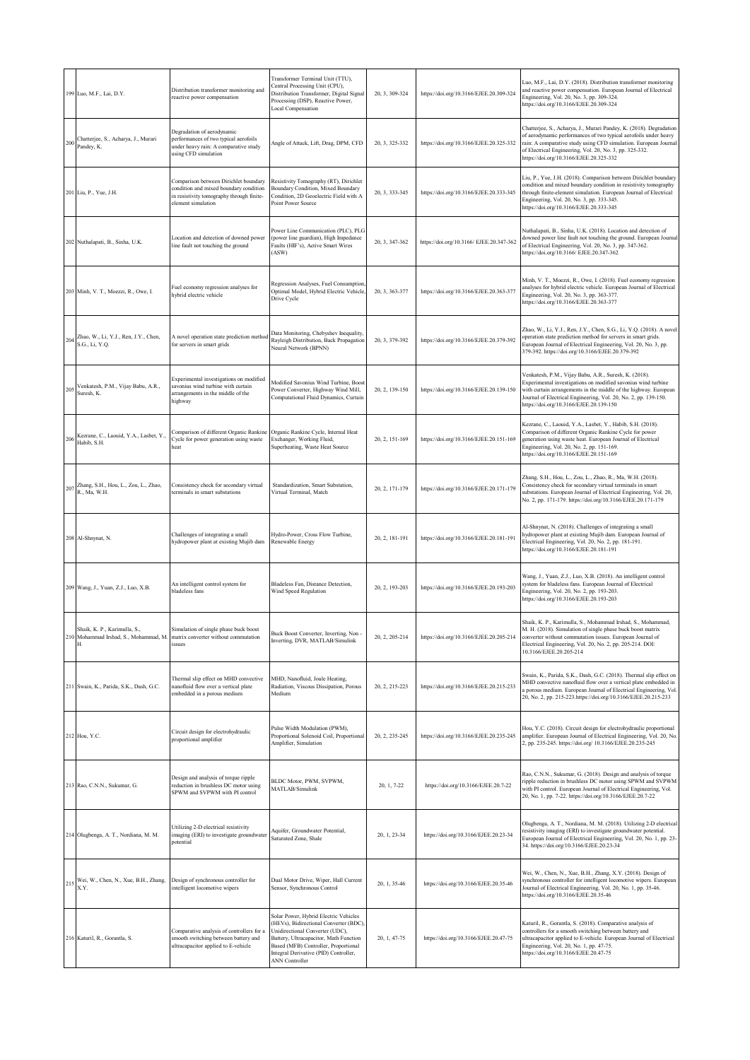|     | 199 Luo, M.F., Lai, D.Y.                                                                                | Distribution transformer monitoring and<br>reactive power compensation                                                                             | Transformer Terminal Unit (TTU),<br>Central Processing Unit (CPU),<br>Distribution Transformer, Digital Signal<br>Processing (DSP), Reactive Power,<br>Local Compensation                                                                                              | 20, 3, 309-324   | https://doi.org/10.3166/EJEE.20.309-324  | Luo, M.F., Lai, D.Y. (2018). Distribution transformer monitoring<br>and reactive power compensation. European Journal of Electrical<br>Engineering, Vol. 20, No. 3, pp. 309-324.<br>https://doi.org/10.3166/EJEE.20.309-324                                                                                      |
|-----|---------------------------------------------------------------------------------------------------------|----------------------------------------------------------------------------------------------------------------------------------------------------|------------------------------------------------------------------------------------------------------------------------------------------------------------------------------------------------------------------------------------------------------------------------|------------------|------------------------------------------|------------------------------------------------------------------------------------------------------------------------------------------------------------------------------------------------------------------------------------------------------------------------------------------------------------------|
| 200 | Chatterjee, S., Acharya, J., Murari<br>Pandey, K.                                                       | Degradation of aerodynamic<br>performances of two typical aerofoils<br>under heavy rain: A comparative study<br>using CFD simulation               | Angle of Attack, Lift, Drag, DPM, CFD                                                                                                                                                                                                                                  | 20, 3, 325-332   | https://doi.org/10.3166/EJEE.20.325-332  | Chatterjee, S., Acharya, J., Murari Pandey, K. (2018). Degradation<br>of aerodynamic performances of two typical aerofoils under heavy<br>rain: A comparative study using CFD simulation. European Journal<br>of Electrical Engineering, Vol. 20, No. 3, pp. 325-332.<br>https://doi.org/10.3166/EJEE.20.325-332 |
|     | 201 Liu, P., Yue, J.H.                                                                                  | Comparison between Dirichlet boundary<br>condition and mixed boundary condition<br>in resistivity tomography through finite-<br>element simulation | Resistivity Tomography (RT), Dirichlet<br>Boundary Condition, Mixed Boundary<br>Condition, 2D Geoelectric Field with A<br>Point Power Source                                                                                                                           | 20, 3, 333-345   | https://doi.org/10.3166/EJEE.20.333-345  | Liu, P., Yue, J.H. (2018). Comparison between Dirichlet boundary<br>condition and mixed boundary condition in resistivity tomography<br>through finite-element simulation. European Journal of Electrical<br>Engineering, Vol. 20, No. 3, pp. 333-345.<br>https://doi.org/10.3166/EJEE.20.333-345                |
|     | 202 Nuthalapati, B., Sinha, U.K.                                                                        | Location and detection of downed power<br>line fault not touching the ground                                                                       | Power Line Communication (PLC), PLG<br>(power line guardian), High Impedance<br>Faults (HIF's), Active Smart Wires<br>(ASW)                                                                                                                                            | 20, 3, 347-362   | https://doi.org/10.3166/ EJEE.20.347-362 | Nuthalapati, B., Sinha, U.K. (2018). Location and detection of<br>downed power line fault not touching the ground. European Journal<br>of Electrical Engineering, Vol. 20, No. 3, pp. 347-362.<br>https://doi.org/10.3166/ EJEE.20.347-362                                                                       |
|     | 203 Minh, V. T., Moezzi, R., Owe, I.                                                                    | Fuel economy regression analyses for<br>hybrid electric vehicle                                                                                    | Regression Analyses, Fuel Consumption,<br>Optimal Model, Hybrid Electric Vehicle,<br>Drive Cycle                                                                                                                                                                       | 20, 3, 363-377   | https://doi.org/10.3166/EJEE.20.363-377  | Minh, V. T., Moezzi, R., Owe, I. (2018). Fuel economy regression<br>analyses for hybrid electric vehicle. European Journal of Electrical<br>Engineering, Vol. 20, No. 3, pp. 363-377.<br>https://doi.org/10.3166/EJEE.20.363-377                                                                                 |
| 204 | Zhao, W., Li, Y.J., Ren, J.Y., Chen,<br>S.G., Li, Y.Q.                                                  | A novel operation state prediction method<br>for servers in smart grids                                                                            | Data Monitoring, Chebyshev Inequality,<br>Rayleigh Distribution, Back Propagation<br>Neural Network (BPNN)                                                                                                                                                             | 20, 3, 379-392   | https://doi.org/10.3166/EJEE.20.379-392  | Zhao, W., Li, Y.J., Ren, J.Y., Chen, S.G., Li, Y.Q. (2018). A novel<br>operation state prediction method for servers in smart grids.<br>European Journal of Electrical Engineering, Vol. 20, No. 3, pp.<br>379-392. https://doi.org/10.3166/EJEE.20.379-392                                                      |
| 205 | Venkatesh, P.M., Vijay Babu, A.R.,<br>Suresh, K.                                                        | Experimental investigations on modified<br>savonius wind turbine with curtain<br>arrangements in the middle of the<br>highway                      | Modified Savonius Wind Turbine, Boost<br>Power Converter, Highway Wind Mill,<br>Computational Fluid Dynamics, Curtain                                                                                                                                                  | 20, 2, 139-150   | https://doi.org/10.3166/EJEE.20.139-150  | Venkatesh, P.M., Vijay Babu, A.R., Suresh, K. (2018).<br>Experimental investigations on modified savonius wind turbine<br>with curtain arrangements in the middle of the highway. European<br>Journal of Electrical Engineering, Vol. 20, No. 2, pp. 139-150.<br>https://doi.org/10.3166/EJEE.20.139-150         |
|     | Kezrane, C., Laouid, Y.A., Lasbet, Y.,<br>$206\,$ Habib, S.H.                                           | Comparison of different Organic Rankine<br>Cycle for power generation using waste<br>heat                                                          | Organic Rankine Cycle, Internal Heat<br>Exchanger, Working Fluid,<br>Superheating, Waste Heat Source                                                                                                                                                                   | 20, 2, 151-169   | https://doi.org/10.3166/EJEE.20.151-169  | Kezrane, C., Laouid, Y.A., Lasbet, Y., Habib, S.H. (2018).<br>Comparison of different Organic Rankine Cycle for power<br>generation using waste heat. European Journal of Electrical<br>Engineering, Vol. 20, No. 2, pp. 151-169.<br>https://doi.org/10.3166/EJEE.20.151-169                                     |
|     | 207 Zhang, S.H., Hou, L., Zou, L., Zhao,<br>R., Ma, W.H.                                                | Consistency check for secondary virtual<br>terminals in smart substations                                                                          | Standardization, Smart Substation,<br>Virtual Terminal, Match                                                                                                                                                                                                          | 20, 2, 171-179   | https://doi.org/10.3166/EJEE.20.171-179  | Zhang, S.H., Hou, L., Zou, L., Zhao, R., Ma, W.H. (2018).<br>Consistency check for secondary virtual terminals in smart<br>substations. European Journal of Electrical Engineering, Vol. 20,<br>No. 2, pp. 171-179. https://doi.org/10.3166/EJEE.20.171-179                                                      |
|     | 208 Al-Shnynat, N.                                                                                      | Challenges of integrating a small<br>hydropower plant at existing Mujib dam                                                                        | Hydro-Power, Cross Flow Turbine,<br>Renewable Energy                                                                                                                                                                                                                   | 20, 2, 181-191   | https://doi.org/10.3166/EJEE.20.181-191  | Al-Shnynat, N. (2018). Challenges of integrating a small<br>hydropower plant at existing Mujib dam. European Journal of<br>Electrical Engineering, Vol. 20, No. 2, pp. 181-191.<br>https://doi.org/10.3166/EJEE.20.181-191                                                                                       |
|     | 209 Wang, J., Yuan, Z.J., Luo, X.B.                                                                     | An intelligent control system for<br>bladeless fans                                                                                                | Bladeless Fan, Distance Detection,<br>Wind Speed Regulation                                                                                                                                                                                                            | 20, 2, 193-203   | https://doi.org/10.3166/EJEE.20.193-203  | Wang, J., Yuan, Z.J., Luo, X.B. (2018). An intelligent control<br>system for bladeless fans. European Journal of Electrical<br>Engineering, Vol. 20, No. 2, pp. 193-203.<br>https://doi.org/10.3166/EJEE.20.193-203                                                                                              |
|     | Shaik, K. P., Karimulla, S.,<br>210 Mohammad Irshad, S., Mohammad, M.<br>Н.                             | Simulation of single phase buck boost<br>matrix converter without commutation<br>issues                                                            | Buck Boost Converter, Inverting, Non-<br>Inverting, DVR, MATLAB/Simulink                                                                                                                                                                                               | 20, 2, 205-214   | https://doi.org/10.3166/EJEE.20.205-214  | Shaik, K. P., Karimulla, S., Mohammad Irshad, S., Mohammad,<br>M. H. (2018). Simulation of single phase buck boost matrix<br>converter without commutation issues. European Journal of<br>Electrical Engineering, Vol. 20, No. 2, pp. 205-214. DOI:<br>10.3166/EJEE.20.205-214                                   |
|     | 211 Swain, K., Parida, S.K., Dash, G.C.                                                                 | Thermal slip effect on MHD convective<br>nanofluid flow over a vertical plate<br>embedded in a porous medium                                       | MHD, Nanofluid, Joule Heating,<br>Radiation, Viscous Dissipation, Porous<br>Medium                                                                                                                                                                                     | 20, 2, 215-223   | https://doi.org/10.3166/EJEE.20.215-233  | Swain, K., Parida, S.K., Dash, G.C. (2018). Thermal slip effect on<br>MHD convective nanofluid flow over a vertical plate embedded in<br>porous medium. European Journal of Electrical Engineering, Vol.<br>20, No. 2, pp. 215-223.https://doi.org/10.3166/EJEE.20.215-233                                       |
|     | 212 Hou, Y.C.                                                                                           | Circuit design for electrohydraulic<br>proportional amplifier                                                                                      | Pulse Width Modulation (PWM),<br>Proportional Solenoid Coil, Proportional<br>Amplifier, Simulation                                                                                                                                                                     | 20, 2, 235-245   | https://doi.org/10.3166/EJEE.20.235-245  | Hou, Y.C. (2018). Circuit design for electrohydraulic proportional<br>amplifier. European Journal of Electrical Engineering, Vol. 20, No.<br>2, pp. 235-245. https://doi.org/ 10.3166/EJEE.20.235-245                                                                                                            |
|     | 213 Rao, C.N.N., Sukumar, G.                                                                            | Design and analysis of torque ripple<br>reduction in brushless DC motor using<br>SPWM and SVPWM with PI control                                    | BLDC Motor, PWM, SVPWM,<br>MATLAB/Simulink                                                                                                                                                                                                                             | 20, 1, 7-22      | https://doi.org/10.3166/EJEE.20.7-22     | Rao, C.N.N., Sukumar, G. (2018). Design and analysis of torque<br>ripple reduction in brushless DC motor using SPWM and SVPWM<br>with PI control. European Journal of Electrical Engineering, Vol.<br>20, No. 1, pp. 7-22. https://doi.org/10.3166/EJEE.20.7-22                                                  |
|     | 214 Olugbenga, A. T., Nordiana, M. M.                                                                   | Utilizing 2-D electrical resistivity<br>imaging (ERI) to investigate groundwater<br>potential                                                      | Aquifer, Groundwater Potential,<br>Saturated Zone, Shale                                                                                                                                                                                                               | 20, 1, 23-34     | https://doi.org/10.3166/EJEE.20.23-34    | Olugbenga, A. T., Nordiana, M. M. (2018). Utilizing 2-D electrical<br>resistivity imaging (ERI) to investigate groundwater potential.<br>European Journal of Electrical Engineering, Vol. 20, No. 1, pp. 23-<br>34. https://doi.org/10.3166/EJEE.20.23-34                                                        |
|     | Wei, W., Chen, N., Xue, B.H., Zhang,<br>$215\ensuremath{\stackrel{\textbf{1}}{\textbf{X}.\textbf{Y}}}.$ | Design of synchronous controller for<br>intelligent locomotive wipers                                                                              | Dual Motor Drive, Wiper, Hall Current<br>Sensor, Synchronous Control                                                                                                                                                                                                   | 20, 1, 35-46     | https://doi.org/10.3166/EJEE.20.35-46    | Wei, W., Chen, N., Xue, B.H., Zhang, X.Y. (2018). Design of<br>synchronous controller for intelligent locomotive wipers. European<br>Journal of Electrical Engineering, Vol. 20, No. 1, pp. 35-46.<br>https://doi.org/10.3166/EJEE.20.35-46                                                                      |
|     | 216 Katuril, R., Gorantla, S.                                                                           | Comparative analysis of controllers for a<br>smooth switching between battery and<br>ultracapacitor applied to E-vehicle                           | Solar Power, Hybrid Electric Vehicles<br>(HEVs), Bidirectional Converter (BDC),<br>Unidirectional Converter (UDC),<br>Battery, Ultracapacitor, Math Function<br>Based (MFB) Controller, Proportional<br>Integral Derivative (PID) Controller,<br><b>ANN</b> Controller | $20, 1, 47 - 75$ | https://doi.org/10.3166/EJEE.20.47-75    | Katuril, R., Gorantla, S. (2018). Comparative analysis of<br>controllers for a smooth switching between battery and<br>altracapacitor applied to E-vehicle. European Journal of Electrical<br>Engineering, Vol. 20, No. 1, pp. 47-75.<br>https://doi.org/10.3166/EJEE.20.47-75                                   |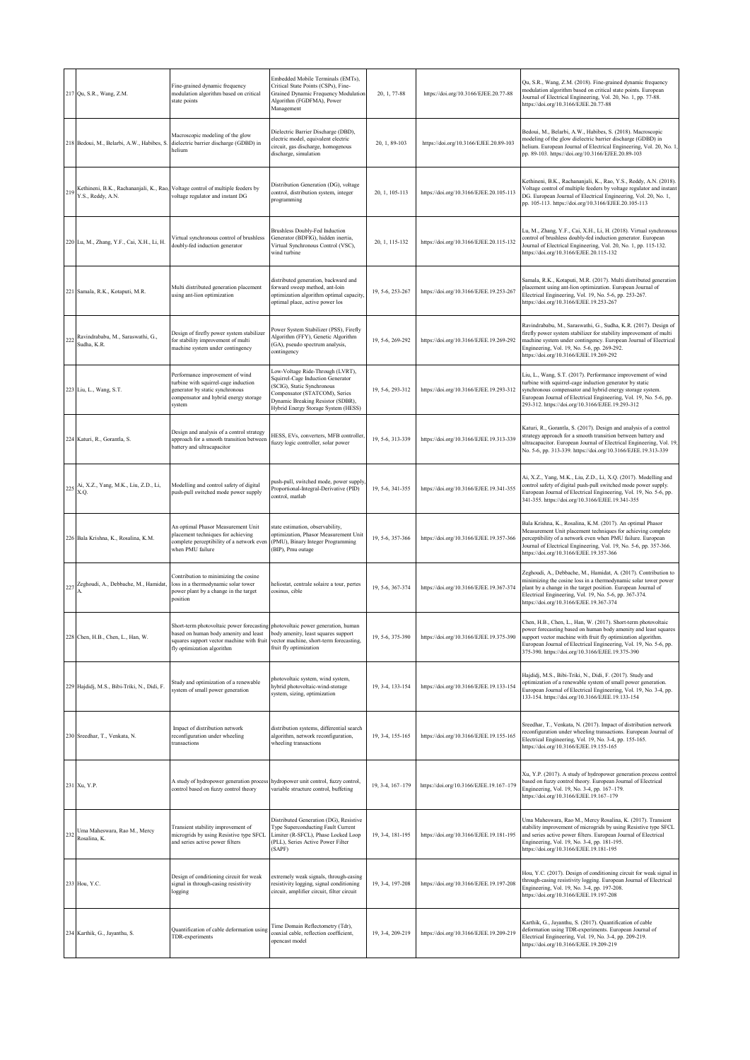|     | 217 Qu, S.R., Wang, Z.M.                                     | Fine-grained dynamic frequency<br>modulation algorithm based on critical<br>state points                                                                                                         | Embedded Mobile Terminals (EMTs),<br>Critical State Points (CSPs), Fine-<br>Grained Dynamic Frequency Modulation<br>Algorithm (FGDFMA), Power<br>Management                                                      | 20, 1, 77-88     | https://doi.org/10.3166/EJEE.20.77-88   | Qu, S.R., Wang, Z.M. (2018). Fine-grained dynamic frequency<br>modulation algorithm based on critical state points. European<br>Journal of Electrical Engineering, Vol. 20, No. 1, pp. 77-88.<br>https://doi.org/10.3166/EJEE.20.77-88                                                                                     |
|-----|--------------------------------------------------------------|--------------------------------------------------------------------------------------------------------------------------------------------------------------------------------------------------|------------------------------------------------------------------------------------------------------------------------------------------------------------------------------------------------------------------|------------------|-----------------------------------------|----------------------------------------------------------------------------------------------------------------------------------------------------------------------------------------------------------------------------------------------------------------------------------------------------------------------------|
|     | 218 Bedoui, M., Belarbi, A.W., Habibes, S                    | Macroscopic modeling of the glow<br>dielectric barrier discharge (GDBD) in<br>helium                                                                                                             | Dielectric Barrier Discharge (DBD),<br>electric model, equivalent electric<br>circuit, gas discharge, homogenous<br>discharge, simulation                                                                        | 20, 1, 89-103    | https://doi.org/10.3166/EJEE.20.89-103  | Bedoui, M., Belarbi, A.W., Habibes, S. (2018). Macroscopic<br>modeling of the glow dielectric barrier discharge (GDBD) in<br>helium. European Journal of Electrical Engineering, Vol. 20, No. 1,<br>pp. 89-103. https://doi.org/10.3166/EJEE.20.89-103                                                                     |
| 219 | Kethineni, B.K., Rachananjali, K., Rao,<br>Y.S., Reddy, A.N. | Voltage control of multiple feeders by<br>voltage regulator and instant DG                                                                                                                       | Distribution Generation (DG), voltage<br>control, distribution system, integer<br>programming                                                                                                                    | 20, 1, 105-113   | https://doi.org/10.3166/EJEE.20.105-113 | Kethineni, B.K., Rachananjali, K., Rao, Y.S., Reddy, A.N. (2018).<br>Voltage control of multiple feeders by voltage regulator and instant<br>DG. European Journal of Electrical Engineering, Vol. 20, No. 1,<br>pp. 105-113. https://doi.org/10.3166/EJEE.20.105-113                                                       |
|     | 220 Lu, M., Zhang, Y.F., Cai, X.H., Li, H                    | Virtual synchronous control of brushless<br>doubly-fed induction generator                                                                                                                       | <b>Brushless Doubly-Fed Induction</b><br>Generator (BDFIG), hidden inertia,<br>Virtual Synchronous Control (VSC),<br>wind turbine                                                                                | 20, 1, 115-132   | https://doi.org/10.3166/EJEE.20.115-132 | Lu, M., Zhang, Y.F., Cai, X.H., Li, H. (2018). Virtual synchronous<br>control of brushless doubly-fed induction generator. European<br>Journal of Electrical Engineering, Vol. 20, No. 1, pp. 115-132.<br>https://doi.org/10.3166/EJEE.20.115-132                                                                          |
|     | 221 Samala, R.K., Kotaputi, M.R.                             | Multi distributed generation placement<br>using ant-lion optimization                                                                                                                            | distributed generation, backward and<br>forward sweep method, ant-loin<br>optimization algorithm optimal capacity,<br>optimal place, active power los                                                            | 19, 5-6, 253-267 | https://doi.org/10.3166/EJEE.19.253-267 | Samala, R.K., Kotaputi, M.R. (2017). Multi distributed generation<br>placement using ant-lion optimization. European Journal of<br>Electrical Engineering, Vol. 19, No. 5-6, pp. 253-267.<br>https://doi.org/10.3166/EJEE.19.253-267                                                                                       |
| 222 | Ravindrababu, M., Saraswathi, G.,<br>Sudha, K.R.             | Design of firefly power system stabilizer<br>for stability improvement of multi<br>machine system under contingency                                                                              | Power System Stabilizer (PSS), Firefly<br>Algorithm (FFY), Genetic Algorithm<br>(GA), pseudo spectrum analysis,<br>contingency                                                                                   | 19, 5-6, 269-292 | https://doi.org/10.3166/EJEE.19.269-292 | Ravindrababu, M., Saraswathi, G., Sudha, K.R. (2017). Design of<br>firefly power system stabilizer for stability improvement of multi<br>machine system under contingency. European Journal of Electrical<br>Engineering, Vol. 19, No. 5-6, pp. 269-292.<br>https://doi.org/10.3166/EJEE.19.269-292                        |
|     | 223 Liu, L., Wang, S.T.                                      | Performance improvement of wind<br>turbine with squirrel-cage induction<br>generator by static synchronous<br>compensator and hybrid energy storage<br>system                                    | Low-Voltage Ride-Through (LVRT),<br>Squirrel-Cage Induction Generator<br>(SCIG), Static Synchronous<br>Compensator (STATCOM), Series<br>Dynamic Breaking Resistor (SDBR),<br>Hybrid Energy Storage System (HESS) | 19, 5-6, 293-312 | https://doi.org/10.3166/EJEE.19.293-312 | Liu, L., Wang, S.T. (2017). Performance improvement of wind<br>turbine with squirrel-cage induction generator by static<br>synchronous compensator and hybrid energy storage system.<br>European Journal of Electrical Engineering, Vol. 19, No. 5-6, pp.<br>293-312. https://doi.org/10.3166/EJEE.19.293-312              |
|     | 224 Katuri, R., Gorantla, S.                                 | Design and analysis of a control strategy<br>approach for a smooth transition between<br>battery and ultracapacitor                                                                              | HESS, EVs, converters, MFB controller,<br>fuzzy logic controller, solar power                                                                                                                                    | 19, 5-6, 313-339 | https://doi.org/10.3166/EJEE.19.313-339 | Katuri, R., Gorantla, S. (2017). Design and analysis of a control<br>strategy approach for a smooth transition between battery and<br>ultracapacitor. European Journal of Electrical Engineering, Vol. 19,<br>No. 5-6, pp. 313-339. https://doi.org/10.3166/EJEE.19.313-339                                                |
|     | 225 Ai, X.Z., Yang, M.K., Liu, Z.D., Li,<br>X.Q.             | Modelling and control safety of digital<br>push-pull switched mode power supply                                                                                                                  | push-pull, switched mode, power supply,<br>Proportional-Integral-Derivative (PID)<br>control, matlab                                                                                                             | 19, 5-6, 341-355 | https://doi.org/10.3166/EJEE.19.341-355 | Ai, X.Z., Yang, M.K., Liu, Z.D., Li, X.Q. (2017). Modelling and<br>control safety of digital push-pull switched mode power supply.<br>European Journal of Electrical Engineering, Vol. 19, No. 5-6, pp.<br>341-355. https://doi.org/10.3166/EJEE.19.341-355                                                                |
|     | 226 Bala Krishna, K., Rosalina, K.M.                         | An optimal Phasor Measurement Unit<br>placement techniques for achieving<br>complete perceptibility of a network even<br>when PMU failure                                                        | state estimation, observability,<br>optimization, Phasor Measurement Unit<br>(PMU), Binary Integer Programming<br>(BIP), Pmu outage                                                                              | 19, 5-6, 357-366 | https://doi.org/10.3166/EJEE.19.357-366 | Bala Krishna, K., Rosalina, K.M. (2017). An optimal Phasor<br>Measurement Unit placement techniques for achieving complete<br>perceptibility of a network even when PMU failure. European<br>Journal of Electrical Engineering, Vol. 19, No. 5-6, pp. 357-366.<br>https://doi.org/10.3166/EJEE.19.357-366                  |
|     | 227 Zeghoudi, A., Debbache, M., Hamidat,                     | Contribution to minimizing the cosine<br>loss in a thermodynamic solar tower<br>power plant by a change in the target<br>position                                                                | heliostat, centrale solaire a tour, pertes<br>cosinus, cible                                                                                                                                                     | 19, 5-6, 367-374 | https://doi.org/10.3166/EJEE.19.367-374 | Zeghoudi, A., Debbache, M., Hamidat, A. (2017). Contribution to<br>minimizing the cosine loss in a thermodynamic solar tower power<br>plant by a change in the target position. European Journal of<br>Electrical Engineering, Vol. 19, No. 5-6, pp. 367-374.<br>https://doi.org/10.3166/EJEE.19.367-374                   |
|     | 228 Chen, H.B., Chen, L., Han, W.                            | Short-term photovoltaic power forecasting photovoltaic power generation, human<br>ased on human body amenity and least<br>quares support vector machine with fruit<br>fly optimization algorithm | body amenity, least squares support<br>vector machine, short-term forecasting,<br>fruit fly optimization                                                                                                         | 19, 5-6, 375-390 | https://doi.org/10.3166/EJEE.19.375-390 | Chen, H.B., Chen, L., Han, W. (2017). Short-term photovoltaic<br>power forecasting based on human body amenity and least squares<br>support vector machine with fruit fly optimization algorithm.<br>European Journal of Electrical Engineering, Vol. 19, No. 5-6, pp.<br>375-390. https://doi.org/10.3166/EJEE.19.375-390 |
|     | 229 Hajdidj, M.S., Bibi-Triki, N., Didi, F.                  | Study and optimization of a renewable<br>system of small power generation                                                                                                                        | photovoltaic system, wind system,<br>hybrid photovoltaic-wind-storage<br>system, sizing, optimization                                                                                                            | 19, 3-4, 133-154 | https://doi.org/10.3166/EJEE.19.133-154 | Hajdidj, M.S., Bibi-Triki, N., Didi, F. (2017). Study and<br>optimization of a renewable system of small power generation.<br>European Journal of Electrical Engineering, Vol. 19, No. 3-4, pp.<br>133-154. https://doi.org/10.3166/EJEE.19.133-154                                                                        |
|     | 230 Sreedhar, T., Venkata, N.                                | Impact of distribution network<br>reconfiguration under wheeling<br>transactions                                                                                                                 | distribution systems, differential search<br>algorithm, network reconfiguration,<br>wheeling transactions                                                                                                        | 19, 3-4, 155-165 | https://doi.org/10.3166/EJEE.19.155-165 | Sreedhar, T., Venkata, N. (2017). Impact of distribution network<br>reconfiguration under wheeling transactions. European Journal of<br>Electrical Engineering, Vol. 19, No. 3-4, pp. 155-165.<br>https://doi.org/10.3166/EJEE.19.155-165                                                                                  |
|     | 231 Xu, Y.P.                                                 | A study of hydropower generation process<br>control based on fuzzy control theory                                                                                                                | hydropower unit control, fuzzy control,<br>variable structure control, buffeting                                                                                                                                 | 19, 3-4, 167-179 | https://doi.org/10.3166/EJEE.19.167-179 | Xu, Y.P. (2017). A study of hydropower generation process control<br>based on fuzzy control theory. European Journal of Electrical<br>Engineering, Vol. 19, No. 3-4, pp. 167-179.<br>https://doi.org/10.3166/EJEE.19.167-179                                                                                               |
|     | Uma Maheswara, Rao M., Mercy<br>Rosalina, K.                 | Transient stability improvement of<br>microgrids by using Resistive type SFCL<br>and series active power filters                                                                                 | Distributed Generation (DG), Resistive<br>Type Superconducting Fault Current<br>Limiter (R-SFCL), Phase Locked Loop<br>(PLL), Series Active Power Filter<br>(SAPF)                                               | 19, 3-4, 181-195 | https://doi.org/10.3166/EJEE.19.181-195 | Uma Maheswara, Rao M., Mercy Rosalina, K. (2017). Transient<br>stability improvement of microgrids by using Resistive type SFCL<br>and series active power filters. European Journal of Electrical<br>Engineering, Vol. 19, No. 3-4, pp. 181-195.<br>https://doi.org/10.3166/EJEE.19.181-195                               |
|     | 233 Hou, Y.C.                                                | Design of conditioning circuit for weak<br>signal in through-casing resistivity<br>logging                                                                                                       | extremely weak signals, through-casing<br>resistivity logging, signal conditioning<br>circuit, amplifier circuit, filter circuit                                                                                 | 19, 3-4, 197-208 | https://doi.org/10.3166/EJEE.19.197-208 | Hou, Y.C. (2017). Design of conditioning circuit for weak signal in<br>through-casing resistivity logging. European Journal of Electrical<br>Engineering, Vol. 19, No. 3-4, pp. 197-208.<br>https://doi.org/10.3166/EJEE.19.197-208                                                                                        |
|     | 234 Karthik, G., Jayanthu, S.                                | Quantification of cable deformation using<br>TDR-experiments                                                                                                                                     | Time Domain Reflectometry (Tdr),<br>coaxial cable, reflection coefficient,<br>opencast model                                                                                                                     | 19, 3-4, 209-219 | https://doi.org/10.3166/EJEE.19.209-219 | Karthik, G., Jayanthu, S. (2017). Quantification of cable<br>deformation using TDR-experiments. European Journal of<br>Electrical Engineering, Vol. 19, No. 3-4, pp. 209-219.<br>https://doi.org/10.3166/EJEE.19.209-219                                                                                                   |